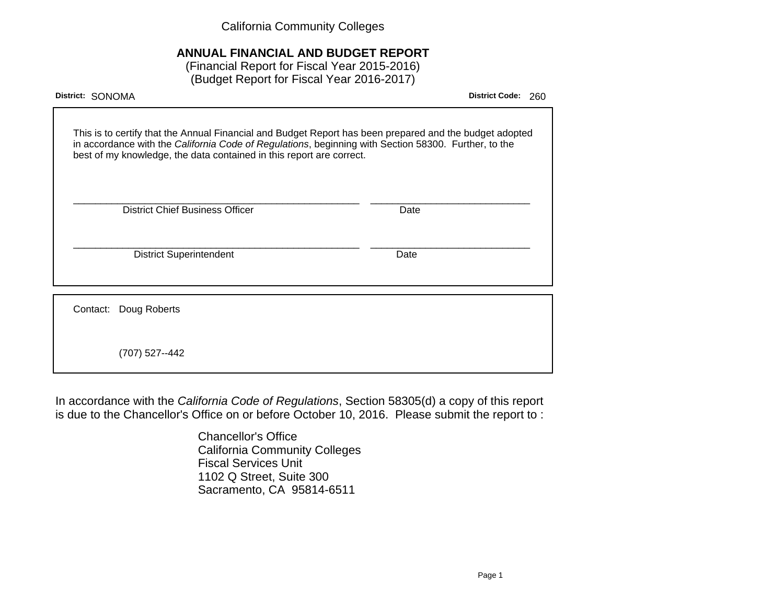California Community Colleges

# **ANNUAL FINANCIAL AND BUDGET REPORT**

(Financial Report for Fiscal Year 2015-2016) (Budget Report for Fiscal Year 2016-2017)

| District: SONOMA                                                                                                                                                                                                                                                                        | <b>District Code:</b><br>260 |
|-----------------------------------------------------------------------------------------------------------------------------------------------------------------------------------------------------------------------------------------------------------------------------------------|------------------------------|
| This is to certify that the Annual Financial and Budget Report has been prepared and the budget adopted<br>in accordance with the California Code of Regulations, beginning with Section 58300. Further, to the<br>best of my knowledge, the data contained in this report are correct. |                              |
| <b>District Chief Business Officer</b>                                                                                                                                                                                                                                                  | Date                         |
| <b>District Superintendent</b>                                                                                                                                                                                                                                                          | Date                         |
| Contact: Doug Roberts                                                                                                                                                                                                                                                                   |                              |
| (707) 527--442                                                                                                                                                                                                                                                                          |                              |

In accordance with the California Code of Regulations, Section 58305(d) a copy of this report is due to the Chancellor's Office on or before October 10, 2016. Please submit the report to :

> Chancellor's Office California Community Colleges Fiscal Services Unit 1102 Q Street, Suite 300 Sacramento, CA 95814-6511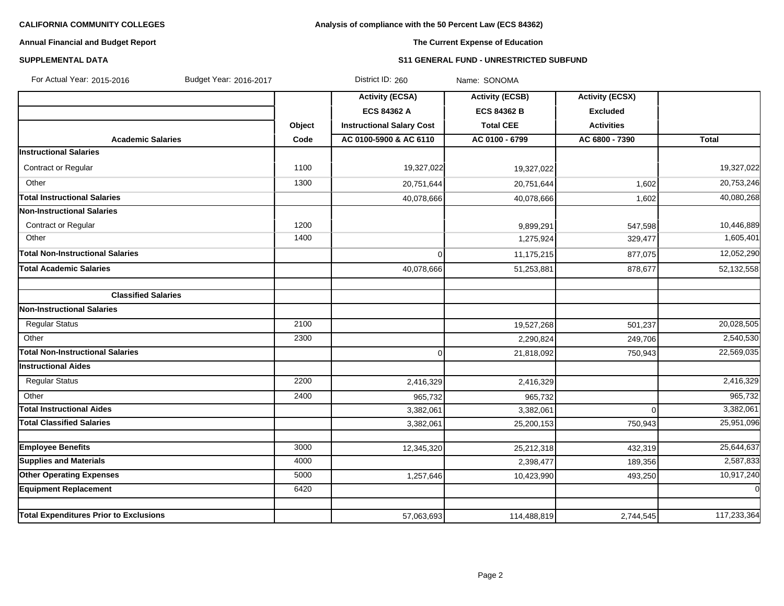# **Analysis of compliance with the 50 Percent Law (ECS 84362)**

# **Annual Financial and Budget Report**

# **The Current Expense of Education**

#### **SUPPLEMENTAL DATA S11 GENERAL FUND - UNRESTRICTED SUBFUND**

| For Actual Year: 2015-2016<br>Budget Year: 2016-2017 |        | District ID: 260                 | Name: SONOMA           |                        |                |
|------------------------------------------------------|--------|----------------------------------|------------------------|------------------------|----------------|
|                                                      |        | <b>Activity (ECSA)</b>           | <b>Activity (ECSB)</b> | <b>Activity (ECSX)</b> |                |
|                                                      |        | <b>ECS 84362 A</b>               | <b>ECS 84362 B</b>     | <b>Excluded</b>        |                |
|                                                      | Object | <b>Instructional Salary Cost</b> | <b>Total CEE</b>       | <b>Activities</b>      |                |
| <b>Academic Salaries</b>                             | Code   | AC 0100-5900 & AC 6110           | AC 0100 - 6799         | AC 6800 - 7390         | Total          |
| <b>Instructional Salaries</b>                        |        |                                  |                        |                        |                |
| Contract or Regular                                  | 1100   | 19,327,022                       | 19,327,022             |                        | 19,327,022     |
| Other                                                | 1300   | 20,751,644                       | 20,751,644             | 1,602                  | 20,753,246     |
| <b>Total Instructional Salaries</b>                  |        | 40,078,666                       | 40,078,666             | 1,602                  | 40,080,268     |
| <b>Non-Instructional Salaries</b>                    |        |                                  |                        |                        |                |
| Contract or Regular                                  | 1200   |                                  | 9,899,291              | 547,598                | 10,446,889     |
| Other                                                | 1400   |                                  | 1,275,924              | 329,477                | 1,605,401      |
| <b>Total Non-Instructional Salaries</b>              |        | 0                                | 11,175,215             | 877,075                | 12,052,290     |
| <b>Total Academic Salaries</b>                       |        | 40,078,666                       | 51,253,881             | 878,677                | 52,132,558     |
|                                                      |        |                                  |                        |                        |                |
| <b>Classified Salaries</b>                           |        |                                  |                        |                        |                |
| Non-Instructional Salaries                           |        |                                  |                        |                        |                |
| <b>Regular Status</b>                                | 2100   |                                  | 19,527,268             | 501,237                | 20,028,505     |
| Other                                                | 2300   |                                  | 2,290,824              | 249,706                | 2,540,530      |
| <b>Total Non-Instructional Salaries</b>              |        | 0                                | 21,818,092             | 750,943                | 22,569,035     |
| <b>Instructional Aides</b>                           |        |                                  |                        |                        |                |
| <b>Regular Status</b>                                | 2200   | 2,416,329                        | 2,416,329              |                        | 2,416,329      |
| Other                                                | 2400   | 965,732                          | 965,732                |                        | 965,732        |
| <b>Total Instructional Aides</b>                     |        | 3,382,061                        | 3,382,061              | $\Omega$               | 3,382,061      |
| <b>Total Classified Salaries</b>                     |        | 3,382,061                        | 25,200,153             | 750,943                | 25,951,096     |
|                                                      |        |                                  |                        |                        |                |
| <b>Employee Benefits</b>                             | 3000   | 12,345,320                       | 25,212,318             | 432,319                | 25,644,637     |
| <b>Supplies and Materials</b>                        | 4000   |                                  | 2,398,477              | 189,356                | 2,587,833      |
| <b>Other Operating Expenses</b>                      | 5000   | 1,257,646                        | 10,423,990             | 493,250                | 10,917,240     |
| <b>Equipment Replacement</b>                         | 6420   |                                  |                        |                        | $\overline{0}$ |
| <b>Total Expenditures Prior to Exclusions</b>        |        | 57,063,693                       | 114,488,819            | 2,744,545              | 117,233,364    |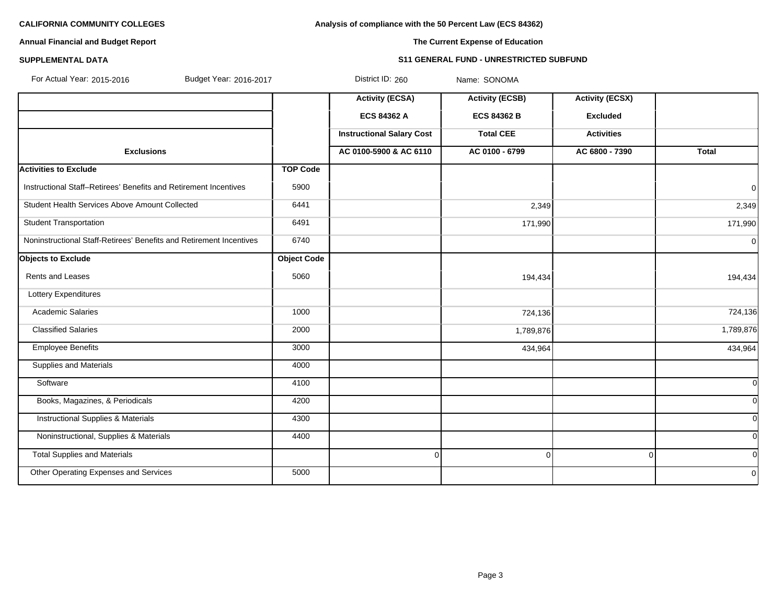**Analysis of compliance with the 50 Percent Law (ECS 84362)**

# **Annual Financial and Budget Report**

# **The Current Expense of Education**

#### **SUPPLEMENTAL DATA S11 GENERAL FUND - UNRESTRICTED SUBFUND**

| For Actual Year: 2015-2016<br>Budget Year: 2016-2017                |                    | District ID: 260                 | Name: SONOMA           |                        |                |
|---------------------------------------------------------------------|--------------------|----------------------------------|------------------------|------------------------|----------------|
|                                                                     |                    | <b>Activity (ECSA)</b>           | <b>Activity (ECSB)</b> | <b>Activity (ECSX)</b> |                |
|                                                                     |                    | ECS 84362 A                      | <b>ECS 84362 B</b>     | <b>Excluded</b>        |                |
|                                                                     |                    | <b>Instructional Salary Cost</b> | <b>Total CEE</b>       | <b>Activities</b>      |                |
| <b>Exclusions</b>                                                   |                    | AC 0100-5900 & AC 6110           | AC 0100 - 6799         | AC 6800 - 7390         | <b>Total</b>   |
| <b>Activities to Exclude</b>                                        | <b>TOP Code</b>    |                                  |                        |                        |                |
| Instructional Staff-Retirees' Benefits and Retirement Incentives    | 5900               |                                  |                        |                        | $\overline{0}$ |
| Student Health Services Above Amount Collected                      | 6441               |                                  | 2,349                  |                        | 2,349          |
| <b>Student Transportation</b>                                       | 6491               |                                  | 171,990                |                        | 171,990        |
| Noninstructional Staff-Retirees' Benefits and Retirement Incentives | 6740               |                                  |                        |                        | 0l             |
| <b>Objects to Exclude</b>                                           | <b>Object Code</b> |                                  |                        |                        |                |
| Rents and Leases                                                    | 5060               |                                  | 194,434                |                        | 194,434        |
| Lottery Expenditures                                                |                    |                                  |                        |                        |                |
| <b>Academic Salaries</b>                                            | 1000               |                                  | 724,136                |                        | 724,136        |
| <b>Classified Salaries</b>                                          | 2000               |                                  | 1,789,876              |                        | 1,789,876      |
| <b>Employee Benefits</b>                                            | 3000               |                                  | 434,964                |                        | 434,964        |
| Supplies and Materials                                              | 4000               |                                  |                        |                        |                |
| Software                                                            | 4100               |                                  |                        |                        | 0l             |
| Books, Magazines, & Periodicals                                     | 4200               |                                  |                        |                        | <sub>0</sub>   |
| <b>Instructional Supplies &amp; Materials</b>                       | 4300               |                                  |                        |                        | <sub>0</sub>   |
| Noninstructional, Supplies & Materials                              | 4400               |                                  |                        |                        | <sub>0</sub>   |
| <b>Total Supplies and Materials</b>                                 |                    | $\Omega$                         | $\overline{0}$         | $\Omega$               | 0l             |
| Other Operating Expenses and Services                               | 5000               |                                  |                        |                        | 0l             |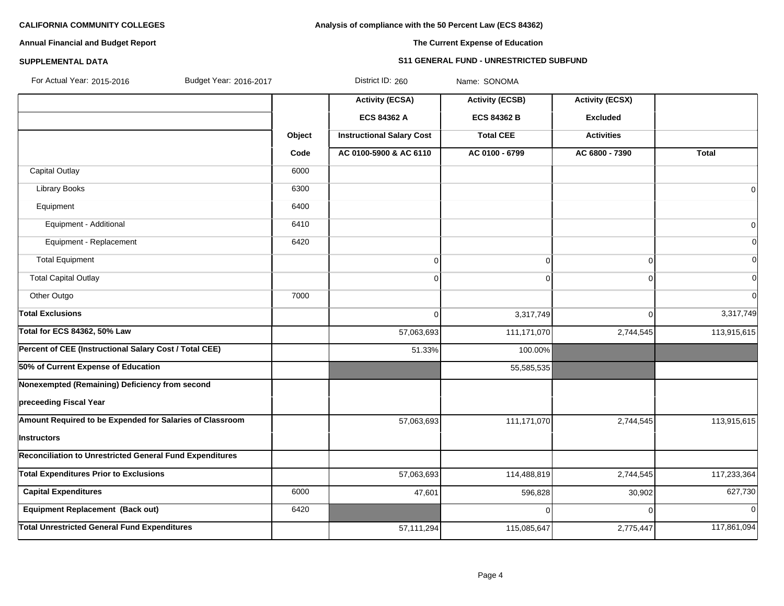### **Analysis of compliance with the 50 Percent Law (ECS 84362)**

# **Annual Financial and Budget Report**

# **The Current Expense of Education**

#### **SUPPLEMENTAL DATA S11 GENERAL FUND - UNRESTRICTED SUBFUND**

| For Actual Year: 2015-2016<br>Budget Year: 2016-2017            |        | District ID: 260                 | Name: SONOMA           |                        |                |
|-----------------------------------------------------------------|--------|----------------------------------|------------------------|------------------------|----------------|
|                                                                 |        | <b>Activity (ECSA)</b>           | <b>Activity (ECSB)</b> | <b>Activity (ECSX)</b> |                |
|                                                                 |        | ECS 84362 A                      | <b>ECS 84362 B</b>     | <b>Excluded</b>        |                |
|                                                                 | Object | <b>Instructional Salary Cost</b> | <b>Total CEE</b>       | <b>Activities</b>      |                |
|                                                                 | Code   | AC 0100-5900 & AC 6110           | AC 0100 - 6799         | AC 6800 - 7390         | <b>Total</b>   |
| <b>Capital Outlay</b>                                           | 6000   |                                  |                        |                        |                |
| <b>Library Books</b>                                            | 6300   |                                  |                        |                        | $\Omega$       |
| Equipment                                                       | 6400   |                                  |                        |                        |                |
| Equipment - Additional                                          | 6410   |                                  |                        |                        | $\overline{0}$ |
| Equipment - Replacement                                         | 6420   |                                  |                        |                        | $\Omega$       |
| <b>Total Equipment</b>                                          |        | $\mathbf 0$                      | 0                      | $\Omega$               | $\Omega$       |
| <b>Total Capital Outlay</b>                                     |        | $\mathbf 0$                      | 0                      | $\Omega$               | $\Omega$       |
| Other Outgo                                                     | 7000   |                                  |                        |                        | $\Omega$       |
| <b>Total Exclusions</b>                                         |        | $\mathbf 0$                      | 3,317,749              | $\Omega$               | 3,317,749      |
| <b>Total for ECS 84362, 50% Law</b>                             |        | 57,063,693                       | 111,171,070            | 2,744,545              | 113,915,615    |
| Percent of CEE (Instructional Salary Cost / Total CEE)          |        | 51.33%                           | 100.00%                |                        |                |
| 50% of Current Expense of Education                             |        |                                  | 55,585,535             |                        |                |
| Nonexempted (Remaining) Deficiency from second                  |        |                                  |                        |                        |                |
| preceeding Fiscal Year                                          |        |                                  |                        |                        |                |
| Amount Required to be Expended for Salaries of Classroom        |        | 57,063,693                       | 111,171,070            | 2,744,545              | 113,915,615    |
| Instructors                                                     |        |                                  |                        |                        |                |
| <b>Reconciliation to Unrestricted General Fund Expenditures</b> |        |                                  |                        |                        |                |
| <b>Total Expenditures Prior to Exclusions</b>                   |        | 57,063,693                       | 114,488,819            | 2,744,545              | 117,233,364    |
| <b>Capital Expenditures</b>                                     | 6000   | 47,601                           | 596,828                | 30,902                 | 627,730        |
| <b>Equipment Replacement (Back out)</b>                         | 6420   |                                  | 0                      | $\Omega$               | $\overline{0}$ |
| <b>Total Unrestricted General Fund Expenditures</b>             |        | 57,111,294                       | 115,085,647            | 2,775,447              | 117,861,094    |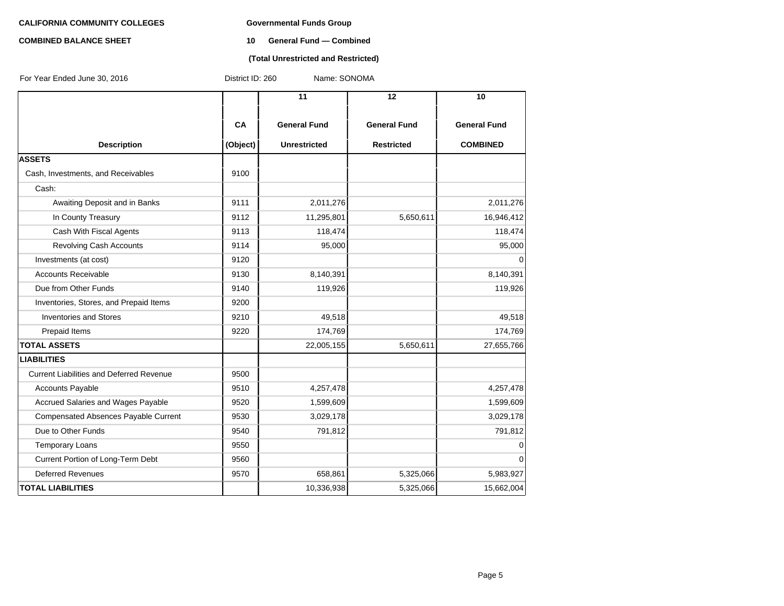# **COMBINED BALANCE SHEET 10 General Fund — Combined**

#### **(Total Unrestricted and Restricted)**

| For Year Ended June 30, 2016                    | District ID: 260 | Name: SONOMA        |                     |                     |
|-------------------------------------------------|------------------|---------------------|---------------------|---------------------|
|                                                 |                  | 11                  | 12                  | 10                  |
|                                                 | CA               | <b>General Fund</b> | <b>General Fund</b> | <b>General Fund</b> |
| <b>Description</b>                              | (Object)         | <b>Unrestricted</b> | <b>Restricted</b>   | <b>COMBINED</b>     |
| <b>ASSETS</b>                                   |                  |                     |                     |                     |
| Cash, Investments, and Receivables              | 9100             |                     |                     |                     |
| Cash:                                           |                  |                     |                     |                     |
| Awaiting Deposit and in Banks                   | 9111             | 2,011,276           |                     | 2,011,276           |
| In County Treasury                              | 9112             | 11,295,801          | 5,650,611           | 16,946,412          |
| Cash With Fiscal Agents                         | 9113             | 118,474             |                     | 118,474             |
| <b>Revolving Cash Accounts</b>                  | 9114             | 95,000              |                     | 95,000              |
| Investments (at cost)                           | 9120             |                     |                     | $\Omega$            |
| <b>Accounts Receivable</b>                      | 9130             | 8,140,391           |                     | 8,140,391           |
| Due from Other Funds                            | 9140             | 119,926             |                     | 119,926             |
| Inventories, Stores, and Prepaid Items          | 9200             |                     |                     |                     |
| <b>Inventories and Stores</b>                   | 9210             | 49,518              |                     | 49,518              |
| Prepaid Items                                   | 9220             | 174,769             |                     | 174,769             |
| <b>TOTAL ASSETS</b>                             |                  | 22,005,155          | 5,650,611           | 27,655,766          |
| <b>LIABILITIES</b>                              |                  |                     |                     |                     |
| <b>Current Liabilities and Deferred Revenue</b> | 9500             |                     |                     |                     |
| <b>Accounts Payable</b>                         | 9510             | 4,257,478           |                     | 4,257,478           |
| Accrued Salaries and Wages Payable              | 9520             | 1,599,609           |                     | 1,599,609           |
| Compensated Absences Payable Current            | 9530             | 3,029,178           |                     | 3,029,178           |
| Due to Other Funds                              | 9540             | 791,812             |                     | 791,812             |
| <b>Temporary Loans</b>                          | 9550             |                     |                     | 0                   |
| Current Portion of Long-Term Debt               | 9560             |                     |                     | $\overline{0}$      |
| <b>Deferred Revenues</b>                        | 9570             | 658,861             | 5,325,066           | 5,983,927           |
| <b>TOTAL LIABILITIES</b>                        |                  | 10,336,938          | 5,325,066           | 15,662,004          |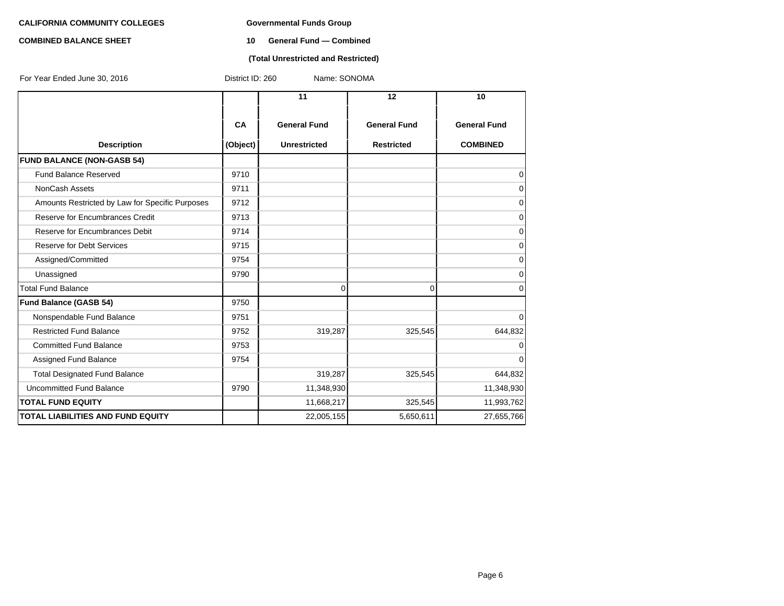# **COMBINED BALANCE SHEET 10 General Fund — Combined**

#### **(Total Unrestricted and Restricted)**

| For Year Ended June 30, 2016                    | Name: SONOMA<br>District ID: 260 |                     |                     |                     |  |  |
|-------------------------------------------------|----------------------------------|---------------------|---------------------|---------------------|--|--|
|                                                 |                                  | 11                  | 12                  | 10                  |  |  |
|                                                 | CA                               | <b>General Fund</b> | <b>General Fund</b> | <b>General Fund</b> |  |  |
| <b>Description</b>                              | (Object)                         | <b>Unrestricted</b> | <b>Restricted</b>   | <b>COMBINED</b>     |  |  |
| <b>FUND BALANCE (NON-GASB 54)</b>               |                                  |                     |                     |                     |  |  |
| <b>Fund Balance Reserved</b>                    | 9710                             |                     |                     | 0                   |  |  |
| NonCash Assets                                  | 9711                             |                     |                     | $\mathbf 0$         |  |  |
| Amounts Restricted by Law for Specific Purposes | 9712                             |                     |                     | $\mathbf 0$         |  |  |
| Reserve for Encumbrances Credit                 | 9713                             |                     |                     | $\mathbf 0$         |  |  |
| Reserve for Encumbrances Debit                  | 9714                             |                     |                     | $\mathbf 0$         |  |  |
| <b>Reserve for Debt Services</b>                | 9715                             |                     |                     | 0                   |  |  |
| Assigned/Committed                              | 9754                             |                     |                     | 0                   |  |  |
| Unassigned                                      | 9790                             |                     |                     | $\mathbf 0$         |  |  |
| <b>Total Fund Balance</b>                       |                                  | 0                   | $\Omega$            | $\Omega$            |  |  |
| <b>Fund Balance (GASB 54)</b>                   | 9750                             |                     |                     |                     |  |  |
| Nonspendable Fund Balance                       | 9751                             |                     |                     | $\mathbf 0$         |  |  |
| <b>Restricted Fund Balance</b>                  | 9752                             | 319,287             | 325,545             | 644,832             |  |  |
| <b>Committed Fund Balance</b>                   | 9753                             |                     |                     | $\mathbf 0$         |  |  |
| Assigned Fund Balance                           | 9754                             |                     |                     | $\mathbf 0$         |  |  |
| <b>Total Designated Fund Balance</b>            |                                  | 319,287             | 325,545             | 644,832             |  |  |
| <b>Uncommitted Fund Balance</b>                 | 9790                             | 11,348,930          |                     | 11,348,930          |  |  |
| <b>TOTAL FUND EQUITY</b>                        |                                  | 11,668,217          | 325,545             | 11,993,762          |  |  |
| <b>TOTAL LIABILITIES AND FUND EQUITY</b>        |                                  | 22,005,155          | 5,650,611           | 27,655,766          |  |  |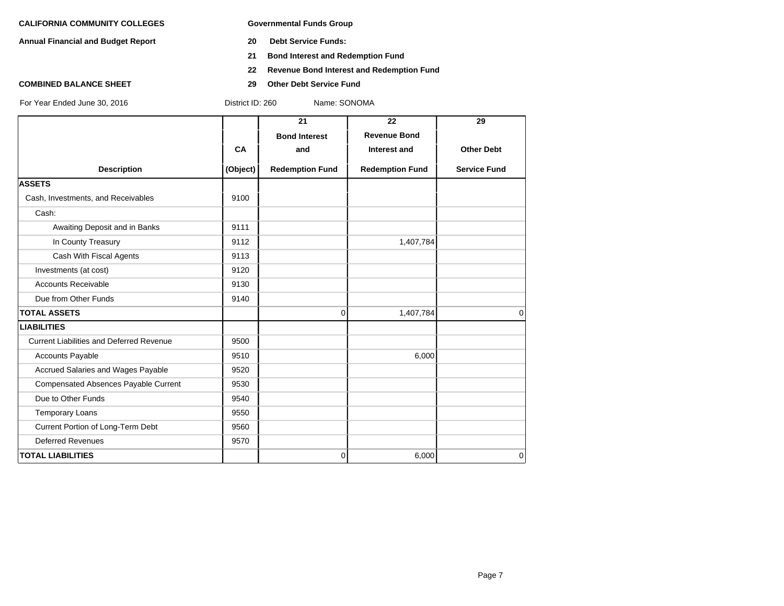**Annual Financial and Budget Report 20 Debt Service Funds:**

- 
- **21 Bond Interest and Redemption Fund**
- **22 Revenue Bond Interest and Redemption Fund**
- 

**COMBINED BALANCE SHEET 29 Other Debt Service Fund**

District ID: 260 Name: SONOMA

|                                                 |          | 21                     | 22                     | 29                  |
|-------------------------------------------------|----------|------------------------|------------------------|---------------------|
|                                                 |          | <b>Bond Interest</b>   | <b>Revenue Bond</b>    |                     |
|                                                 | CA       | and                    | Interest and           | <b>Other Debt</b>   |
| <b>Description</b>                              | (Object) | <b>Redemption Fund</b> | <b>Redemption Fund</b> | <b>Service Fund</b> |
| <b>ASSETS</b>                                   |          |                        |                        |                     |
| Cash, Investments, and Receivables              | 9100     |                        |                        |                     |
| Cash:                                           |          |                        |                        |                     |
| Awaiting Deposit and in Banks                   | 9111     |                        |                        |                     |
| In County Treasury                              | 9112     |                        | 1,407,784              |                     |
| Cash With Fiscal Agents                         | 9113     |                        |                        |                     |
| Investments (at cost)                           | 9120     |                        |                        |                     |
| <b>Accounts Receivable</b>                      | 9130     |                        |                        |                     |
| Due from Other Funds                            | 9140     |                        |                        |                     |
| <b>TOTAL ASSETS</b>                             |          | $\Omega$               | 1,407,784              | $\Omega$            |
| <b>LIABILITIES</b>                              |          |                        |                        |                     |
| <b>Current Liabilities and Deferred Revenue</b> | 9500     |                        |                        |                     |
| <b>Accounts Payable</b>                         | 9510     |                        | 6,000                  |                     |
| Accrued Salaries and Wages Payable              | 9520     |                        |                        |                     |
| <b>Compensated Absences Payable Current</b>     | 9530     |                        |                        |                     |
| Due to Other Funds                              | 9540     |                        |                        |                     |
| <b>Temporary Loans</b>                          | 9550     |                        |                        |                     |
| Current Portion of Long-Term Debt               | 9560     |                        |                        |                     |
| <b>Deferred Revenues</b>                        | 9570     |                        |                        |                     |
| <b>TOTAL LIABILITIES</b>                        |          | $\overline{0}$         | 6,000                  | $\mathbf 0$         |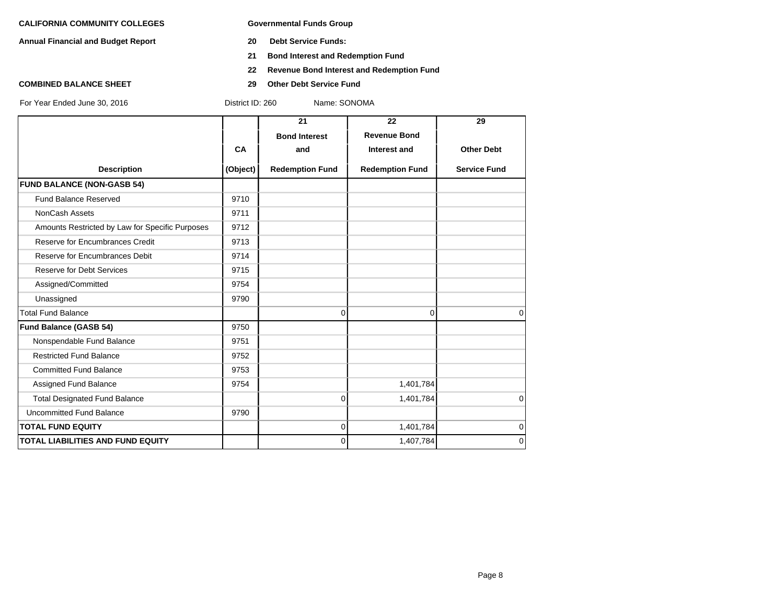**Annual Financial and Budget Report 20 Debt Service Funds:**

- 
- **21 Bond Interest and Redemption Fund**
- **22 Revenue Bond Interest and Redemption Fund**
- **COMBINED BALANCE SHEET 29 Other Debt Service Fund**

|                                                 |           | 21                     | 22                     | 29                  |
|-------------------------------------------------|-----------|------------------------|------------------------|---------------------|
|                                                 |           | <b>Bond Interest</b>   | <b>Revenue Bond</b>    |                     |
|                                                 | <b>CA</b> | and                    | Interest and           | <b>Other Debt</b>   |
| <b>Description</b>                              | (Object)  | <b>Redemption Fund</b> | <b>Redemption Fund</b> | <b>Service Fund</b> |
| <b>FUND BALANCE (NON-GASB 54)</b>               |           |                        |                        |                     |
| <b>Fund Balance Reserved</b>                    | 9710      |                        |                        |                     |
| NonCash Assets                                  | 9711      |                        |                        |                     |
| Amounts Restricted by Law for Specific Purposes | 9712      |                        |                        |                     |
| Reserve for Encumbrances Credit                 | 9713      |                        |                        |                     |
| Reserve for Encumbrances Debit                  | 9714      |                        |                        |                     |
| <b>Reserve for Debt Services</b>                | 9715      |                        |                        |                     |
| Assigned/Committed                              | 9754      |                        |                        |                     |
| Unassigned                                      | 9790      |                        |                        |                     |
| <b>Total Fund Balance</b>                       |           | 0                      | 0                      | $\Omega$            |
| <b>Fund Balance (GASB 54)</b>                   | 9750      |                        |                        |                     |
| Nonspendable Fund Balance                       | 9751      |                        |                        |                     |
| <b>Restricted Fund Balance</b>                  | 9752      |                        |                        |                     |
| <b>Committed Fund Balance</b>                   | 9753      |                        |                        |                     |
| Assigned Fund Balance                           | 9754      |                        | 1,401,784              |                     |
| <b>Total Designated Fund Balance</b>            |           | $\mathbf{0}$           | 1,401,784              | $\mathbf 0$         |
| <b>Uncommitted Fund Balance</b>                 | 9790      |                        |                        |                     |
| <b>TOTAL FUND EQUITY</b>                        |           | 0                      | 1,401,784              | $\mathbf 0$         |
| <b>TOTAL LIABILITIES AND FUND EQUITY</b>        |           | $\Omega$               | 1,407,784              | $\mathbf 0$         |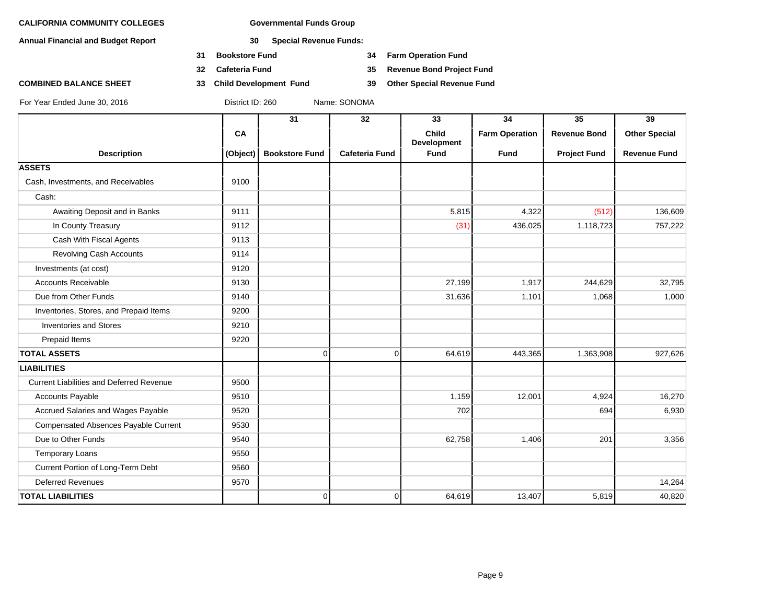**Annual Financial and Budget Report 30 Special Revenue Funds:**

- **31 Bookstore Fund 34 Farm Operation Fund**
- 
- **COMBINED BALANCE SHEET 33 Child Development Fund 39 Other Special Revenue Fund**

**32 Cafeteria Fund 35 Revenue Bond Project Fund**

|                                                 |          | 31                    | 32                    | 33                   | 34                    | 35                  | 39                   |
|-------------------------------------------------|----------|-----------------------|-----------------------|----------------------|-----------------------|---------------------|----------------------|
|                                                 | CA       |                       |                       | Child<br>Development | <b>Farm Operation</b> | <b>Revenue Bond</b> | <b>Other Special</b> |
| <b>Description</b>                              | (Object) | <b>Bookstore Fund</b> | <b>Cafeteria Fund</b> | <b>Fund</b>          | <b>Fund</b>           | <b>Project Fund</b> | <b>Revenue Fund</b>  |
| <b>ASSETS</b>                                   |          |                       |                       |                      |                       |                     |                      |
| Cash, Investments, and Receivables              | 9100     |                       |                       |                      |                       |                     |                      |
| Cash:                                           |          |                       |                       |                      |                       |                     |                      |
| Awaiting Deposit and in Banks                   | 9111     |                       |                       | 5,815                | 4,322                 | (512)               | 136,609              |
| In County Treasury                              | 9112     |                       |                       | (31)                 | 436,025               | 1,118,723           | 757,222              |
| Cash With Fiscal Agents                         | 9113     |                       |                       |                      |                       |                     |                      |
| <b>Revolving Cash Accounts</b>                  | 9114     |                       |                       |                      |                       |                     |                      |
| Investments (at cost)                           | 9120     |                       |                       |                      |                       |                     |                      |
| <b>Accounts Receivable</b>                      | 9130     |                       |                       | 27,199               | 1,917                 | 244,629             | 32,795               |
| Due from Other Funds                            | 9140     |                       |                       | 31,636               | 1,101                 | 1,068               | 1,000                |
| Inventories, Stores, and Prepaid Items          | 9200     |                       |                       |                      |                       |                     |                      |
| <b>Inventories and Stores</b>                   | 9210     |                       |                       |                      |                       |                     |                      |
| Prepaid Items                                   | 9220     |                       |                       |                      |                       |                     |                      |
| <b>TOTAL ASSETS</b>                             |          | 0                     | $\overline{0}$        | 64,619               | 443,365               | 1,363,908           | 927,626              |
| <b>LIABILITIES</b>                              |          |                       |                       |                      |                       |                     |                      |
| <b>Current Liabilities and Deferred Revenue</b> | 9500     |                       |                       |                      |                       |                     |                      |
| <b>Accounts Payable</b>                         | 9510     |                       |                       | 1,159                | 12,001                | 4,924               | 16,270               |
| Accrued Salaries and Wages Payable              | 9520     |                       |                       | 702                  |                       | 694                 | 6,930                |
| Compensated Absences Payable Current            | 9530     |                       |                       |                      |                       |                     |                      |
| Due to Other Funds                              | 9540     |                       |                       | 62,758               | 1,406                 | 201                 | 3,356                |
| <b>Temporary Loans</b>                          | 9550     |                       |                       |                      |                       |                     |                      |
| Current Portion of Long-Term Debt               | 9560     |                       |                       |                      |                       |                     |                      |
| <b>Deferred Revenues</b>                        | 9570     |                       |                       |                      |                       |                     | 14,264               |
| <b>TOTAL LIABILITIES</b>                        |          | 0                     | $\overline{0}$        | 64,619               | 13,407                | 5,819               | 40,820               |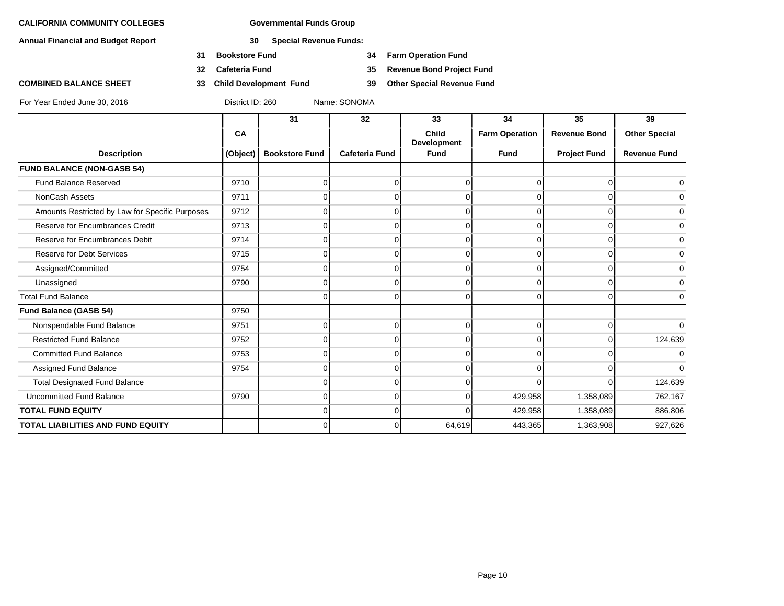**Annual Financial and Budget Report 30 Special Revenue Funds:**

- **31 Bookstore Fund 34 Farm Operation Fund**
- 
- 

**32 Cafeteria Fund 35 Revenue Bond Project Fund**

**COMBINED BALANCE SHEET 33 Child Development Fund 39 Other Special Revenue Fund**

|                                                 |          | 31                    | 32                    | 33                                 | 34                    | 35                  | 39                   |
|-------------------------------------------------|----------|-----------------------|-----------------------|------------------------------------|-----------------------|---------------------|----------------------|
|                                                 | CA       |                       |                       | <b>Child</b><br><b>Development</b> | <b>Farm Operation</b> | <b>Revenue Bond</b> | <b>Other Special</b> |
| <b>Description</b>                              | (Object) | <b>Bookstore Fund</b> | <b>Cafeteria Fund</b> | <b>Fund</b>                        | <b>Fund</b>           | <b>Project Fund</b> | <b>Revenue Fund</b>  |
| <b>FUND BALANCE (NON-GASB 54)</b>               |          |                       |                       |                                    |                       |                     |                      |
| <b>Fund Balance Reserved</b>                    | 9710     |                       | 0                     | U                                  |                       | $\Omega$            | $\Omega$             |
| NonCash Assets                                  | 9711     |                       |                       |                                    |                       |                     | $\overline{0}$       |
| Amounts Restricted by Law for Specific Purposes | 9712     |                       | 0                     | O                                  | <sup>0</sup>          | $\Omega$            | $\overline{0}$       |
| Reserve for Encumbrances Credit                 | 9713     |                       | 0                     | O                                  |                       | $\Omega$            | $\overline{0}$       |
| Reserve for Encumbrances Debit                  | 9714     |                       | n                     |                                    |                       | $\Omega$            | $\overline{0}$       |
| <b>Reserve for Debt Services</b>                | 9715     |                       | 0                     | O                                  |                       | $\Omega$            | $\overline{0}$       |
| Assigned/Committed                              | 9754     |                       | 0                     | ∩                                  |                       | $\Omega$            | $\overline{0}$       |
| Unassigned                                      | 9790     |                       | 0                     |                                    |                       | ∩                   | $\overline{0}$       |
| <b>Total Fund Balance</b>                       |          | U                     | 0                     | $\Omega$                           | $\Omega$              | $\Omega$            | $\overline{0}$       |
| <b>Fund Balance (GASB 54)</b>                   | 9750     |                       |                       |                                    |                       |                     |                      |
| Nonspendable Fund Balance                       | 9751     |                       | 0                     | 0                                  |                       | $\Omega$            | $\overline{0}$       |
| <b>Restricted Fund Balance</b>                  | 9752     |                       | 0                     | ∩                                  |                       | $\Omega$            | 124,639              |
| <b>Committed Fund Balance</b>                   | 9753     |                       | 0                     | $\Omega$                           | $\Omega$              | $\Omega$            | $\overline{0}$       |
| Assigned Fund Balance                           | 9754     |                       | 0                     | O                                  |                       | <sup>n</sup>        | $\Omega$             |
| <b>Total Designated Fund Balance</b>            |          |                       | 0                     | ∩                                  |                       | $\Omega$            | 124,639              |
| <b>Uncommitted Fund Balance</b>                 | 9790     | 0                     | $\Omega$              | $\Omega$                           | 429,958               | 1,358,089           | 762,167              |
| <b>TOTAL FUND EQUITY</b>                        |          | n                     | 0                     | $\Omega$                           | 429,958               | 1,358,089           | 886,806              |
| TOTAL LIABILITIES AND FUND EQUITY               |          | n                     | $\Omega$              | 64,619                             | 443,365               | 1,363,908           | 927,626              |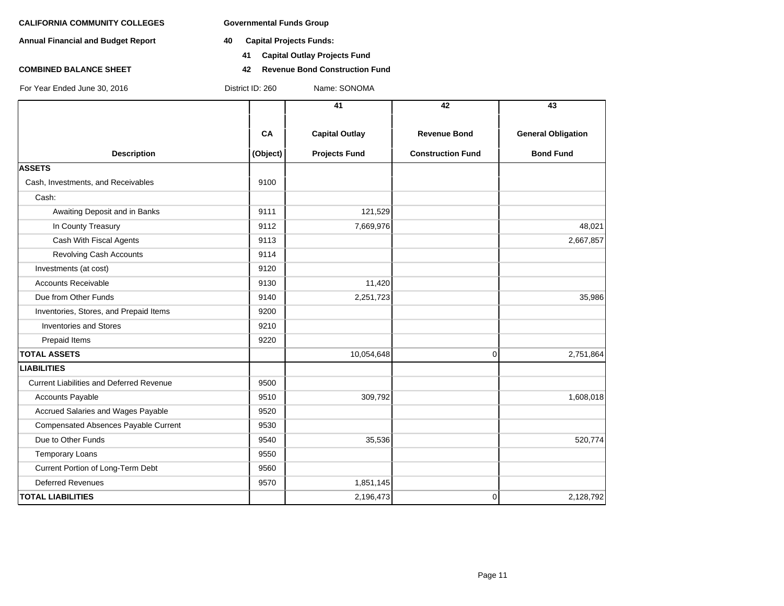**Annual Financial and Budget Report 40 Capital Projects Funds:**

- - **41 Capital Outlay Projects Fund**
- **COMBINED BALANCE SHEET 42 Revenue Bond Construction Fund**

|                                                 |          | 41                    | 42                       | 43                        |
|-------------------------------------------------|----------|-----------------------|--------------------------|---------------------------|
|                                                 | CA       | <b>Capital Outlay</b> | <b>Revenue Bond</b>      | <b>General Obligation</b> |
| <b>Description</b>                              | (Object) | <b>Projects Fund</b>  | <b>Construction Fund</b> | <b>Bond Fund</b>          |
| <b>ASSETS</b>                                   |          |                       |                          |                           |
| Cash, Investments, and Receivables              | 9100     |                       |                          |                           |
| Cash:                                           |          |                       |                          |                           |
| Awaiting Deposit and in Banks                   | 9111     | 121,529               |                          |                           |
| In County Treasury                              | 9112     | 7,669,976             |                          | 48,021                    |
| Cash With Fiscal Agents                         | 9113     |                       |                          | 2,667,857                 |
| <b>Revolving Cash Accounts</b>                  | 9114     |                       |                          |                           |
| Investments (at cost)                           | 9120     |                       |                          |                           |
| <b>Accounts Receivable</b>                      | 9130     | 11,420                |                          |                           |
| Due from Other Funds                            | 9140     | 2,251,723             |                          | 35,986                    |
| Inventories, Stores, and Prepaid Items          | 9200     |                       |                          |                           |
| <b>Inventories and Stores</b>                   | 9210     |                       |                          |                           |
| Prepaid Items                                   | 9220     |                       |                          |                           |
| <b>TOTAL ASSETS</b>                             |          | 10,054,648            | $\mathbf 0$              | 2,751,864                 |
| <b>LIABILITIES</b>                              |          |                       |                          |                           |
| <b>Current Liabilities and Deferred Revenue</b> | 9500     |                       |                          |                           |
| <b>Accounts Payable</b>                         | 9510     | 309,792               |                          | 1,608,018                 |
| Accrued Salaries and Wages Payable              | 9520     |                       |                          |                           |
| Compensated Absences Payable Current            | 9530     |                       |                          |                           |
| Due to Other Funds                              | 9540     | 35,536                |                          | 520,774                   |
| <b>Temporary Loans</b>                          | 9550     |                       |                          |                           |
| Current Portion of Long-Term Debt               | 9560     |                       |                          |                           |
| <b>Deferred Revenues</b>                        | 9570     | 1,851,145             |                          |                           |
| <b>TOTAL LIABILITIES</b>                        |          | 2,196,473             | $\mathbf 0$              | 2,128,792                 |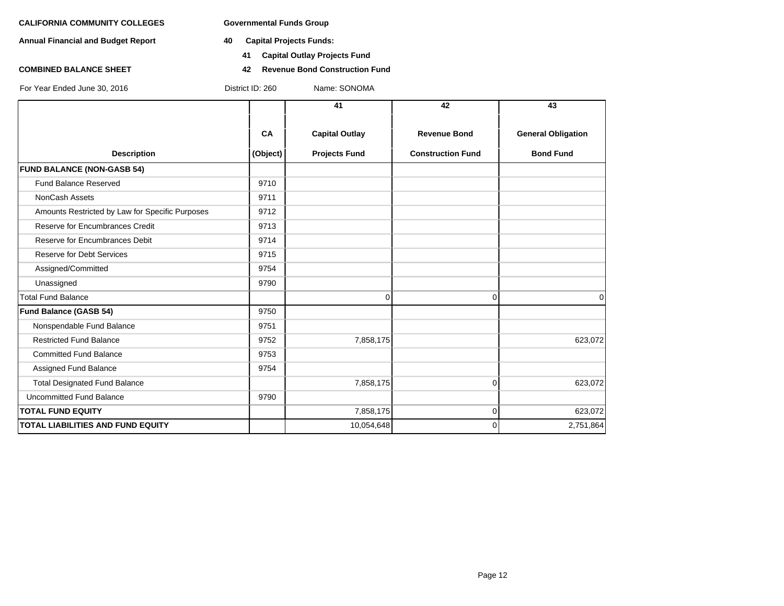**Annual Financial and Budget Report 40 Capital Projects Funds:**

- - **41 Capital Outlay Projects Fund**
- **COMBINED BALANCE SHEET 42 Revenue Bond Construction Fund**

|                                                 |                             | 41                   | 42                       | 43                        |
|-------------------------------------------------|-----------------------------|----------------------|--------------------------|---------------------------|
|                                                 | CA<br><b>Capital Outlay</b> |                      | <b>Revenue Bond</b>      | <b>General Obligation</b> |
| <b>Description</b>                              | (Object)                    | <b>Projects Fund</b> | <b>Construction Fund</b> | <b>Bond Fund</b>          |
| <b>FUND BALANCE (NON-GASB 54)</b>               |                             |                      |                          |                           |
| <b>Fund Balance Reserved</b>                    | 9710                        |                      |                          |                           |
| NonCash Assets                                  | 9711                        |                      |                          |                           |
| Amounts Restricted by Law for Specific Purposes | 9712                        |                      |                          |                           |
| Reserve for Encumbrances Credit                 | 9713                        |                      |                          |                           |
| Reserve for Encumbrances Debit                  | 9714                        |                      |                          |                           |
| <b>Reserve for Debt Services</b>                | 9715                        |                      |                          |                           |
| Assigned/Committed                              | 9754                        |                      |                          |                           |
| Unassigned                                      | 9790                        |                      |                          |                           |
| <b>Total Fund Balance</b>                       |                             | $\Omega$             | $\Omega$                 | $\Omega$                  |
| Fund Balance (GASB 54)                          | 9750                        |                      |                          |                           |
| Nonspendable Fund Balance                       | 9751                        |                      |                          |                           |
| <b>Restricted Fund Balance</b>                  | 9752                        | 7,858,175            |                          | 623,072                   |
| <b>Committed Fund Balance</b>                   | 9753                        |                      |                          |                           |
| Assigned Fund Balance                           | 9754                        |                      |                          |                           |
| <b>Total Designated Fund Balance</b>            |                             | 7,858,175            | $\vert 0 \vert$          | 623,072                   |
| <b>Uncommitted Fund Balance</b>                 | 9790                        |                      |                          |                           |
| <b>TOTAL FUND EQUITY</b>                        |                             | 7,858,175            | $\overline{0}$           | 623,072                   |
| <b>TOTAL LIABILITIES AND FUND EQUITY</b>        |                             | 10,054,648           | $\Omega$                 | 2,751,864                 |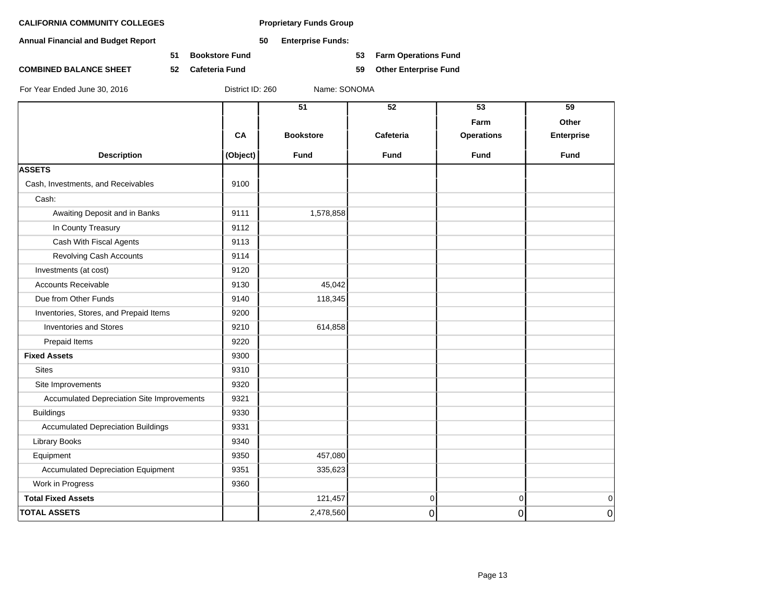**Annual Financial and Budget Report 50 Enterprise Funds:**

**51 Bookstore Fund 53 Farm Operations Fund**

**COMBINED BALANCE SHEET 52 Cafeteria Fund 59 Other Enterprise Fund**

|                                            |          | 51               | 52             | 53                | 59                |
|--------------------------------------------|----------|------------------|----------------|-------------------|-------------------|
|                                            |          |                  |                | Farm              | Other             |
|                                            | CA       | <b>Bookstore</b> | Cafeteria      | <b>Operations</b> | <b>Enterprise</b> |
| <b>Description</b>                         | (Object) | Fund             | <b>Fund</b>    | <b>Fund</b>       | Fund              |
| <b>ASSETS</b>                              |          |                  |                |                   |                   |
| Cash, Investments, and Receivables         | 9100     |                  |                |                   |                   |
| Cash:                                      |          |                  |                |                   |                   |
| Awaiting Deposit and in Banks              | 9111     | 1,578,858        |                |                   |                   |
| In County Treasury                         | 9112     |                  |                |                   |                   |
| Cash With Fiscal Agents                    | 9113     |                  |                |                   |                   |
| <b>Revolving Cash Accounts</b>             | 9114     |                  |                |                   |                   |
| Investments (at cost)                      | 9120     |                  |                |                   |                   |
| <b>Accounts Receivable</b>                 | 9130     | 45,042           |                |                   |                   |
| Due from Other Funds                       | 9140     | 118,345          |                |                   |                   |
| Inventories, Stores, and Prepaid Items     | 9200     |                  |                |                   |                   |
| <b>Inventories and Stores</b>              | 9210     | 614,858          |                |                   |                   |
| Prepaid Items                              | 9220     |                  |                |                   |                   |
| <b>Fixed Assets</b>                        | 9300     |                  |                |                   |                   |
| <b>Sites</b>                               | 9310     |                  |                |                   |                   |
| Site Improvements                          | 9320     |                  |                |                   |                   |
| Accumulated Depreciation Site Improvements | 9321     |                  |                |                   |                   |
| <b>Buildings</b>                           | 9330     |                  |                |                   |                   |
| <b>Accumulated Depreciation Buildings</b>  | 9331     |                  |                |                   |                   |
| <b>Library Books</b>                       | 9340     |                  |                |                   |                   |
| Equipment                                  | 9350     | 457,080          |                |                   |                   |
| <b>Accumulated Depreciation Equipment</b>  | 9351     | 335,623          |                |                   |                   |
| Work in Progress                           | 9360     |                  |                |                   |                   |
| <b>Total Fixed Assets</b>                  |          | 121,457          | $\overline{0}$ | 0                 | 0                 |
| <b>TOTAL ASSETS</b>                        |          | 2,478,560        | $\overline{0}$ | 0                 | $\mathbf 0$       |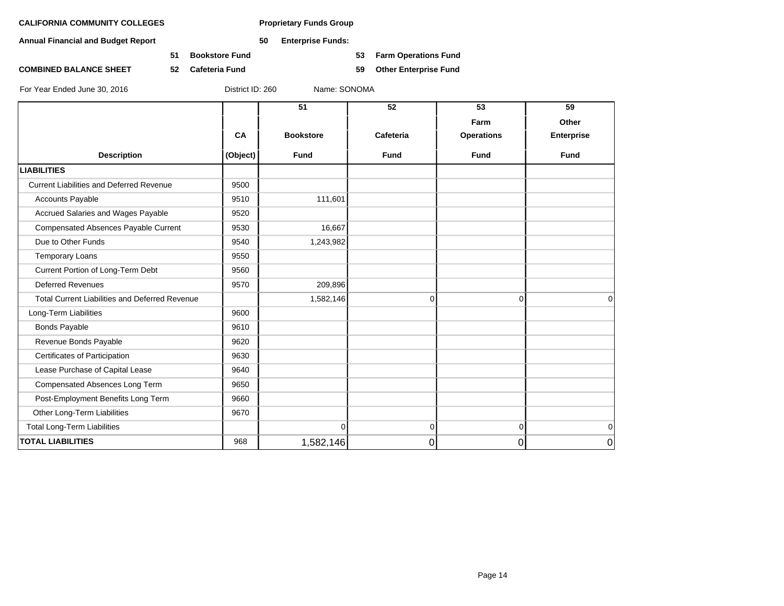**Annual Financial and Budget Report 50 Enterprise Funds:**

**51 Bookstore Fund 53 Farm Operations Fund**

**COMBINED BALANCE SHEET 52 Cafeteria Fund 59 Other Enterprise Fund**

|                                                       |          | 51               | 52          | 53                | 59          |
|-------------------------------------------------------|----------|------------------|-------------|-------------------|-------------|
|                                                       |          |                  |             | Farm              | Other       |
|                                                       | CA       | <b>Bookstore</b> | Cafeteria   | <b>Operations</b> | Enterprise  |
| <b>Description</b>                                    | (Object) | <b>Fund</b>      | <b>Fund</b> | Fund              | <b>Fund</b> |
| <b>LIABILITIES</b>                                    |          |                  |             |                   |             |
| <b>Current Liabilities and Deferred Revenue</b>       | 9500     |                  |             |                   |             |
| <b>Accounts Payable</b>                               | 9510     | 111,601          |             |                   |             |
| Accrued Salaries and Wages Payable                    | 9520     |                  |             |                   |             |
| <b>Compensated Absences Payable Current</b>           | 9530     | 16,667           |             |                   |             |
| Due to Other Funds                                    | 9540     | 1,243,982        |             |                   |             |
| <b>Temporary Loans</b>                                | 9550     |                  |             |                   |             |
| Current Portion of Long-Term Debt                     | 9560     |                  |             |                   |             |
| <b>Deferred Revenues</b>                              | 9570     | 209,896          |             |                   |             |
| <b>Total Current Liabilities and Deferred Revenue</b> |          | 1,582,146        | $\Omega$    | $\overline{0}$    | 0           |
| Long-Term Liabilities                                 | 9600     |                  |             |                   |             |
| <b>Bonds Payable</b>                                  | 9610     |                  |             |                   |             |
| Revenue Bonds Payable                                 | 9620     |                  |             |                   |             |
| Certificates of Participation                         | 9630     |                  |             |                   |             |
| Lease Purchase of Capital Lease                       | 9640     |                  |             |                   |             |
| Compensated Absences Long Term                        | 9650     |                  |             |                   |             |
| Post-Employment Benefits Long Term                    | 9660     |                  |             |                   |             |
| Other Long-Term Liabilities                           | 9670     |                  |             |                   |             |
| <b>Total Long-Term Liabilities</b>                    |          | $\Omega$         | $\Omega$    | $\overline{0}$    | $\mathbf 0$ |
| <b>TOTAL LIABILITIES</b>                              | 968      | 1,582,146        | 0           | $\overline{0}$    | 0           |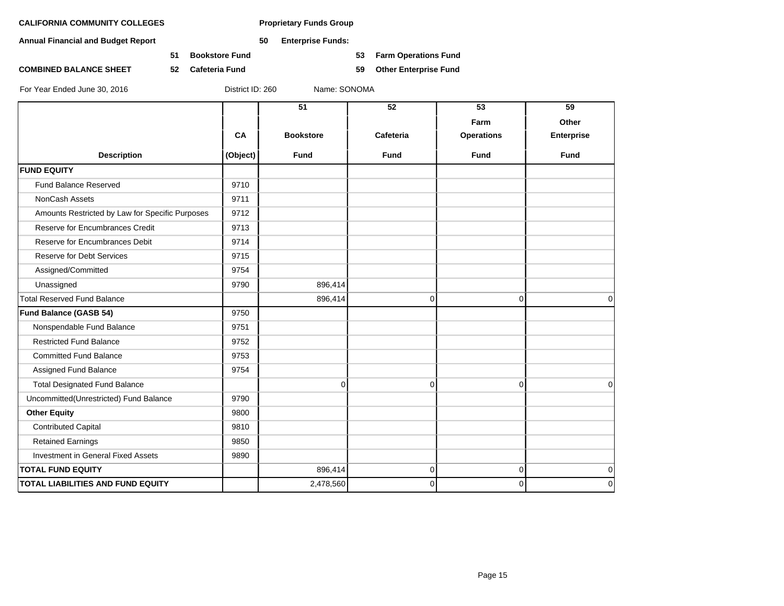**Annual Financial and Budget Report 50 Enterprise Funds:**

**51 Bookstore Fund 53 Farm Operations Fund**

**COMBINED BALANCE SHEET 52 Cafeteria Fund 59 Other Enterprise Fund**

|  | For Year Ended June 30, 2016 |  |  |  |  |
|--|------------------------------|--|--|--|--|
|--|------------------------------|--|--|--|--|

District ID: 260 Name: SONOMA

|                                                 |          | 51               | 52          | 53                        | 59                         |
|-------------------------------------------------|----------|------------------|-------------|---------------------------|----------------------------|
|                                                 | CA       | <b>Bookstore</b> | Cafeteria   | Farm<br><b>Operations</b> | Other<br><b>Enterprise</b> |
| <b>Description</b>                              | (Object) | <b>Fund</b>      | <b>Fund</b> | <b>Fund</b>               | <b>Fund</b>                |
| <b>FUND EQUITY</b>                              |          |                  |             |                           |                            |
| <b>Fund Balance Reserved</b>                    | 9710     |                  |             |                           |                            |
| NonCash Assets                                  | 9711     |                  |             |                           |                            |
| Amounts Restricted by Law for Specific Purposes | 9712     |                  |             |                           |                            |
| Reserve for Encumbrances Credit                 | 9713     |                  |             |                           |                            |
| Reserve for Encumbrances Debit                  | 9714     |                  |             |                           |                            |
| <b>Reserve for Debt Services</b>                | 9715     |                  |             |                           |                            |
| Assigned/Committed                              | 9754     |                  |             |                           |                            |
| Unassigned                                      | 9790     | 896,414          |             |                           |                            |
| <b>Total Reserved Fund Balance</b>              |          | 896,414          | 0           | 0                         | $\Omega$                   |
| Fund Balance (GASB 54)                          | 9750     |                  |             |                           |                            |
| Nonspendable Fund Balance                       | 9751     |                  |             |                           |                            |
| <b>Restricted Fund Balance</b>                  | 9752     |                  |             |                           |                            |
| <b>Committed Fund Balance</b>                   | 9753     |                  |             |                           |                            |
| Assigned Fund Balance                           | 9754     |                  |             |                           |                            |
| <b>Total Designated Fund Balance</b>            |          | $\Omega$         | $\Omega$    | $\mathbf{0}$              | $\Omega$                   |
| Uncommitted(Unrestricted) Fund Balance          | 9790     |                  |             |                           |                            |
| <b>Other Equity</b>                             | 9800     |                  |             |                           |                            |
| <b>Contributed Capital</b>                      | 9810     |                  |             |                           |                            |
| <b>Retained Earnings</b>                        | 9850     |                  |             |                           |                            |
| Investment in General Fixed Assets              | 9890     |                  |             |                           |                            |
| <b>TOTAL FUND EQUITY</b>                        |          | 896,414          | $\Omega$    | 0                         | $\mathbf 0$                |
| TOTAL LIABILITIES AND FUND EQUITY               |          | 2,478,560        | $\Omega$    | 0                         | $\mathbf 0$                |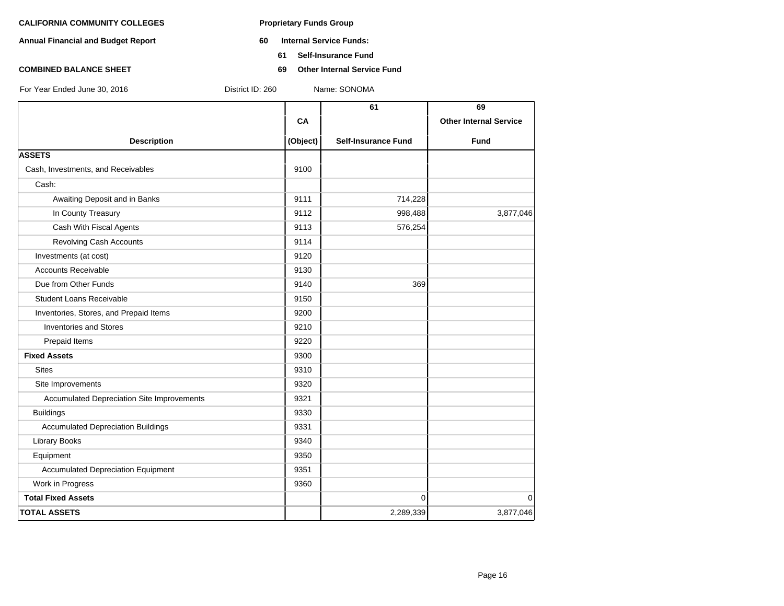- **Annual Financial and Budget Report 60 Internal Service Funds:**
	- **61 Self-Insurance Fund**
- **COMBINED BALANCE SHEET 69 Other Internal Service Fund**

|                                            |          | 61                         | 69                            |
|--------------------------------------------|----------|----------------------------|-------------------------------|
|                                            | CA       |                            | <b>Other Internal Service</b> |
| <b>Description</b>                         | (Object) | <b>Self-Insurance Fund</b> | <b>Fund</b>                   |
| <b>ASSETS</b>                              |          |                            |                               |
| Cash, Investments, and Receivables         | 9100     |                            |                               |
| Cash:                                      |          |                            |                               |
| Awaiting Deposit and in Banks              | 9111     | 714,228                    |                               |
| In County Treasury                         | 9112     | 998,488                    | 3,877,046                     |
| Cash With Fiscal Agents                    | 9113     | 576,254                    |                               |
| <b>Revolving Cash Accounts</b>             | 9114     |                            |                               |
| Investments (at cost)                      | 9120     |                            |                               |
| <b>Accounts Receivable</b>                 | 9130     |                            |                               |
| Due from Other Funds                       | 9140     | 369                        |                               |
| <b>Student Loans Receivable</b>            | 9150     |                            |                               |
| Inventories, Stores, and Prepaid Items     | 9200     |                            |                               |
| <b>Inventories and Stores</b>              | 9210     |                            |                               |
| Prepaid Items                              | 9220     |                            |                               |
| <b>Fixed Assets</b>                        | 9300     |                            |                               |
| <b>Sites</b>                               | 9310     |                            |                               |
| Site Improvements                          | 9320     |                            |                               |
| Accumulated Depreciation Site Improvements | 9321     |                            |                               |
| <b>Buildings</b>                           | 9330     |                            |                               |
| <b>Accumulated Depreciation Buildings</b>  | 9331     |                            |                               |
| <b>Library Books</b>                       | 9340     |                            |                               |
| Equipment                                  | 9350     |                            |                               |
| <b>Accumulated Depreciation Equipment</b>  | 9351     |                            |                               |
| Work in Progress                           | 9360     |                            |                               |
| <b>Total Fixed Assets</b>                  |          | $\Omega$                   | $\mathbf 0$                   |
| <b>TOTAL ASSETS</b>                        |          | 2,289,339                  | 3,877,046                     |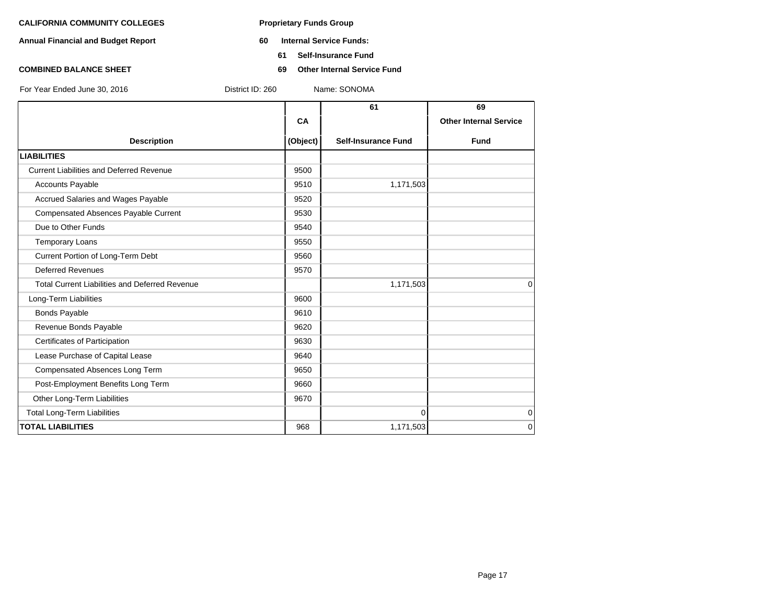- **Annual Financial and Budget Report 60 Internal Service Funds:**
	- **61 Self-Insurance Fund**
- **COMBINED BALANCE SHEET 69 Other Internal Service Fund**

**61 69 CA I Other Internal Service Description (Object) Self-Insurance Fund Fund LIABILITIES** Current Liabilities and Deferred Revenue **12000** 9500 Accounts Payable 2012 1,171,503 Accrued Salaries and Wages Payable **19520** 9520 Compensated Absences Payable Current 19530 Due to Other Funds 8540 Temporary Loans 80 and 19550 Current Portion of Long-Term Debt 9560 Deferred Revenues 2570 Total Current Liabilities and Deferred Revenue 1,171,503 0 Long-Term Liabilities **19600 19600** Bonds Payable 9610 Revenue Bonds Payable 9620 Certificates of Participation 8630 Lease Purchase of Capital Lease 9640 Compensated Absences Long Term 9650 Post-Employment Benefits Long Term **19660** 9660 Other Long-Term Liabilities 9670 Total Long-Term Liabilities 0 0 For Year Ended June 30, 2016 District ID: 260 Name: SONOMA

**TOTAL LIABILITIES** 968 1,171,503 0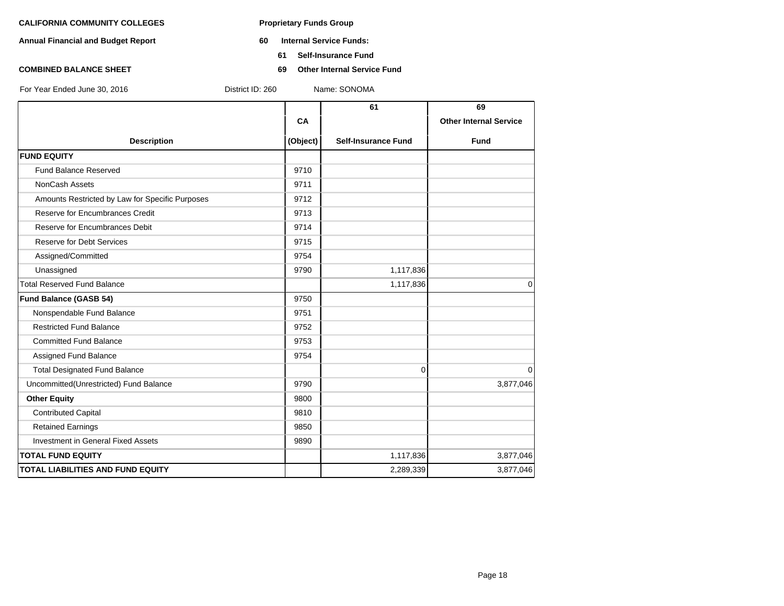- **Annual Financial and Budget Report 60 Internal Service Funds:**
	- **61 Self-Insurance Fund**
- **COMBINED BALANCE SHEET 69 Other Internal Service Fund**

| For Year Fnded June 30, 2016 |  |  |
|------------------------------|--|--|

|                                                 |          | 61                         | 69                            |
|-------------------------------------------------|----------|----------------------------|-------------------------------|
|                                                 | CA       |                            | <b>Other Internal Service</b> |
| <b>Description</b>                              | (Object) | <b>Self-Insurance Fund</b> | <b>Fund</b>                   |
| <b>FUND EQUITY</b>                              |          |                            |                               |
| <b>Fund Balance Reserved</b>                    | 9710     |                            |                               |
| <b>NonCash Assets</b>                           | 9711     |                            |                               |
| Amounts Restricted by Law for Specific Purposes | 9712     |                            |                               |
| Reserve for Encumbrances Credit                 | 9713     |                            |                               |
| Reserve for Encumbrances Debit                  | 9714     |                            |                               |
| <b>Reserve for Debt Services</b>                | 9715     |                            |                               |
| Assigned/Committed                              | 9754     |                            |                               |
| Unassigned                                      | 9790     | 1,117,836                  |                               |
| <b>Total Reserved Fund Balance</b>              |          | 1,117,836                  | $\mathbf 0$                   |
| Fund Balance (GASB 54)                          | 9750     |                            |                               |
| Nonspendable Fund Balance                       | 9751     |                            |                               |
| <b>Restricted Fund Balance</b>                  | 9752     |                            |                               |
| <b>Committed Fund Balance</b>                   | 9753     |                            |                               |
| Assigned Fund Balance                           | 9754     |                            |                               |
| <b>Total Designated Fund Balance</b>            |          | 0                          | $\mathbf 0$                   |
| Uncommitted(Unrestricted) Fund Balance          | 9790     |                            | 3,877,046                     |
| <b>Other Equity</b>                             | 9800     |                            |                               |
| <b>Contributed Capital</b>                      | 9810     |                            |                               |
| <b>Retained Earnings</b>                        | 9850     |                            |                               |
| <b>Investment in General Fixed Assets</b>       | 9890     |                            |                               |
| <b>TOTAL FUND EQUITY</b>                        |          | 1,117,836                  | 3,877,046                     |
| TOTAL LIABILITIES AND FUND EQUITY               |          | 2,289,339                  | 3,877,046                     |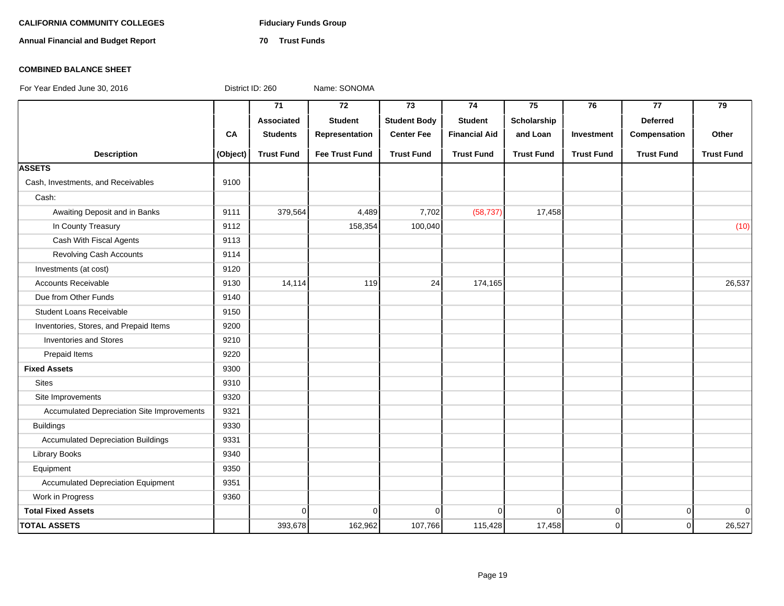# **CALIFORNIA COMMUNITY COLLEGES Fiduciary Funds Group**

**Annual Financial and Budget Report 70 Trust Funds**

### **COMBINED BALANCE SHEET**

|                                                   |          | 71                | $\overline{72}$       | $\overline{73}$     | 74                   | 75                | 76                | 77                | 79                |
|---------------------------------------------------|----------|-------------------|-----------------------|---------------------|----------------------|-------------------|-------------------|-------------------|-------------------|
|                                                   |          | <b>Associated</b> | <b>Student</b>        | <b>Student Body</b> | <b>Student</b>       | Scholarship       |                   | <b>Deferred</b>   |                   |
|                                                   | CA       | <b>Students</b>   | Representation        | <b>Center Fee</b>   | <b>Financial Aid</b> | and Loan          | Investment        | Compensation      | Other             |
| <b>Description</b>                                | (Object) | <b>Trust Fund</b> | <b>Fee Trust Fund</b> | <b>Trust Fund</b>   | <b>Trust Fund</b>    | <b>Trust Fund</b> | <b>Trust Fund</b> | <b>Trust Fund</b> | <b>Trust Fund</b> |
| <b>ASSETS</b>                                     |          |                   |                       |                     |                      |                   |                   |                   |                   |
| Cash, Investments, and Receivables                | 9100     |                   |                       |                     |                      |                   |                   |                   |                   |
| Cash:                                             |          |                   |                       |                     |                      |                   |                   |                   |                   |
| Awaiting Deposit and in Banks                     | 9111     | 379,564           | 4,489                 | 7,702               | (58, 737)            | 17,458            |                   |                   |                   |
| In County Treasury                                | 9112     |                   | 158,354               | 100,040             |                      |                   |                   |                   | (10)              |
| Cash With Fiscal Agents                           | 9113     |                   |                       |                     |                      |                   |                   |                   |                   |
| <b>Revolving Cash Accounts</b>                    | 9114     |                   |                       |                     |                      |                   |                   |                   |                   |
| Investments (at cost)                             | 9120     |                   |                       |                     |                      |                   |                   |                   |                   |
| <b>Accounts Receivable</b>                        | 9130     | 14,114            | 119                   | 24                  | 174,165              |                   |                   |                   | 26,537            |
| Due from Other Funds                              | 9140     |                   |                       |                     |                      |                   |                   |                   |                   |
| <b>Student Loans Receivable</b>                   | 9150     |                   |                       |                     |                      |                   |                   |                   |                   |
| Inventories, Stores, and Prepaid Items            | 9200     |                   |                       |                     |                      |                   |                   |                   |                   |
| <b>Inventories and Stores</b>                     | 9210     |                   |                       |                     |                      |                   |                   |                   |                   |
| Prepaid Items                                     | 9220     |                   |                       |                     |                      |                   |                   |                   |                   |
| <b>Fixed Assets</b>                               | 9300     |                   |                       |                     |                      |                   |                   |                   |                   |
| <b>Sites</b>                                      | 9310     |                   |                       |                     |                      |                   |                   |                   |                   |
| Site Improvements                                 | 9320     |                   |                       |                     |                      |                   |                   |                   |                   |
| <b>Accumulated Depreciation Site Improvements</b> | 9321     |                   |                       |                     |                      |                   |                   |                   |                   |
| <b>Buildings</b>                                  | 9330     |                   |                       |                     |                      |                   |                   |                   |                   |
| <b>Accumulated Depreciation Buildings</b>         | 9331     |                   |                       |                     |                      |                   |                   |                   |                   |
| <b>Library Books</b>                              | 9340     |                   |                       |                     |                      |                   |                   |                   |                   |
| Equipment                                         | 9350     |                   |                       |                     |                      |                   |                   |                   |                   |
| <b>Accumulated Depreciation Equipment</b>         | 9351     |                   |                       |                     |                      |                   |                   |                   |                   |
| Work in Progress                                  | 9360     |                   |                       |                     |                      |                   |                   |                   |                   |
| <b>Total Fixed Assets</b>                         |          | $\Omega$          | $\Omega$              | $\Omega$            | $\mathbf{0}$         | $\Omega$          | $\mathbf 0$       | $\overline{0}$    | $\overline{0}$    |
| <b>TOTAL ASSETS</b>                               |          | 393,678           | 162,962               | 107,766             | 115,428              | 17,458            | $\mathbf 0$       | $\overline{0}$    | 26,527            |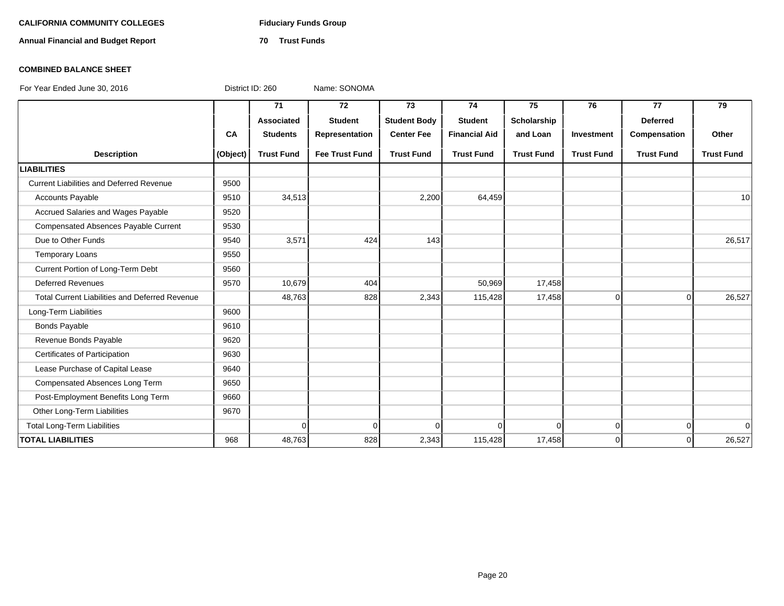# **CALIFORNIA COMMUNITY COLLEGES Fiduciary Funds Group**

**Annual Financial and Budget Report 70 Trust Funds**

### **COMBINED BALANCE SHEET**

|                                                       |           | 71                | 72                    | 73                  | 74                   | 75                | 76                | 77                | 79                |
|-------------------------------------------------------|-----------|-------------------|-----------------------|---------------------|----------------------|-------------------|-------------------|-------------------|-------------------|
|                                                       |           | Associated        | <b>Student</b>        | <b>Student Body</b> | <b>Student</b>       | Scholarship       |                   | <b>Deferred</b>   |                   |
|                                                       | <b>CA</b> | <b>Students</b>   | Representation        | <b>Center Fee</b>   | <b>Financial Aid</b> | and Loan          | Investment        | Compensation      | Other             |
| <b>Description</b>                                    | (Object)  | <b>Trust Fund</b> | <b>Fee Trust Fund</b> | <b>Trust Fund</b>   | <b>Trust Fund</b>    | <b>Trust Fund</b> | <b>Trust Fund</b> | <b>Trust Fund</b> | <b>Trust Fund</b> |
| <b>LIABILITIES</b>                                    |           |                   |                       |                     |                      |                   |                   |                   |                   |
| <b>Current Liabilities and Deferred Revenue</b>       | 9500      |                   |                       |                     |                      |                   |                   |                   |                   |
| <b>Accounts Payable</b>                               | 9510      | 34,513            |                       | 2,200               | 64,459               |                   |                   |                   | 10                |
| Accrued Salaries and Wages Payable                    | 9520      |                   |                       |                     |                      |                   |                   |                   |                   |
| <b>Compensated Absences Payable Current</b>           | 9530      |                   |                       |                     |                      |                   |                   |                   |                   |
| Due to Other Funds                                    | 9540      | 3,571             | 424                   | 143                 |                      |                   |                   |                   | 26,517            |
| <b>Temporary Loans</b>                                | 9550      |                   |                       |                     |                      |                   |                   |                   |                   |
| Current Portion of Long-Term Debt                     | 9560      |                   |                       |                     |                      |                   |                   |                   |                   |
| <b>Deferred Revenues</b>                              | 9570      | 10,679            | 404                   |                     | 50,969               | 17,458            |                   |                   |                   |
| <b>Total Current Liabilities and Deferred Revenue</b> |           | 48,763            | 828                   | 2,343               | 115,428              | 17,458            | $\Omega$          | $\Omega$          | 26,527            |
| Long-Term Liabilities                                 | 9600      |                   |                       |                     |                      |                   |                   |                   |                   |
| <b>Bonds Payable</b>                                  | 9610      |                   |                       |                     |                      |                   |                   |                   |                   |
| Revenue Bonds Payable                                 | 9620      |                   |                       |                     |                      |                   |                   |                   |                   |
| Certificates of Participation                         | 9630      |                   |                       |                     |                      |                   |                   |                   |                   |
| Lease Purchase of Capital Lease                       | 9640      |                   |                       |                     |                      |                   |                   |                   |                   |
| Compensated Absences Long Term                        | 9650      |                   |                       |                     |                      |                   |                   |                   |                   |
| Post-Employment Benefits Long Term                    | 9660      |                   |                       |                     |                      |                   |                   |                   |                   |
| Other Long-Term Liabilities                           | 9670      |                   |                       |                     |                      |                   |                   |                   |                   |
| <b>Total Long-Term Liabilities</b>                    |           | $\Omega$          | $\Omega$              | $\Omega$            | $\Omega$             | 0                 | $\overline{0}$    | $\overline{0}$    | $\Omega$          |
| <b>TOTAL LIABILITIES</b>                              | 968       | 48,763            | 828                   | 2,343               | 115,428              | 17,458            | $\Omega$          | $\Omega$          | 26,527            |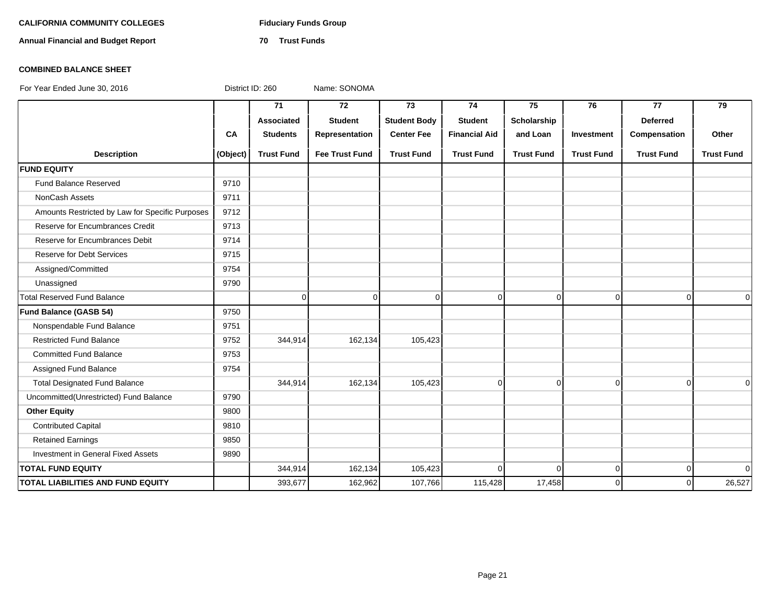# **CALIFORNIA COMMUNITY COLLEGES Fiduciary Funds Group**

**Annual Financial and Budget Report 70 Trust Funds**

### **COMBINED BALANCE SHEET**

|                                                 |          | 71                | $\overline{72}$       | $\overline{73}$     | 74                   | 75                | 76                | $\overline{77}$   | $\overline{79}$   |
|-------------------------------------------------|----------|-------------------|-----------------------|---------------------|----------------------|-------------------|-------------------|-------------------|-------------------|
|                                                 |          | Associated        | <b>Student</b>        | <b>Student Body</b> | <b>Student</b>       | Scholarship       |                   | <b>Deferred</b>   |                   |
|                                                 | CA       | <b>Students</b>   | Representation        | <b>Center Fee</b>   | <b>Financial Aid</b> | and Loan          | Investment        | Compensation      | Other             |
| <b>Description</b>                              | (Object) | <b>Trust Fund</b> | <b>Fee Trust Fund</b> | <b>Trust Fund</b>   | <b>Trust Fund</b>    | <b>Trust Fund</b> | <b>Trust Fund</b> | <b>Trust Fund</b> | <b>Trust Fund</b> |
| <b>FUND EQUITY</b>                              |          |                   |                       |                     |                      |                   |                   |                   |                   |
| Fund Balance Reserved                           | 9710     |                   |                       |                     |                      |                   |                   |                   |                   |
| <b>NonCash Assets</b>                           | 9711     |                   |                       |                     |                      |                   |                   |                   |                   |
| Amounts Restricted by Law for Specific Purposes | 9712     |                   |                       |                     |                      |                   |                   |                   |                   |
| Reserve for Encumbrances Credit                 | 9713     |                   |                       |                     |                      |                   |                   |                   |                   |
| Reserve for Encumbrances Debit                  | 9714     |                   |                       |                     |                      |                   |                   |                   |                   |
| <b>Reserve for Debt Services</b>                | 9715     |                   |                       |                     |                      |                   |                   |                   |                   |
| Assigned/Committed                              | 9754     |                   |                       |                     |                      |                   |                   |                   |                   |
| Unassigned                                      | 9790     |                   |                       |                     |                      |                   |                   |                   |                   |
| <b>Total Reserved Fund Balance</b>              |          | $\mathbf 0$       | $\Omega$              | $\Omega$            | $\Omega$             | $\mathbf 0$       | $\mathbf 0$       | $\Omega$          | $\Omega$          |
| Fund Balance (GASB 54)                          | 9750     |                   |                       |                     |                      |                   |                   |                   |                   |
| Nonspendable Fund Balance                       | 9751     |                   |                       |                     |                      |                   |                   |                   |                   |
| <b>Restricted Fund Balance</b>                  | 9752     | 344,914           | 162,134               | 105,423             |                      |                   |                   |                   |                   |
| <b>Committed Fund Balance</b>                   | 9753     |                   |                       |                     |                      |                   |                   |                   |                   |
| Assigned Fund Balance                           | 9754     |                   |                       |                     |                      |                   |                   |                   |                   |
| <b>Total Designated Fund Balance</b>            |          | 344,914           | 162,134               | 105,423             | $\mathbf 0$          | $\mathbf 0$       | $\mathbf 0$       | $\Omega$          | $\Omega$          |
| Uncommitted(Unrestricted) Fund Balance          | 9790     |                   |                       |                     |                      |                   |                   |                   |                   |
| <b>Other Equity</b>                             | 9800     |                   |                       |                     |                      |                   |                   |                   |                   |
| <b>Contributed Capital</b>                      | 9810     |                   |                       |                     |                      |                   |                   |                   |                   |
| <b>Retained Earnings</b>                        | 9850     |                   |                       |                     |                      |                   |                   |                   |                   |
| Investment in General Fixed Assets              | 9890     |                   |                       |                     |                      |                   |                   |                   |                   |
| <b>TOTAL FUND EQUITY</b>                        |          | 344,914           | 162,134               | 105,423             | $\Omega$             | $\Omega$          | $\mathbf 0$       | $\Omega$          | 0                 |
| <b>TOTAL LIABILITIES AND FUND EQUITY</b>        |          | 393,677           | 162,962               | 107,766             | 115,428              | 17,458            | $\Omega$          | $\Omega$          | 26,527            |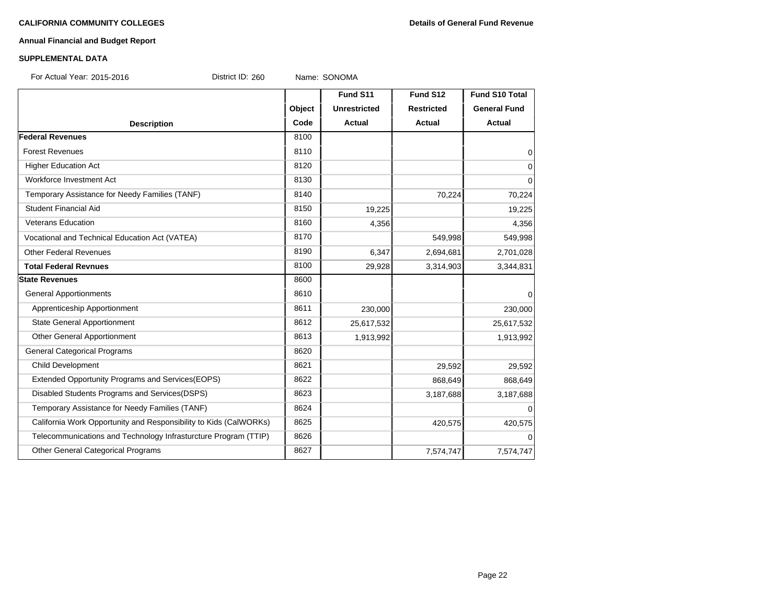# **Annual Financial and Budget Report**

### **SUPPLEMENTAL DATA**

For Actual Year: 2015-2016 **District ID: 260** Name: SONOMA

|                                                                   |        | Fund S11            | Fund S12          | <b>Fund S10 Total</b> |
|-------------------------------------------------------------------|--------|---------------------|-------------------|-----------------------|
|                                                                   | Object | <b>Unrestricted</b> | <b>Restricted</b> | <b>General Fund</b>   |
| <b>Description</b>                                                | Code   | <b>Actual</b>       | Actual            | <b>Actual</b>         |
| <b>Federal Revenues</b>                                           | 8100   |                     |                   |                       |
| <b>Forest Revenues</b>                                            | 8110   |                     |                   | $\overline{0}$        |
| <b>Higher Education Act</b>                                       | 8120   |                     |                   | $\overline{0}$        |
| Workforce Investment Act                                          | 8130   |                     |                   | $\mathbf 0$           |
| Temporary Assistance for Needy Families (TANF)                    | 8140   |                     | 70,224            | 70,224                |
| <b>Student Financial Aid</b>                                      | 8150   | 19,225              |                   | 19,225                |
| <b>Veterans Education</b>                                         | 8160   | 4,356               |                   | 4,356                 |
| Vocational and Technical Education Act (VATEA)                    | 8170   |                     | 549,998           | 549,998               |
| <b>Other Federal Revenues</b>                                     | 8190   | 6,347               | 2,694,681         | 2,701,028             |
| <b>Total Federal Revnues</b>                                      | 8100   | 29,928              | 3,314,903         | 3,344,831             |
| <b>State Revenues</b>                                             | 8600   |                     |                   |                       |
| <b>General Apportionments</b>                                     | 8610   |                     |                   | $\overline{0}$        |
| Apprenticeship Apportionment                                      | 8611   | 230,000             |                   | 230,000               |
| <b>State General Apportionment</b>                                | 8612   | 25,617,532          |                   | 25,617,532            |
| Other General Apportionment                                       | 8613   | 1,913,992           |                   | 1,913,992             |
| <b>General Categorical Programs</b>                               | 8620   |                     |                   |                       |
| Child Development                                                 | 8621   |                     | 29,592            | 29,592                |
| Extended Opportunity Programs and Services(EOPS)                  | 8622   |                     | 868,649           | 868,649               |
| Disabled Students Programs and Services(DSPS)                     | 8623   |                     | 3,187,688         | 3,187,688             |
| Temporary Assistance for Needy Families (TANF)                    | 8624   |                     |                   | $\Omega$              |
| California Work Opportunity and Responsibility to Kids (CalWORKs) | 8625   |                     | 420,575           | 420,575               |
| Telecommunications and Technology Infrasturcture Program (TTIP)   | 8626   |                     |                   | $\Omega$              |
| Other General Categorical Programs                                | 8627   |                     | 7,574,747         | 7,574,747             |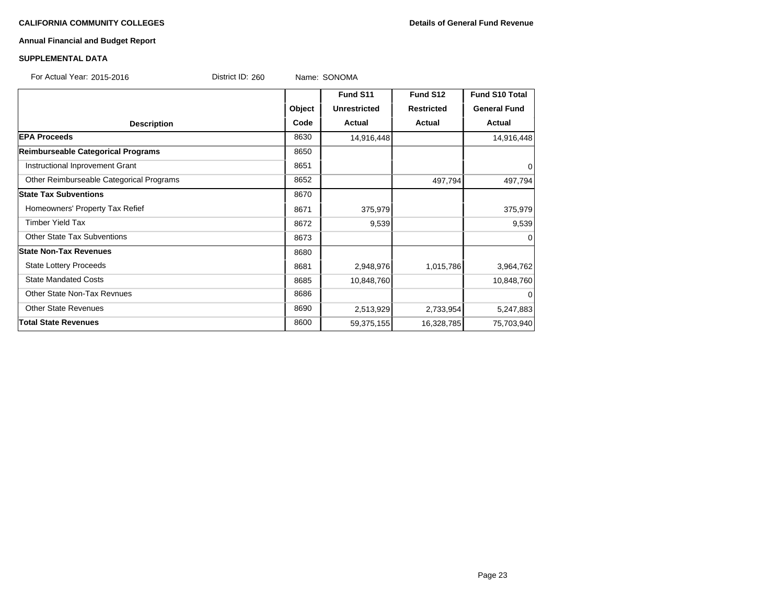# **Annual Financial and Budget Report**

| <b>SUPPLEMENTAL DATA</b>                 |                  |        |                     |                   |                     |
|------------------------------------------|------------------|--------|---------------------|-------------------|---------------------|
| For Actual Year: 2015-2016               | District ID: 260 |        | Name: SONOMA        |                   |                     |
|                                          |                  |        | Fund S11            | Fund S12          | Fund S10 Total      |
|                                          |                  | Object | <b>Unrestricted</b> | <b>Restricted</b> | <b>General Fund</b> |
| <b>Description</b>                       |                  | Code   | Actual              | <b>Actual</b>     | <b>Actual</b>       |
| <b>EPA Proceeds</b>                      |                  | 8630   | 14,916,448          |                   | 14,916,448          |
| Reimburseable Categorical Programs       |                  | 8650   |                     |                   |                     |
| Instructional Inprovement Grant          |                  | 8651   |                     |                   | 0                   |
| Other Reimburseable Categorical Programs |                  | 8652   |                     | 497,794           | 497,794             |
| <b>State Tax Subventions</b>             |                  | 8670   |                     |                   |                     |
| Homeowners' Property Tax Refief          |                  | 8671   | 375,979             |                   | 375,979             |
| <b>Timber Yield Tax</b>                  |                  | 8672   | 9,539               |                   | 9,539               |
| <b>Other State Tax Subventions</b>       |                  | 8673   |                     |                   | $\Omega$            |
| <b>State Non-Tax Revenues</b>            |                  | 8680   |                     |                   |                     |
| <b>State Lottery Proceeds</b>            |                  | 8681   | 2,948,976           | 1,015,786         | 3,964,762           |
| <b>State Mandated Costs</b>              |                  | 8685   | 10,848,760          |                   | 10,848,760          |
| <b>Other State Non-Tax Revnues</b>       |                  | 8686   |                     |                   | $\Omega$            |
| <b>Other State Revenues</b>              |                  | 8690   | 2,513,929           | 2,733,954         | 5,247,883           |
| <b>Total State Revenues</b>              |                  | 8600   | 59,375,155          | 16,328,785        | 75,703,940          |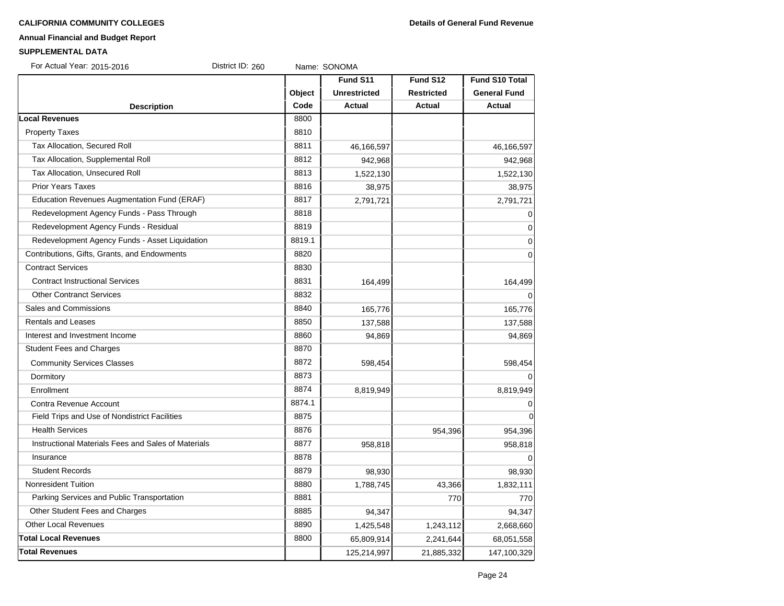# **Annual Financial and Budget Report**

#### **SUPPLEMENTAL DATA**

| For Actual Year: 2015-2016<br>District ID: 260      |        | Name: SONOMA        |                   |                       |
|-----------------------------------------------------|--------|---------------------|-------------------|-----------------------|
|                                                     |        | Fund S11            | Fund S12          | <b>Fund S10 Total</b> |
|                                                     | Object | <b>Unrestricted</b> | <b>Restricted</b> | <b>General Fund</b>   |
| <b>Description</b>                                  | Code   | Actual              | <b>Actual</b>     | Actual                |
| ocal Revenues                                       | 8800   |                     |                   |                       |
| <b>Property Taxes</b>                               | 8810   |                     |                   |                       |
| Tax Allocation, Secured Roll                        | 8811   | 46,166,597          |                   | 46,166,597            |
| Tax Allocation, Supplemental Roll                   | 8812   | 942,968             |                   | 942,968               |
| Tax Allocation, Unsecured Roll                      | 8813   | 1,522,130           |                   | 1,522,130             |
| <b>Prior Years Taxes</b>                            | 8816   | 38,975              |                   | 38,975                |
| Education Revenues Augmentation Fund (ERAF)         | 8817   | 2,791,721           |                   | 2,791,721             |
| Redevelopment Agency Funds - Pass Through           | 8818   |                     |                   | $\mathbf 0$           |
| Redevelopment Agency Funds - Residual               | 8819   |                     |                   | $\overline{0}$        |
| Redevelopment Agency Funds - Asset Liquidation      | 8819.1 |                     |                   | $\mathbf 0$           |
| Contributions, Gifts, Grants, and Endowments        | 8820   |                     |                   | $\mathbf 0$           |
| <b>Contract Services</b>                            | 8830   |                     |                   |                       |
| <b>Contract Instructional Services</b>              | 8831   | 164,499             |                   | 164,499               |
| <b>Other Contranct Services</b>                     | 8832   |                     |                   | $\Omega$              |
| <b>Sales and Commissions</b>                        | 8840   | 165,776             |                   | 165,776               |
| <b>Rentals and Leases</b>                           | 8850   | 137,588             |                   | 137,588               |
| Interest and Investment Income                      | 8860   | 94,869              |                   | 94,869                |
| <b>Student Fees and Charges</b>                     | 8870   |                     |                   |                       |
| <b>Community Services Classes</b>                   | 8872   | 598,454             |                   | 598,454               |
| Dormitory                                           | 8873   |                     |                   | $\Omega$              |
| Enrollment                                          | 8874   | 8,819,949           |                   | 8,819,949             |
| Contra Revenue Account                              | 8874.1 |                     |                   | 0                     |
| Field Trips and Use of Nondistrict Facilities       | 8875   |                     |                   | $\mathbf 0$           |
| <b>Health Services</b>                              | 8876   |                     | 954,396           | 954,396               |
| Instructional Materials Fees and Sales of Materials | 8877   | 958,818             |                   | 958,818               |
| Insurance                                           | 8878   |                     |                   | $\Omega$              |
| <b>Student Records</b>                              | 8879   | 98,930              |                   | 98,930                |
| <b>Nonresident Tuition</b>                          | 8880   | 1,788,745           | 43,366            | 1,832,111             |
| Parking Services and Public Transportation          | 8881   |                     | 770               | 770                   |
| Other Student Fees and Charges                      | 8885   | 94,347              |                   | 94,347                |
| <b>Other Local Revenues</b>                         | 8890   | 1,425,548           | 1,243,112         | 2,668,660             |
| <b>Total Local Revenues</b>                         | 8800   | 65,809,914          | 2,241,644         | 68,051,558            |
| <b>Total Revenues</b>                               |        | 125,214,997         | 21,885,332        | 147,100,329           |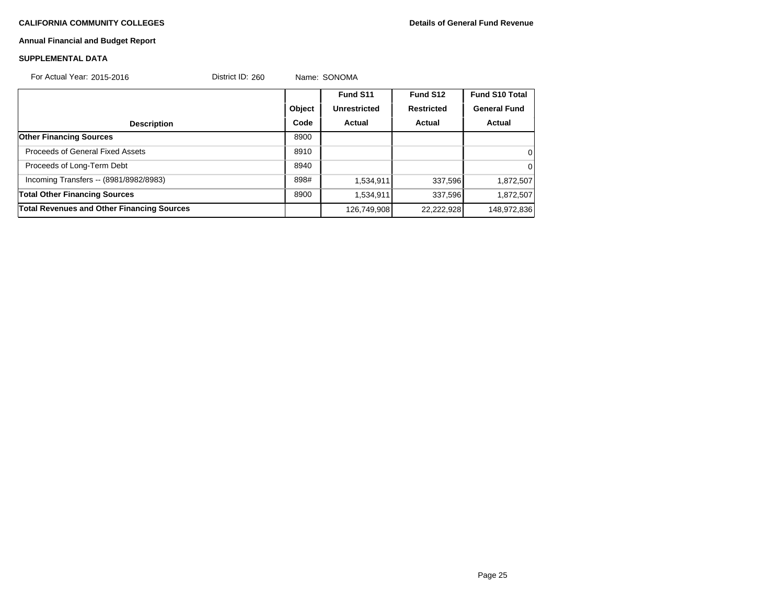÷,

# **Annual Financial and Budget Report**

#### **SUPPLEMENTAL DATA**

| For Actual Year: 2015-2016                        | District ID: 260 |        | Name: SONOMA        |                   |                       |
|---------------------------------------------------|------------------|--------|---------------------|-------------------|-----------------------|
|                                                   |                  |        | Fund S11            | Fund S12          | <b>Fund S10 Total</b> |
|                                                   |                  | Object | <b>Unrestricted</b> | <b>Restricted</b> | <b>General Fund</b>   |
| <b>Description</b>                                |                  | Code   | Actual              | Actual            | Actual                |
| <b>Other Financing Sources</b>                    |                  | 8900   |                     |                   |                       |
| <b>Proceeds of General Fixed Assets</b>           |                  | 8910   |                     |                   | 0                     |
| Proceeds of Long-Term Debt                        |                  | 8940   |                     |                   | $\Omega$              |
| Incoming Transfers -- (8981/8982/8983)            |                  | 898#   | 1,534,911           | 337,596           | 1,872,507             |
| <b>Total Other Financing Sources</b>              |                  | 8900   | 1,534,911           | 337,596           | 1,872,507             |
| <b>Total Revenues and Other Financing Sources</b> |                  |        | 126,749,908         | 22,222,928        | 148,972,836           |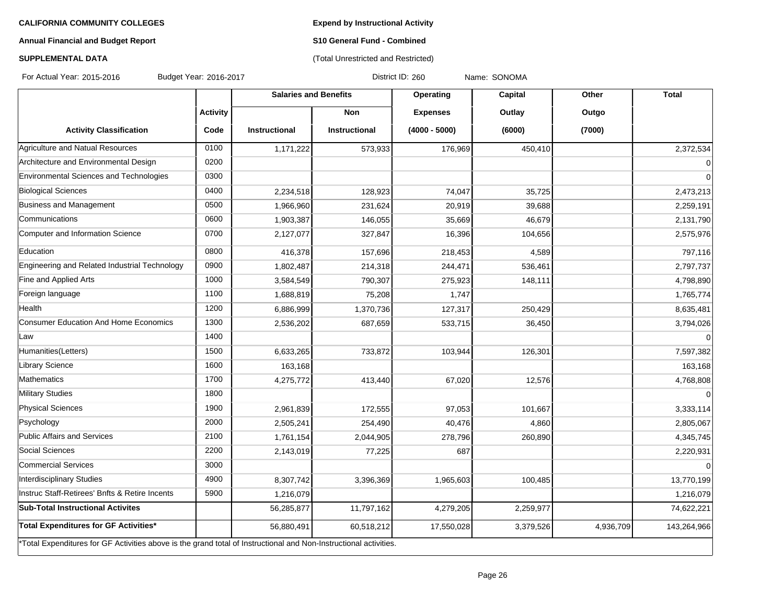**Expend by Instructional Activity**

# **Annual Financial and Budget Report**

# **S10 General Fund - Combined** (Total Unrestricted and Restricted)

# **SUPPLEMENTAL DATA**

For Actual Year: 2015-2016 Budget Year: 2016-2017 Contract Magnet District ID: 260 Name: SONOMA

|                                                                                                                   |                 | <b>Salaries and Benefits</b> |                      | Operating       | <b>Capital</b> | Other     | <b>Total</b> |
|-------------------------------------------------------------------------------------------------------------------|-----------------|------------------------------|----------------------|-----------------|----------------|-----------|--------------|
|                                                                                                                   | <b>Activity</b> |                              | <b>Non</b>           | <b>Expenses</b> | Outlay         | Outgo     |              |
| <b>Activity Classification</b>                                                                                    | Code            | <b>Instructional</b>         | <b>Instructional</b> | $(4000 - 5000)$ | (6000)         | (7000)    |              |
| Agriculture and Natual Resources                                                                                  | 0100            | 1,171,222                    | 573,933              | 176,969         | 450,410        |           | 2,372,534    |
| Architecture and Environmental Design                                                                             | 0200            |                              |                      |                 |                |           | $\Omega$     |
| Environmental Sciences and Technologies                                                                           | 0300            |                              |                      |                 |                |           | $\Omega$     |
| <b>Biological Sciences</b>                                                                                        | 0400            | 2,234,518                    | 128,923              | 74,047          | 35,725         |           | 2,473,213    |
| Business and Management                                                                                           | 0500            | 1,966,960                    | 231,624              | 20,919          | 39,688         |           | 2,259,191    |
| Communications                                                                                                    | 0600            | 1,903,387                    | 146,055              | 35,669          | 46,679         |           | 2,131,790    |
| Computer and Information Science                                                                                  | 0700            | 2,127,077                    | 327,847              | 16,396          | 104,656        |           | 2,575,976    |
| Education                                                                                                         | 0800            | 416,378                      | 157,696              | 218,453         | 4,589          |           | 797,116      |
| Engineering and Related Industrial Technology                                                                     | 0900            | 1,802,487                    | 214,318              | 244,471         | 536,461        |           | 2,797,737    |
| Fine and Applied Arts                                                                                             | 1000            | 3,584,549                    | 790,307              | 275,923         | 148,111        |           | 4,798,890    |
| Foreign language                                                                                                  | 1100            | 1,688,819                    | 75,208               | 1,747           |                |           | 1,765,774    |
| Health                                                                                                            | 1200            | 6,886,999                    | 1,370,736            | 127,317         | 250,429        |           | 8,635,481    |
| Consumer Education And Home Economics                                                                             | 1300            | 2,536,202                    | 687,659              | 533,715         | 36,450         |           | 3,794,026    |
| Law                                                                                                               | 1400            |                              |                      |                 |                |           | $\Omega$     |
| Humanities(Letters)                                                                                               | 1500            | 6,633,265                    | 733,872              | 103,944         | 126,301        |           | 7,597,382    |
| Library Science                                                                                                   | 1600            | 163,168                      |                      |                 |                |           | 163,168      |
| Mathematics                                                                                                       | 1700            | 4,275,772                    | 413,440              | 67,020          | 12,576         |           | 4,768,808    |
| Military Studies                                                                                                  | 1800            |                              |                      |                 |                |           |              |
| <b>Physical Sciences</b>                                                                                          | 1900            | 2,961,839                    | 172,555              | 97,053          | 101,667        |           | 3,333,114    |
| Psychology                                                                                                        | 2000            | 2,505,241                    | 254,490              | 40,476          | 4,860          |           | 2,805,067    |
| Public Affairs and Services                                                                                       | 2100            | 1,761,154                    | 2,044,905            | 278,796         | 260,890        |           | 4,345,745    |
| Social Sciences                                                                                                   | 2200            | 2,143,019                    | 77,225               | 687             |                |           | 2,220,931    |
| Commercial Services                                                                                               | 3000            |                              |                      |                 |                |           | $\Omega$     |
| Interdisciplinary Studies                                                                                         | 4900            | 8,307,742                    | 3,396,369            | 1,965,603       | 100,485        |           | 13,770,199   |
| Instruc Staff-Retirees' Bnfts & Retire Incents                                                                    | 5900            | 1,216,079                    |                      |                 |                |           | 1,216,079    |
| <b>Sub-Total Instructional Activites</b>                                                                          |                 | 56,285,877                   | 11,797,162           | 4,279,205       | 2,259,977      |           | 74,622,221   |
| Total Expenditures for GF Activities*                                                                             |                 | 56,880,491                   | 60,518,212           | 17,550,028      | 3,379,526      | 4,936,709 | 143,264,966  |
| *Total Expenditures for GF Activities above is the grand total of Instructional and Non-Instructional activities. |                 |                              |                      |                 |                |           |              |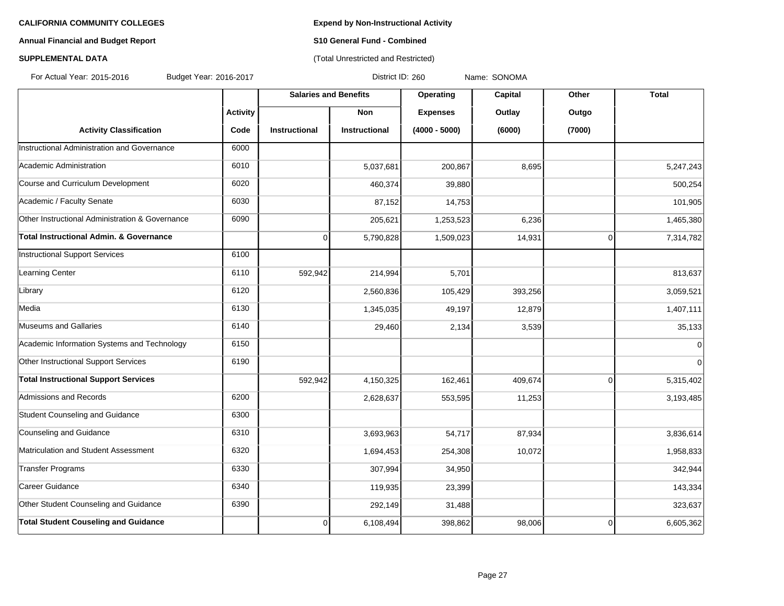# **Annual Financial and Budget Report S10 General Fund - Combined**

### **SUPPLEMENTAL DATA CONSUMPTER ACCOUNT ACCOUNT ACCOUNT ACCOUNT ACCOUNT ACCOUNT ACCOUNT ACCOUNT ACCOUNT ACCOUNT ACCOUNT ACCOUNT ACCOUNT ACCOUNT ACCOUNT ACCOUNT ACCOUNT ACCOUNT ACCOUNT ACCOUNT ACCOUNT ACCOUNT ACCOUNT ACCOUN**

For Actual Year: 2015-2016 Budget Year: 2016-2017 Contract Manus District ID: 260 Name: SONOMA

|                                                    |                 | <b>Salaries and Benefits</b> |                      | Operating       | Capital | Other          | <b>Total</b> |
|----------------------------------------------------|-----------------|------------------------------|----------------------|-----------------|---------|----------------|--------------|
|                                                    | <b>Activity</b> |                              | <b>Non</b>           | <b>Expenses</b> | Outlay  | Outgo          |              |
| <b>Activity Classification</b>                     | Code            | <b>Instructional</b>         | <b>Instructional</b> | $(4000 - 5000)$ | (6000)  | (7000)         |              |
| Instructional Administration and Governance        | 6000            |                              |                      |                 |         |                |              |
| Academic Administration                            | 6010            |                              | 5,037,681            | 200,867         | 8,695   |                | 5,247,243    |
| Course and Curriculum Development                  | 6020            |                              | 460,374              | 39,880          |         |                | 500,254      |
| Academic / Faculty Senate                          | 6030            |                              | 87,152               | 14,753          |         |                | 101,905      |
| Other Instructional Administration & Governance    | 6090            |                              | 205,621              | 1,253,523       | 6,236   |                | 1,465,380    |
| <b>Total Instructional Admin. &amp; Governance</b> |                 | $\Omega$                     | 5,790,828            | 1,509,023       | 14,931  | $\overline{0}$ | 7,314,782    |
| <b>Instructional Support Services</b>              | 6100            |                              |                      |                 |         |                |              |
| Learning Center                                    | 6110            | 592,942                      | 214,994              | 5,701           |         |                | 813,637      |
| Library                                            | 6120            |                              | 2,560,836            | 105,429         | 393,256 |                | 3,059,521    |
| Media                                              | 6130            |                              | 1,345,035            | 49,197          | 12,879  |                | 1,407,111    |
| Museums and Gallaries                              | 6140            |                              | 29,460               | 2,134           | 3,539   |                | 35,133       |
| Academic Information Systems and Technology        | 6150            |                              |                      |                 |         |                | $\mathbf 0$  |
| Other Instructional Support Services               | 6190            |                              |                      |                 |         |                | $\mathbf 0$  |
| <b>Total Instructional Support Services</b>        |                 | 592,942                      | 4,150,325            | 162,461         | 409,674 | $\overline{0}$ | 5,315,402    |
| Admissions and Records                             | 6200            |                              | 2,628,637            | 553,595         | 11,253  |                | 3,193,485    |
| <b>Student Counseling and Guidance</b>             | 6300            |                              |                      |                 |         |                |              |
| Counseling and Guidance                            | 6310            |                              | 3,693,963            | 54,717          | 87,934  |                | 3,836,614    |
| Matriculation and Student Assessment               | 6320            |                              | 1,694,453            | 254,308         | 10,072  |                | 1,958,833    |
| <b>Transfer Programs</b>                           | 6330            |                              | 307,994              | 34,950          |         |                | 342,944      |
| Career Guidance                                    | 6340            |                              | 119,935              | 23,399          |         |                | 143,334      |
| Other Student Counseling and Guidance              | 6390            |                              | 292,149              | 31,488          |         |                | 323,637      |
| <b>Total Student Couseling and Guidance</b>        |                 | 0                            | 6,108,494            | 398,862         | 98,006  | $\overline{0}$ | 6,605,362    |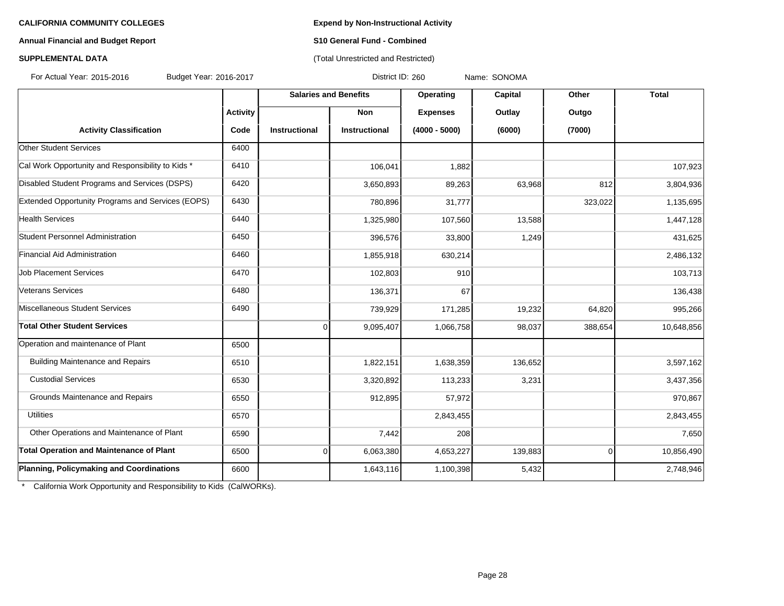### **Annual Financial and Budget Report S10 General Fund - Combined**

# **SUPPLEMENTAL DATA** (Total Unrestricted and Restricted)

For Actual Year: 2015-2016 Budget Year: 2016-2017 District ID: 260 Name: SONOMA

|                                                   |                 | <b>Salaries and Benefits</b> |               | Operating       | Capital | Other          | <b>Total</b> |
|---------------------------------------------------|-----------------|------------------------------|---------------|-----------------|---------|----------------|--------------|
|                                                   | <b>Activity</b> |                              | <b>Non</b>    | <b>Expenses</b> | Outlay  | Outgo          |              |
| <b>Activity Classification</b>                    | Code            | Instructional                | Instructional | $(4000 - 5000)$ | (6000)  | (7000)         |              |
| <b>Other Student Services</b>                     | 6400            |                              |               |                 |         |                |              |
| Cal Work Opportunity and Responsibility to Kids * | 6410            |                              | 106,041       | 1,882           |         |                | 107,923      |
| Disabled Student Programs and Services (DSPS)     | 6420            |                              | 3,650,893     | 89,263          | 63,968  | 812            | 3,804,936    |
| Extended Opportunity Programs and Services (EOPS) | 6430            |                              | 780,896       | 31,777          |         | 323,022        | 1,135,695    |
| <b>Health Services</b>                            | 6440            |                              | 1,325,980     | 107,560         | 13,588  |                | 1,447,128    |
| Student Personnel Administration                  | 6450            |                              | 396,576       | 33,800          | 1,249   |                | 431,625      |
| Financial Aid Administration                      | 6460            |                              | 1,855,918     | 630,214         |         |                | 2,486,132    |
| <b>Job Placement Services</b>                     | 6470            |                              | 102,803       | 910             |         |                | 103,713      |
| Veterans Services                                 | 6480            |                              | 136,371       | 67              |         |                | 136,438      |
| Miscellaneous Student Services                    | 6490            |                              | 739,929       | 171,285         | 19,232  | 64,820         | 995,266      |
| <b>Total Other Student Services</b>               |                 | 0                            | 9,095,407     | 1,066,758       | 98,037  | 388,654        | 10,648,856   |
| Operation and maintenance of Plant                | 6500            |                              |               |                 |         |                |              |
| <b>Building Maintenance and Repairs</b>           | 6510            |                              | 1,822,151     | 1,638,359       | 136,652 |                | 3,597,162    |
| <b>Custodial Services</b>                         | 6530            |                              | 3,320,892     | 113,233         | 3,231   |                | 3,437,356    |
| Grounds Maintenance and Repairs                   | 6550            |                              | 912,895       | 57,972          |         |                | 970,867      |
| <b>Utilities</b>                                  | 6570            |                              |               | 2,843,455       |         |                | 2,843,455    |
| Other Operations and Maintenance of Plant         | 6590            |                              | 7,442         | 208             |         |                | 7,650        |
| <b>Total Operation and Maintenance of Plant</b>   | 6500            | 0                            | 6,063,380     | 4,653,227       | 139,883 | $\overline{0}$ | 10,856,490   |
| Planning, Policymaking and Coordinations          | 6600            |                              | 1,643,116     | 1,100,398       | 5,432   |                | 2,748,946    |

\* California Work Opportunity and Responsibility to Kids (CalWORKs).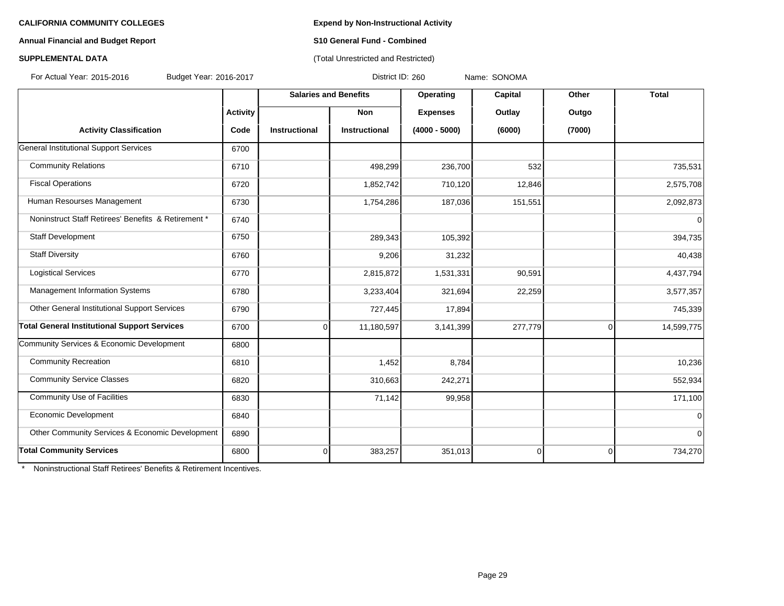### **Annual Financial and Budget Report S10 General Fund - Combined**

# **SUPPLEMENTAL DATA** (Total Unrestricted and Restricted)

For Actual Year: 2015-2016 Budget Year: 2016-2017 District ID: 260 Name: SONOMA

|                                                     |                 | <b>Salaries and Benefits</b> |               | Operating       | Capital  | Other       | <b>Total</b>   |
|-----------------------------------------------------|-----------------|------------------------------|---------------|-----------------|----------|-------------|----------------|
|                                                     | <b>Activity</b> |                              | <b>Non</b>    | <b>Expenses</b> | Outlay   | Outgo       |                |
| <b>Activity Classification</b>                      | Code            | Instructional                | Instructional | $(4000 - 5000)$ | (6000)   | (7000)      |                |
| General Institutional Support Services              | 6700            |                              |               |                 |          |             |                |
| <b>Community Relations</b>                          | 6710            |                              | 498,299       | 236,700         | 532      |             | 735,531        |
| <b>Fiscal Operations</b>                            | 6720            |                              | 1,852,742     | 710,120         | 12,846   |             | 2,575,708      |
| Human Resourses Management                          | 6730            |                              | 1,754,286     | 187,036         | 151,551  |             | 2,092,873      |
| Noninstruct Staff Retirees' Benefits & Retirement * | 6740            |                              |               |                 |          |             | $\mathbf 0$    |
| Staff Development                                   | 6750            |                              | 289,343       | 105,392         |          |             | 394,735        |
| <b>Staff Diversity</b>                              | 6760            |                              | 9,206         | 31,232          |          |             | 40,438         |
| <b>Logistical Services</b>                          | 6770            |                              | 2,815,872     | 1,531,331       | 90,591   |             | 4,437,794      |
| Management Information Systems                      | 6780            |                              | 3,233,404     | 321,694         | 22,259   |             | 3,577,357      |
| Other General Institutional Support Services        | 6790            |                              | 727,445       | 17,894          |          |             | 745,339        |
| <b>Total General Institutional Support Services</b> | 6700            | 0                            | 11,180,597    | 3,141,399       | 277,779  | $\mathbf 0$ | 14,599,775     |
| Community Services & Economic Development           | 6800            |                              |               |                 |          |             |                |
| <b>Community Recreation</b>                         | 6810            |                              | 1,452         | 8,784           |          |             | 10,236         |
| <b>Community Service Classes</b>                    | 6820            |                              | 310,663       | 242,271         |          |             | 552,934        |
| <b>Community Use of Facilities</b>                  | 6830            |                              | 71,142        | 99,958          |          |             | 171,100        |
| Economic Development                                | 6840            |                              |               |                 |          |             | $\mathbf 0$    |
| Other Community Services & Economic Development     | 6890            |                              |               |                 |          |             | $\overline{0}$ |
| <b>Total Community Services</b>                     | 6800            | 0                            | 383,257       | 351,013         | $\Omega$ | $\mathbf 0$ | 734,270        |

\* Noninstructional Staff Retirees' Benefits & Retirement Incentives.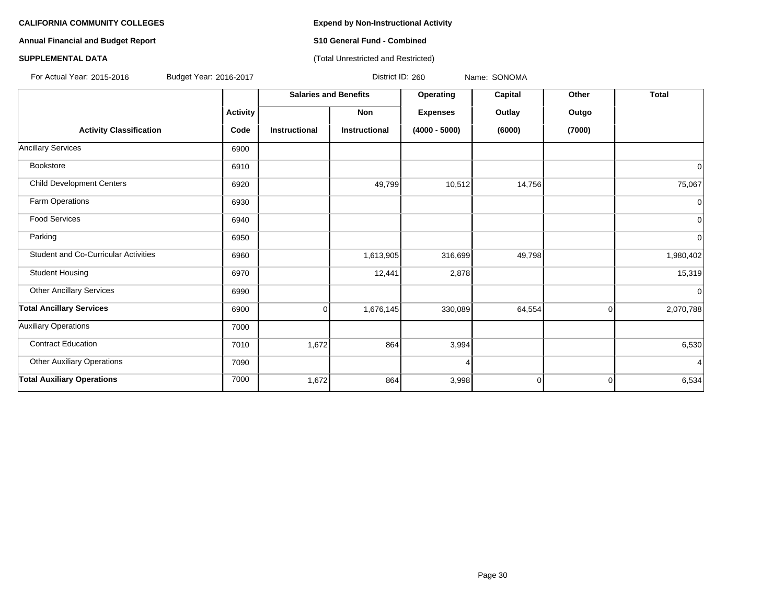# **Annual Financial and Budget Report S10 General Fund - Combined**

#### **SUPPLEMENTAL DATA CONSUMPTER ACCOUNT ACCOUNT ACCOUNT ACCOUNT ACCOUNT ACCOUNT ACCOUNT ACCOUNT ACCOUNT ACCOUNT ACCOUNT ACCOUNT ACCOUNT ACCOUNT ACCOUNT ACCOUNT ACCOUNT ACCOUNT ACCOUNT ACCOUNT ACCOUNT ACCOUNT ACCOUNT ACCOUN**

For Actual Year: 2015-2016 Budget Year: 2016-2017 Contract Manus District ID: 260 Name: SONOMA

|                                             |                 | <b>Salaries and Benefits</b> |                      | Operating       | Capital        | Other       | <b>Total</b>   |
|---------------------------------------------|-----------------|------------------------------|----------------------|-----------------|----------------|-------------|----------------|
|                                             | <b>Activity</b> |                              | Non                  | <b>Expenses</b> | Outlay         | Outgo       |                |
| <b>Activity Classification</b>              | Code            | <b>Instructional</b>         | <b>Instructional</b> | $(4000 - 5000)$ | (6000)         | (7000)      |                |
| <b>Ancillary Services</b>                   | 6900            |                              |                      |                 |                |             |                |
| Bookstore                                   | 6910            |                              |                      |                 |                |             | $\Omega$       |
| <b>Child Development Centers</b>            | 6920            |                              | 49,799               | 10,512          | 14,756         |             | 75,067         |
| Farm Operations                             | 6930            |                              |                      |                 |                |             | $\mathbf 0$    |
| <b>Food Services</b>                        | 6940            |                              |                      |                 |                |             | $\overline{0}$ |
| Parking                                     | 6950            |                              |                      |                 |                |             | $\overline{0}$ |
| <b>Student and Co-Curricular Activities</b> | 6960            |                              | 1,613,905            | 316,699         | 49,798         |             | 1,980,402      |
| <b>Student Housing</b>                      | 6970            |                              | 12,441               | 2,878           |                |             | 15,319         |
| <b>Other Ancillary Services</b>             | 6990            |                              |                      |                 |                |             | $\Omega$       |
| <b>Total Ancillary Services</b>             | 6900            | $\overline{0}$               | 1,676,145            | 330,089         | 64,554         | 0           | 2,070,788      |
| <b>Auxiliary Operations</b>                 | 7000            |                              |                      |                 |                |             |                |
| <b>Contract Education</b>                   | 7010            | 1,672                        | 864                  | 3,994           |                |             | 6,530          |
| <b>Other Auxiliary Operations</b>           | 7090            |                              |                      |                 |                |             | $\overline{4}$ |
| <b>Total Auxiliary Operations</b>           | 7000            | 1,672                        | 864                  | 3,998           | $\overline{0}$ | $\mathbf 0$ | 6,534          |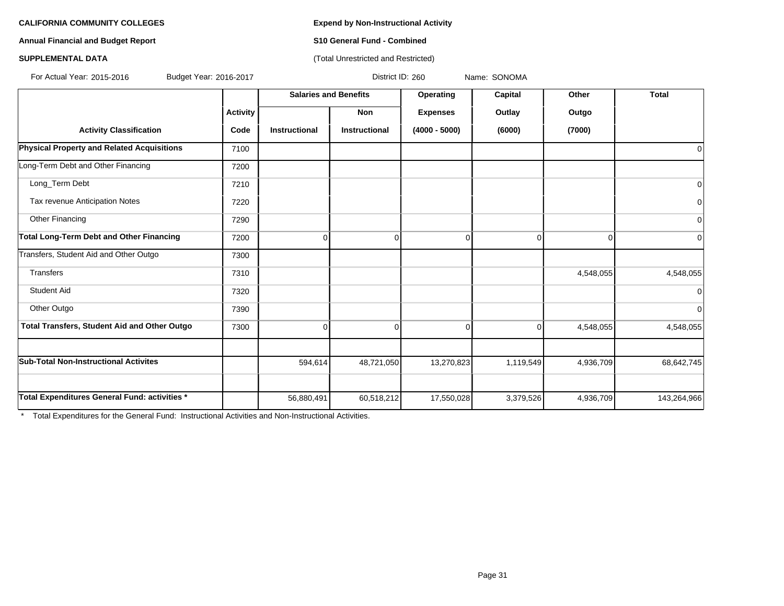**Annual Financial and Budget Report S10 General Fund - Combined**

### **SUPPLEMENTAL DATA CONSERVATION CONSERVATION** (Total Unrestricted and Restricted)

For Actual Year: 2015-2016 Budget Year: 2016-2017 District ID: 260 Name: SONOMA

|                                                   |                 | <b>Salaries and Benefits</b> |                      | Operating       | Capital     | Other     | <b>Total</b>   |
|---------------------------------------------------|-----------------|------------------------------|----------------------|-----------------|-------------|-----------|----------------|
|                                                   | <b>Activity</b> |                              | <b>Non</b>           | <b>Expenses</b> | Outlay      | Outgo     |                |
| <b>Activity Classification</b>                    | Code            | <b>Instructional</b>         | <b>Instructional</b> | $(4000 - 5000)$ | (6000)      | (7000)    |                |
| <b>Physical Property and Related Acquisitions</b> | 7100            |                              |                      |                 |             |           | 0              |
| Long-Term Debt and Other Financing                | 7200            |                              |                      |                 |             |           |                |
| Long_Term Debt                                    | 7210            |                              |                      |                 |             |           | 0              |
| Tax revenue Anticipation Notes                    | 7220            |                              |                      |                 |             |           | 0              |
| Other Financing                                   | 7290            |                              |                      |                 |             |           | $\mathbf 0$    |
| Total Long-Term Debt and Other Financing          | 7200            | $\Omega$                     | $\mathbf 0$          | 0               | $\Omega$    | 0         | $\overline{0}$ |
| Transfers, Student Aid and Other Outgo            | 7300            |                              |                      |                 |             |           |                |
| Transfers                                         | 7310            |                              |                      |                 |             | 4,548,055 | 4,548,055      |
| Student Aid                                       | 7320            |                              |                      |                 |             |           | 0              |
| Other Outgo                                       | 7390            |                              |                      |                 |             |           | $\mathbf 0$    |
| Total Transfers, Student Aid and Other Outgo      | 7300            | $\mathbf 0$                  | $\mathbf 0$          | $\Omega$        | $\mathbf 0$ | 4,548,055 | 4,548,055      |
|                                                   |                 |                              |                      |                 |             |           |                |
| <b>Sub-Total Non-Instructional Activites</b>      |                 | 594,614                      | 48,721,050           | 13,270,823      | 1,119,549   | 4,936,709 | 68,642,745     |
|                                                   |                 |                              |                      |                 |             |           |                |
| Total Expenditures General Fund: activities *     |                 | 56,880,491                   | 60,518,212           | 17,550,028      | 3,379,526   | 4,936,709 | 143,264,966    |

\* Total Expenditures for the General Fund: Instructional Activities and Non-Instructional Activities.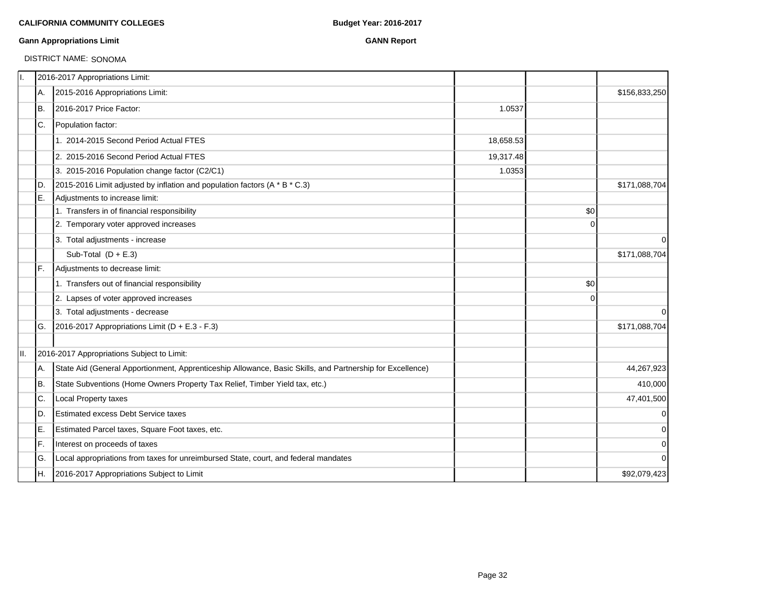#### **Gann Appropriations Limit GANN Report**

# DISTRICT NAME: SONOMA

| 11. |     | 2016-2017 Appropriations Limit:                                                                           |           |          |               |
|-----|-----|-----------------------------------------------------------------------------------------------------------|-----------|----------|---------------|
|     | А.  | 2015-2016 Appropriations Limit:                                                                           |           |          | \$156,833,250 |
|     | Iв. | 2016-2017 Price Factor:                                                                                   | 1.0537    |          |               |
|     | IC. | Population factor:                                                                                        |           |          |               |
|     |     | 1. 2014-2015 Second Period Actual FTES                                                                    | 18,658.53 |          |               |
|     |     | 2. 2015-2016 Second Period Actual FTES                                                                    | 19,317.48 |          |               |
|     |     | 3. 2015-2016 Population change factor (C2/C1)                                                             | 1.0353    |          |               |
|     | ID. | 2015-2016 Limit adjusted by inflation and population factors (A * B * C.3)                                |           |          | \$171,088,704 |
|     | E.  | Adjustments to increase limit:                                                                            |           |          |               |
|     |     | 1. Transfers in of financial responsibility                                                               |           | \$0      |               |
|     |     | 2. Temporary voter approved increases                                                                     |           | $\Omega$ |               |
|     |     | 3. Total adjustments - increase                                                                           |           |          | $\mathbf 0$   |
|     |     | Sub-Total $(D + E.3)$                                                                                     |           |          | \$171,088,704 |
|     | IF. | Adjustments to decrease limit:                                                                            |           |          |               |
|     |     | 1. Transfers out of financial responsibility                                                              |           | \$0      |               |
|     |     | 2. Lapses of voter approved increases                                                                     |           | 0        |               |
|     |     | 3. Total adjustments - decrease                                                                           |           |          | $\Omega$      |
|     | IG. | 2016-2017 Appropriations Limit ( $D + E.3 - F.3$ )                                                        |           |          | \$171,088,704 |
| II. |     | 2016-2017 Appropriations Subject to Limit:                                                                |           |          |               |
|     | A.  | State Aid (General Apportionment, Apprenticeship Allowance, Basic Skills, and Partnership for Excellence) |           |          | 44,267,923    |
|     | B.  | State Subventions (Home Owners Property Tax Relief, Timber Yield tax, etc.)                               |           |          | 410,000       |
|     | C.  | Local Property taxes                                                                                      |           |          | 47,401,500    |
|     | ID. | <b>Estimated excess Debt Service taxes</b>                                                                |           |          | $\mathbf 0$   |
|     | ΙE. | Estimated Parcel taxes, Square Foot taxes, etc.                                                           |           |          | $\mathbf 0$   |
|     | lF. | Interest on proceeds of taxes                                                                             |           |          | $\mathbf 0$   |
|     | lG. | Local appropriations from taxes for unreimbursed State, court, and federal mandates                       |           |          | $\Omega$      |
|     | IH. | 2016-2017 Appropriations Subject to Limit                                                                 |           |          | \$92,079,423  |
|     |     |                                                                                                           |           |          |               |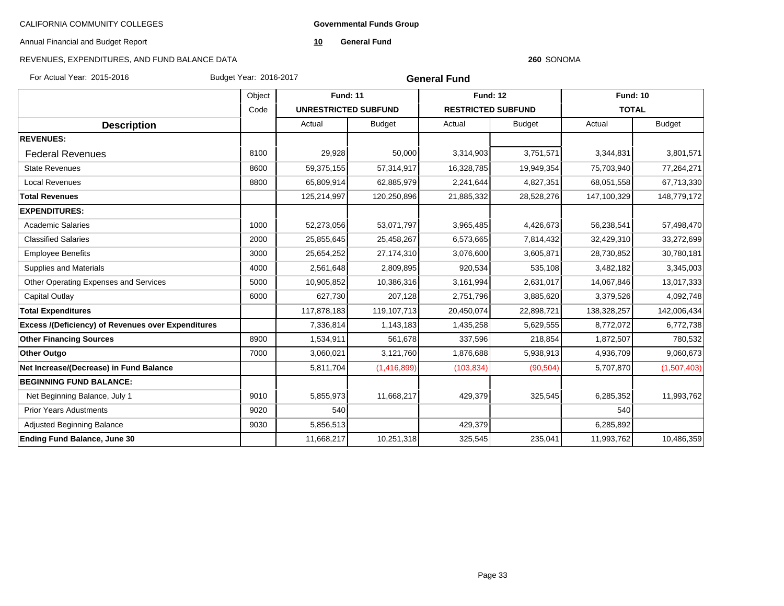**Governmental Funds Group**

Annual Financial and Budget Report

**10 General Fund**

# REVENUES, EXPENDITURES, AND FUND BALANCE DATA

#### **260** SONOMA

For Actual Year: 2015-2016 Budget Year: 2016-2017

**General Fund**

|                                                           | Object |                             | <b>Fund: 11</b> |                           | <b>Fund: 12</b> |              | <b>Fund: 10</b> |
|-----------------------------------------------------------|--------|-----------------------------|-----------------|---------------------------|-----------------|--------------|-----------------|
|                                                           | Code   | <b>UNRESTRICTED SUBFUND</b> |                 | <b>RESTRICTED SUBFUND</b> |                 | <b>TOTAL</b> |                 |
| <b>Description</b>                                        |        | Actual                      | <b>Budget</b>   | Actual                    | <b>Budget</b>   | Actual       | <b>Budget</b>   |
| <b>REVENUES:</b>                                          |        |                             |                 |                           |                 |              |                 |
| <b>Federal Revenues</b>                                   | 8100   | 29,928                      | 50,000          | 3,314,903                 | 3,751,571       | 3,344,831    | 3,801,571       |
| <b>State Revenues</b>                                     | 8600   | 59,375,155                  | 57,314,917      | 16,328,785                | 19,949,354      | 75,703,940   | 77,264,271      |
| <b>Local Revenues</b>                                     | 8800   | 65,809,914                  | 62,885,979      | 2,241,644                 | 4,827,351       | 68,051,558   | 67,713,330      |
| <b>Total Revenues</b>                                     |        | 125,214,997                 | 120,250,896     | 21,885,332                | 28,528,276      | 147,100,329  | 148,779,172     |
| <b>EXPENDITURES:</b>                                      |        |                             |                 |                           |                 |              |                 |
| <b>Academic Salaries</b>                                  | 1000   | 52,273,056                  | 53,071,797      | 3,965,485                 | 4,426,673       | 56,238,541   | 57,498,470      |
| <b>Classified Salaries</b>                                | 2000   | 25,855,645                  | 25,458,267      | 6,573,665                 | 7,814,432       | 32,429,310   | 33,272,699      |
| <b>Employee Benefits</b>                                  | 3000   | 25,654,252                  | 27,174,310      | 3,076,600                 | 3,605,871       | 28,730,852   | 30,780,181      |
| <b>Supplies and Materials</b>                             | 4000   | 2,561,648                   | 2,809,895       | 920,534                   | 535,108         | 3,482,182    | 3,345,003       |
| Other Operating Expenses and Services                     | 5000   | 10,905,852                  | 10,386,316      | 3,161,994                 | 2,631,017       | 14,067,846   | 13,017,333      |
| Capital Outlay                                            | 6000   | 627,730                     | 207,128         | 2,751,796                 | 3,885,620       | 3,379,526    | 4,092,748       |
| <b>Total Expenditures</b>                                 |        | 117,878,183                 | 119,107,713     | 20,450,074                | 22,898,721      | 138,328,257  | 142,006,434     |
| <b>Excess /(Deficiency) of Revenues over Expenditures</b> |        | 7,336,814                   | 1,143,183       | 1,435,258                 | 5,629,555       | 8,772,072    | 6,772,738       |
| <b>Other Financing Sources</b>                            | 8900   | 1,534,911                   | 561,678         | 337,596                   | 218,854         | 1,872,507    | 780,532         |
| <b>Other Outgo</b>                                        | 7000   | 3,060,021                   | 3,121,760       | 1,876,688                 | 5,938,913       | 4,936,709    | 9,060,673       |
| Net Increase/(Decrease) in Fund Balance                   |        | 5,811,704                   | (1,416,899)     | (103, 834)                | (90, 504)       | 5,707,870    | (1,507,403)     |
| <b>BEGINNING FUND BALANCE:</b>                            |        |                             |                 |                           |                 |              |                 |
| Net Beginning Balance, July 1                             | 9010   | 5,855,973                   | 11,668,217      | 429,379                   | 325,545         | 6,285,352    | 11,993,762      |
| <b>Prior Years Adustments</b>                             | 9020   | 540                         |                 |                           |                 | 540          |                 |
| Adjusted Beginning Balance                                | 9030   | 5,856,513                   |                 | 429,379                   |                 | 6,285,892    |                 |
| <b>Ending Fund Balance, June 30</b>                       |        | 11,668,217                  | 10,251,318      | 325,545                   | 235,041         | 11,993,762   | 10,486,359      |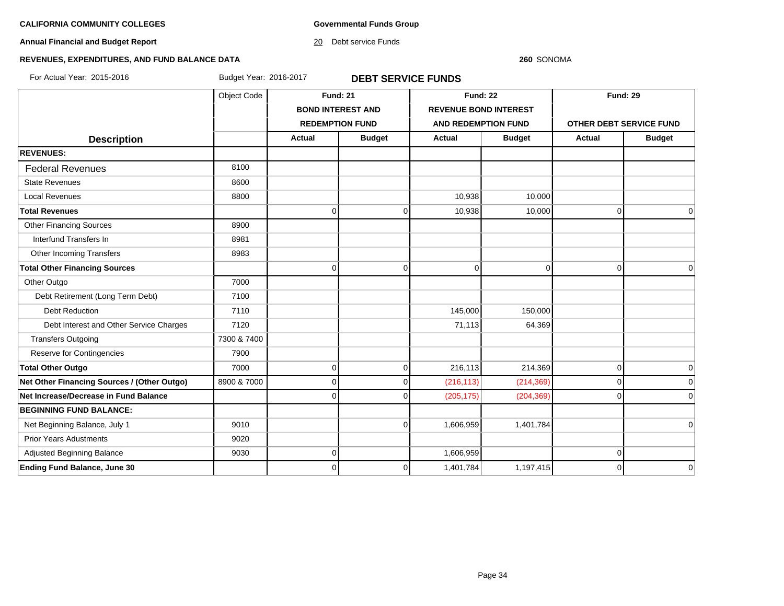**Governmental Funds Group**

**Annual Financial and Budget Report**

20 Debt service Funds

#### **260** SONOMA

# **REVENUES, EXPENDITURES, AND FUND BALANCE DATA**

For Actual Year: 2015-2016 Budget Year: 2016-2017 **DEBT SERVICE FUNDS**

|                                             | Object Code | <b>Fund: 21</b>          |               | <b>Fund: 22</b>              |                | <b>Fund: 29</b>         |               |
|---------------------------------------------|-------------|--------------------------|---------------|------------------------------|----------------|-------------------------|---------------|
|                                             |             | <b>BOND INTEREST AND</b> |               | <b>REVENUE BOND INTEREST</b> |                |                         |               |
|                                             |             | <b>REDEMPTION FUND</b>   |               | <b>AND REDEMPTION FUND</b>   |                | OTHER DEBT SERVICE FUND |               |
| <b>Description</b>                          |             | <b>Actual</b>            | <b>Budget</b> | <b>Actual</b>                | <b>Budget</b>  | Actual                  | <b>Budget</b> |
| <b>REVENUES:</b>                            |             |                          |               |                              |                |                         |               |
| <b>Federal Revenues</b>                     | 8100        |                          |               |                              |                |                         |               |
| <b>State Revenues</b>                       | 8600        |                          |               |                              |                |                         |               |
| <b>Local Revenues</b>                       | 8800        |                          |               | 10,938                       | 10,000         |                         |               |
| <b>Total Revenues</b>                       |             | <sup>0</sup>             | $\mathbf 0$   | 10,938                       | 10,000         | $\mathbf 0$             | $\mathbf 0$   |
| <b>Other Financing Sources</b>              | 8900        |                          |               |                              |                |                         |               |
| Interfund Transfers In                      | 8981        |                          |               |                              |                |                         |               |
| Other Incoming Transfers                    | 8983        |                          |               |                              |                |                         |               |
| <b>Total Other Financing Sources</b>        |             | $\Omega$                 | $\Omega$      | $\mathbf 0$                  | $\overline{0}$ | $\overline{0}$          | $\Omega$      |
| Other Outgo                                 | 7000        |                          |               |                              |                |                         |               |
| Debt Retirement (Long Term Debt)            | 7100        |                          |               |                              |                |                         |               |
| <b>Debt Reduction</b>                       | 7110        |                          |               | 145,000                      | 150,000        |                         |               |
| Debt Interest and Other Service Charges     | 7120        |                          |               | 71,113                       | 64,369         |                         |               |
| <b>Transfers Outgoing</b>                   | 7300 & 7400 |                          |               |                              |                |                         |               |
| Reserve for Contingencies                   | 7900        |                          |               |                              |                |                         |               |
| <b>Total Other Outgo</b>                    | 7000        | $\Omega$                 | $\mathbf 0$   | 216,113                      | 214,369        | $\overline{0}$          | $\mathbf 0$   |
| Net Other Financing Sources / (Other Outgo) | 8900 & 7000 | $\Omega$                 | $\Omega$      | (216, 113)                   | (214, 369)     | $\overline{0}$          | $\Omega$      |
| Net Increase/Decrease in Fund Balance       |             |                          | U             | (205, 175)                   | (204, 369)     | $\Omega$                | $\Omega$      |
| <b>BEGINNING FUND BALANCE:</b>              |             |                          |               |                              |                |                         |               |
| Net Beginning Balance, July 1               | 9010        |                          | $\Omega$      | 1,606,959                    | 1,401,784      |                         | $\Omega$      |
| <b>Prior Years Adustments</b>               | 9020        |                          |               |                              |                |                         |               |
| Adjusted Beginning Balance                  | 9030        | ∩                        |               | 1,606,959                    |                | 0                       |               |
| <b>Ending Fund Balance, June 30</b>         |             | 0                        | 0             | 1,401,784                    | 1,197,415      | $\mathbf 0$             | $\mathbf 0$   |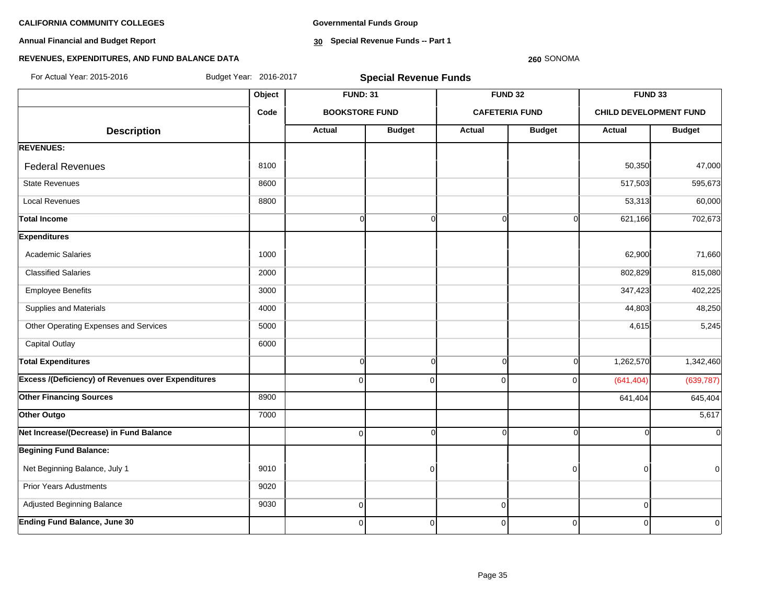**Annual Financial and Budget Report**

**Governmental Funds Group**

**30 Special Revenue Funds -- Part 1**

#### **260** SONOMA

| For Actual Year: 2015-2016                                | Budget Year: 2016-2017 |                       | <b>Special Revenue Funds</b> |            |                       |                               |                |
|-----------------------------------------------------------|------------------------|-----------------------|------------------------------|------------|-----------------------|-------------------------------|----------------|
|                                                           | Object                 | <b>FUND: 31</b>       |                              |            | <b>FUND 32</b>        | FUND 33                       |                |
|                                                           | Code                   | <b>BOOKSTORE FUND</b> |                              |            | <b>CAFETERIA FUND</b> | <b>CHILD DEVELOPMENT FUND</b> |                |
| <b>Description</b>                                        |                        | <b>Actual</b>         | <b>Budget</b>                | Actual     | <b>Budget</b>         | Actual                        | <b>Budget</b>  |
| <b>REVENUES:</b>                                          |                        |                       |                              |            |                       |                               |                |
| <b>Federal Revenues</b>                                   | 8100                   |                       |                              |            |                       | 50,350                        | 47,000         |
| <b>State Revenues</b>                                     | 8600                   |                       |                              |            |                       | 517,503                       | 595,673        |
| <b>Local Revenues</b>                                     | 8800                   |                       |                              |            |                       | 53,313                        | 60,000         |
| Total Income                                              |                        | $\overline{0}$        | $\mathbf 0$                  |            | $\Omega$<br>$\Omega$  | 621,166                       | 702,673        |
| <b>Expenditures</b>                                       |                        |                       |                              |            |                       |                               |                |
| <b>Academic Salaries</b>                                  | 1000                   |                       |                              |            |                       | 62,900                        | 71,660         |
| <b>Classified Salaries</b>                                | 2000                   |                       |                              |            |                       | 802,829                       | 815,080        |
| <b>Employee Benefits</b>                                  | 3000                   |                       |                              |            |                       | 347,423                       | 402,225        |
| Supplies and Materials                                    | 4000                   |                       |                              |            |                       | 44,803                        | 48,250         |
| Other Operating Expenses and Services                     | 5000                   |                       |                              |            |                       | 4,615                         | 5,245          |
| <b>Capital Outlay</b>                                     | 6000                   |                       |                              |            |                       |                               |                |
| <b>Total Expenditures</b>                                 |                        | $\overline{0}$        | $\mathbf 0$                  | $\Omega$   | $\Omega$              | 1,262,570                     | 1,342,460      |
| <b>Excess /(Deficiency) of Revenues over Expenditures</b> |                        | $\overline{0}$        | $\mathbf 0$                  | $\Omega$   | $\Omega$              | (641, 404)                    | (639, 787)     |
| <b>Other Financing Sources</b>                            | 8900                   |                       |                              |            |                       | 641,404                       | 645,404        |
| Other Outgo                                               | 7000                   |                       |                              |            |                       |                               | 5,617          |
| Net Increase/(Decrease) in Fund Balance                   |                        | $\overline{0}$        | $\Omega$                     | $\sqrt{ }$ | $\Omega$              |                               | $\overline{0}$ |
| <b>Begining Fund Balance:</b>                             |                        |                       |                              |            |                       |                               |                |
| Net Beginning Balance, July 1                             | 9010                   |                       | $\mathbf 0$                  |            | $\Omega$              | ∩                             | $\overline{0}$ |
| <b>Prior Years Adustments</b>                             | 9020                   |                       |                              |            |                       |                               |                |
| Adjusted Beginning Balance                                | 9030                   | $\overline{0}$        |                              | $\Omega$   |                       | $\Omega$                      |                |
| <b>Ending Fund Balance, June 30</b>                       |                        | $\Omega$              | $\mathbf 0$                  | $\Omega$   | $\overline{0}$        | O                             | $\overline{0}$ |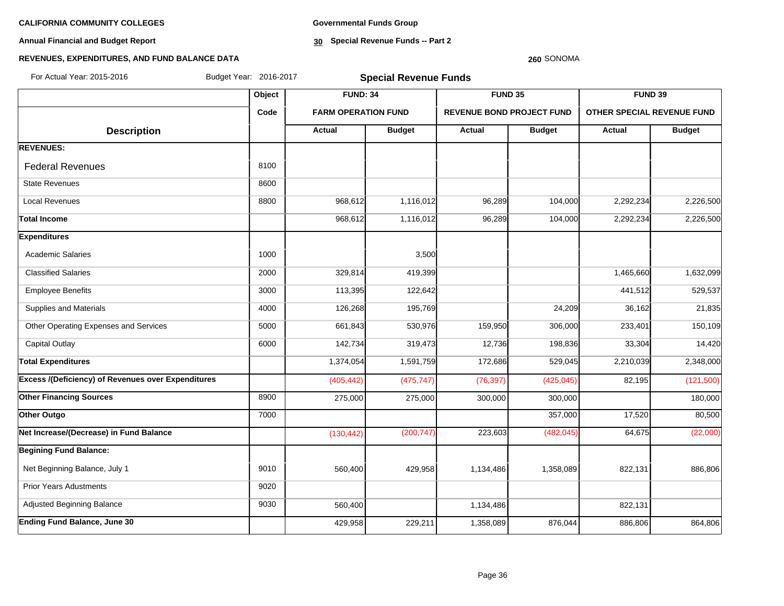**Annual Financial and Budget Report**

**Governmental Funds Group**

**30 Special Revenue Funds -- Part 2**

#### **260** SONOMA

| For Actual Year: 2015-2016                         | Budget Year: 2016-2017 | <b>Special Revenue Funds</b> |               |                                  |               |           |                            |  |  |
|----------------------------------------------------|------------------------|------------------------------|---------------|----------------------------------|---------------|-----------|----------------------------|--|--|
|                                                    | Object                 | <b>FUND: 34</b>              |               | FUND 35                          |               | FUND 39   |                            |  |  |
|                                                    | Code                   | <b>FARM OPERATION FUND</b>   |               | <b>REVENUE BOND PROJECT FUND</b> |               |           | OTHER SPECIAL REVENUE FUND |  |  |
| <b>Description</b>                                 |                        | Actual                       | <b>Budget</b> | <b>Actual</b>                    | <b>Budget</b> | Actual    | <b>Budget</b>              |  |  |
| <b>REVENUES:</b>                                   |                        |                              |               |                                  |               |           |                            |  |  |
| <b>Federal Revenues</b>                            | 8100                   |                              |               |                                  |               |           |                            |  |  |
| <b>State Revenues</b>                              | 8600                   |                              |               |                                  |               |           |                            |  |  |
| <b>Local Revenues</b>                              | 8800                   | 968,612                      | 1,116,012     | 96,289                           | 104,000       | 2,292,234 | 2,226,500                  |  |  |
| <b>Total Income</b>                                |                        | 968,612                      | 1,116,012     | 96,289                           | 104,000       | 2,292,234 | 2,226,500                  |  |  |
| <b>Expenditures</b>                                |                        |                              |               |                                  |               |           |                            |  |  |
| <b>Academic Salaries</b>                           | 1000                   |                              | 3,500         |                                  |               |           |                            |  |  |
| <b>Classified Salaries</b>                         | 2000                   | 329,814                      | 419,399       |                                  |               | 1,465,660 | 1,632,099                  |  |  |
| <b>Employee Benefits</b>                           | 3000                   | 113,395                      | 122,642       |                                  |               | 441,512   | 529,537                    |  |  |
| Supplies and Materials                             | 4000                   | 126,268                      | 195,769       |                                  | 24,209        | 36,162    | 21,835                     |  |  |
| Other Operating Expenses and Services              | 5000                   | 661,843                      | 530,976       | 159,950                          | 306,000       | 233,401   | 150,109                    |  |  |
| <b>Capital Outlay</b>                              | 6000                   | 142,734                      | 319,473       | 12,736                           | 198,836       | 33,304    | 14,420                     |  |  |
| <b>Total Expenditures</b>                          |                        | 1,374,054                    | 1,591,759     | 172,686                          | 529,045       | 2,210,039 | 2,348,000                  |  |  |
| Excess /(Deficiency) of Revenues over Expenditures |                        | (405, 442)                   | (475, 747)    | (76, 397)                        | (425, 045)    | 82,195    | (121,500)                  |  |  |
| <b>Other Financing Sources</b>                     | 8900                   | 275,000                      | 275,000       | 300,000                          | 300,000       |           | 180,000                    |  |  |
| Other Outgo                                        | 7000                   |                              |               |                                  | 357,000       | 17,520    | 80,500                     |  |  |
| Net Increase/(Decrease) in Fund Balance            |                        | (130, 442)                   | (200, 747)    | 223,603                          | (482, 045)    | 64,675    | (22,000)                   |  |  |
| <b>Begining Fund Balance:</b>                      |                        |                              |               |                                  |               |           |                            |  |  |
| Net Beginning Balance, July 1                      | 9010                   | 560,400                      | 429,958       | 1,134,486                        | 1,358,089     | 822,131   | 886,806                    |  |  |
| <b>Prior Years Adustments</b>                      | 9020                   |                              |               |                                  |               |           |                            |  |  |
| Adjusted Beginning Balance                         | 9030                   | 560,400                      |               | 1,134,486                        |               | 822,131   |                            |  |  |
| <b>Ending Fund Balance, June 30</b>                |                        | 429,958                      | 229,211       | 1,358,089                        | 876,044       | 886,806   | 864,806                    |  |  |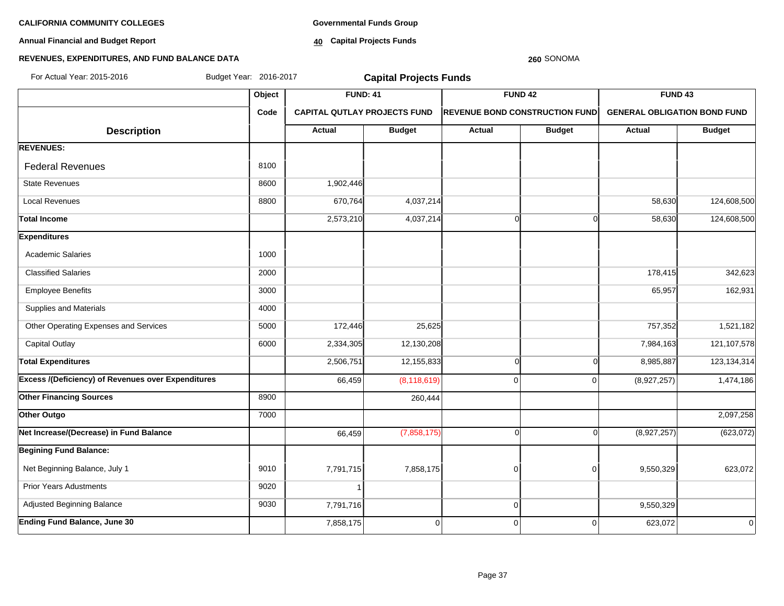**Annual Financial and Budget Report**

**Governmental Funds Group**

**40 Capital Projects Funds**

#### **REVENUES, EXPENDITURES, AND FUND BALANCE DATA**

#### **260** SONOMA

| For Actual Year: 2015-2016                                | Budget Year: 2016-2017 | <b>Capital Projects Funds</b>       |                |             |                                       |                                     |                    |
|-----------------------------------------------------------|------------------------|-------------------------------------|----------------|-------------|---------------------------------------|-------------------------------------|--------------------|
|                                                           | Object                 | <b>FUND: 41</b>                     |                |             | FUND <sub>42</sub>                    |                                     | FUND <sub>43</sub> |
|                                                           | Code                   | <b>CAPITAL QUTLAY PROJECTS FUND</b> |                |             | <b>REVENUE BOND CONSTRUCTION FUND</b> | <b>GENERAL OBLIGATION BOND FUND</b> |                    |
| <b>Description</b>                                        |                        | Actual                              | <b>Budget</b>  | Actual      | <b>Budget</b>                         | Actual                              | <b>Budget</b>      |
| <b>REVENUES:</b>                                          |                        |                                     |                |             |                                       |                                     |                    |
| <b>Federal Revenues</b>                                   | 8100                   |                                     |                |             |                                       |                                     |                    |
| <b>State Revenues</b>                                     | 8600                   | 1,902,446                           |                |             |                                       |                                     |                    |
| <b>Local Revenues</b>                                     | 8800                   | 670,764                             | 4,037,214      |             |                                       | 58,630                              | 124,608,500        |
| <b>Total Income</b>                                       |                        | 2,573,210                           | 4,037,214      |             | ∩                                     | 58,630                              | 124,608,500        |
| <b>Expenditures</b>                                       |                        |                                     |                |             |                                       |                                     |                    |
| <b>Academic Salaries</b>                                  | 1000                   |                                     |                |             |                                       |                                     |                    |
| <b>Classified Salaries</b>                                | 2000                   |                                     |                |             |                                       | 178,415                             | 342,623            |
| <b>Employee Benefits</b>                                  | 3000                   |                                     |                |             |                                       | 65,957                              | 162,931            |
| Supplies and Materials                                    | 4000                   |                                     |                |             |                                       |                                     |                    |
| Other Operating Expenses and Services                     | 5000                   | 172,446                             | 25,625         |             |                                       | 757,352                             | 1,521,182          |
| <b>Capital Outlay</b>                                     | 6000                   | 2,334,305                           | 12,130,208     |             |                                       | 7,984,163                           | 121,107,578        |
| <b>Total Expenditures</b>                                 |                        | 2,506,751                           | 12,155,833     | C           | $\Omega$                              | 8,985,887                           | 123, 134, 314      |
| <b>Excess /(Deficiency) of Revenues over Expenditures</b> |                        | 66,459                              | (8, 118, 619)  | $\Omega$    | $\Omega$                              | (8,927,257)                         | 1,474,186          |
| <b>Other Financing Sources</b>                            | 8900                   |                                     | 260,444        |             |                                       |                                     |                    |
| Other Outgo                                               | 7000                   |                                     |                |             |                                       |                                     | 2,097,258          |
| Net Increase/(Decrease) in Fund Balance                   |                        | 66,459                              | (7,858,175)    |             |                                       | (8,927,257)                         | (623, 072)         |
| <b>Begining Fund Balance:</b>                             |                        |                                     |                |             |                                       |                                     |                    |
| Net Beginning Balance, July 1                             | 9010                   | 7,791,715                           | 7,858,175      | $\mathbf 0$ | $\Omega$                              | 9,550,329                           | 623,072            |
| <b>Prior Years Adustments</b>                             | 9020                   |                                     |                |             |                                       |                                     |                    |
| Adjusted Beginning Balance                                | 9030                   | 7,791,716                           |                | $\mathbf 0$ |                                       | 9,550,329                           |                    |
| <b>Ending Fund Balance, June 30</b>                       |                        | 7,858,175                           | $\overline{0}$ | $\mathbf 0$ | 0                                     | 623,072                             | $\Omega$           |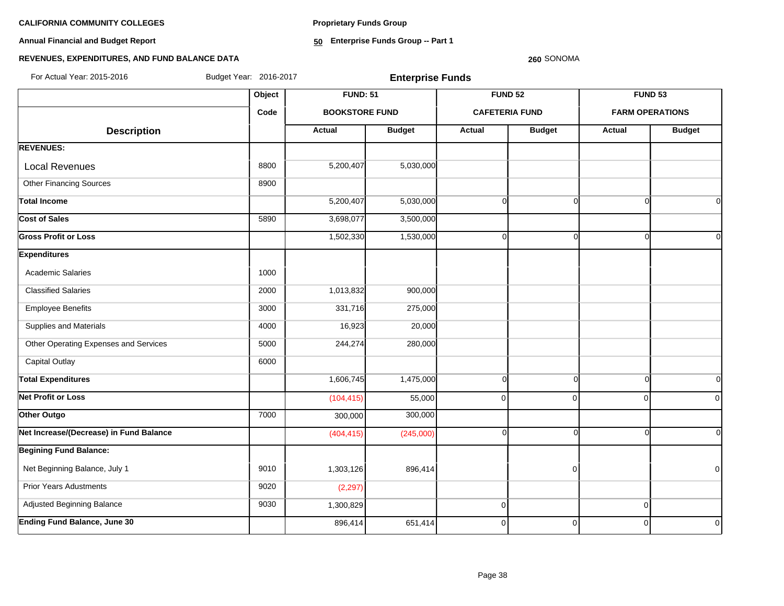**Proprietary Funds Group**

**Annual Financial and Budget Report**

**50 Enterprise Funds Group -- Part 1**

### **260** SONOMA

# **REVENUES, EXPENDITURES, AND FUND BALANCE DATA**

For Actual Year: 2015-2016 Budget Year: 2016-2017 **Enterprise Funds**

|                                         | Object | <b>FUND: 51</b>       |               |             | <b>FUND 52</b>        | FUND <sub>53</sub> |                        |
|-----------------------------------------|--------|-----------------------|---------------|-------------|-----------------------|--------------------|------------------------|
|                                         | Code   | <b>BOOKSTORE FUND</b> |               |             | <b>CAFETERIA FUND</b> |                    | <b>FARM OPERATIONS</b> |
| <b>Description</b>                      |        | <b>Actual</b>         | <b>Budget</b> | Actual      | <b>Budget</b>         | Actual             | <b>Budget</b>          |
| <b>REVENUES:</b>                        |        |                       |               |             |                       |                    |                        |
| <b>Local Revenues</b>                   | 8800   | 5,200,407             | 5,030,000     |             |                       |                    |                        |
| <b>Other Financing Sources</b>          | 8900   |                       |               |             |                       |                    |                        |
| <b>Total Income</b>                     |        | 5,200,407             | 5,030,000     | $\Omega$    | $\Omega$              | $\Omega$           | Οl                     |
| Cost of Sales                           | 5890   | 3,698,077             | 3,500,000     |             |                       |                    |                        |
| <b>Gross Profit or Loss</b>             |        | 1,502,330             | 1,530,000     | $\Omega$    | $\Omega$              | O                  | $\Omega$               |
| <b>Expenditures</b>                     |        |                       |               |             |                       |                    |                        |
| Academic Salaries                       | 1000   |                       |               |             |                       |                    |                        |
| <b>Classified Salaries</b>              | 2000   | 1,013,832             | 900,000       |             |                       |                    |                        |
| <b>Employee Benefits</b>                | 3000   | 331,716               | 275,000       |             |                       |                    |                        |
| Supplies and Materials                  | 4000   | 16,923                | 20,000        |             |                       |                    |                        |
| Other Operating Expenses and Services   | 5000   | 244,274               | 280,000       |             |                       |                    |                        |
| <b>Capital Outlay</b>                   | 6000   |                       |               |             |                       |                    |                        |
| <b>Total Expenditures</b>               |        | 1,606,745             | 1,475,000     | $\mathbf 0$ | $\Omega$              | $\Omega$           | 0l                     |
| <b>Net Profit or Loss</b>               |        | (104, 415)            | 55,000        | $\mathbf 0$ | $\Omega$              | $\Omega$           | $\overline{0}$         |
| Other Outgo                             | 7000   | 300,000               | 300,000       |             |                       |                    |                        |
| Net Increase/(Decrease) in Fund Balance |        | (404, 415)            | (245,000)     | $\mathbf 0$ | $\Omega$              | O                  | 0l                     |
| <b>Begining Fund Balance:</b>           |        |                       |               |             |                       |                    |                        |
| Net Beginning Balance, July 1           | 9010   | 1,303,126             | 896,414       |             | $\overline{0}$        |                    | $\overline{0}$         |
| <b>Prior Years Adustments</b>           | 9020   | (2, 297)              |               |             |                       |                    |                        |
| Adjusted Beginning Balance              | 9030   | 1,300,829             |               | $\mathbf 0$ |                       | $\mathbf 0$        |                        |
| <b>Ending Fund Balance, June 30</b>     |        | 896,414               | 651,414       | $\mathbf 0$ | $\mathbf 0$           | $\Omega$           | $\mathbf 0$            |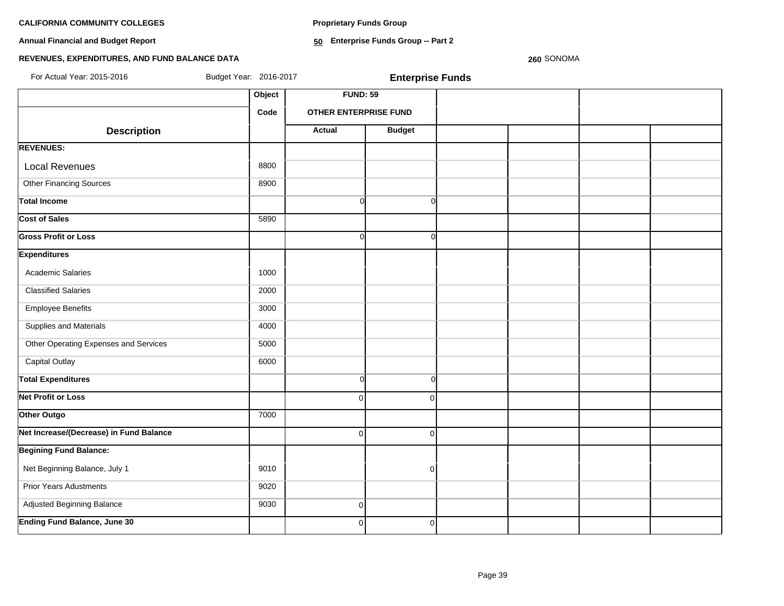**Proprietary Funds Group**

**Annual Financial and Budget Report**

**50 Enterprise Funds Group -- Part 2**

# **REVENUES, EXPENDITURES, AND FUND BALANCE DATA**

**260** SONOMA

| For Actual Year: 2015-2016              | Budget Year: 2016-2017 |                              | <b>Enterprise Funds</b> |  |  |
|-----------------------------------------|------------------------|------------------------------|-------------------------|--|--|
|                                         | Object                 | <b>FUND: 59</b>              |                         |  |  |
|                                         | Code                   | <b>OTHER ENTERPRISE FUND</b> |                         |  |  |
| <b>Description</b>                      |                        | <b>Actual</b>                | <b>Budget</b>           |  |  |
| <b>REVENUES:</b>                        |                        |                              |                         |  |  |
| <b>Local Revenues</b>                   | 8800                   |                              |                         |  |  |
| <b>Other Financing Sources</b>          | 8900                   |                              |                         |  |  |
| <b>Total Income</b>                     |                        | $\Omega$                     | $\Omega$                |  |  |
| <b>Cost of Sales</b>                    | 5890                   |                              |                         |  |  |
| <b>Gross Profit or Loss</b>             |                        | $\Omega$                     | $\Omega$                |  |  |
| <b>Expenditures</b>                     |                        |                              |                         |  |  |
| <b>Academic Salaries</b>                | 1000                   |                              |                         |  |  |
| <b>Classified Salaries</b>              | 2000                   |                              |                         |  |  |
| <b>Employee Benefits</b>                | 3000                   |                              |                         |  |  |
| Supplies and Materials                  | 4000                   |                              |                         |  |  |
| Other Operating Expenses and Services   | 5000                   |                              |                         |  |  |
| <b>Capital Outlay</b>                   | 6000                   |                              |                         |  |  |
| <b>Total Expenditures</b>               |                        | $\Omega$                     | $\Omega$                |  |  |
| <b>Net Profit or Loss</b>               |                        | $\Omega$                     | $\Omega$                |  |  |
| Other Outgo                             | 7000                   |                              |                         |  |  |
| Net Increase/(Decrease) in Fund Balance |                        | $\Omega$                     | $\Omega$                |  |  |
| <b>Begining Fund Balance:</b>           |                        |                              |                         |  |  |
| Net Beginning Balance, July 1           | 9010                   |                              | $\overline{0}$          |  |  |
| <b>Prior Years Adustments</b>           | 9020                   |                              |                         |  |  |
| Adjusted Beginning Balance              | 9030                   | $\overline{0}$               |                         |  |  |
| <b>Ending Fund Balance, June 30</b>     |                        | $\overline{0}$               | $\overline{0}$          |  |  |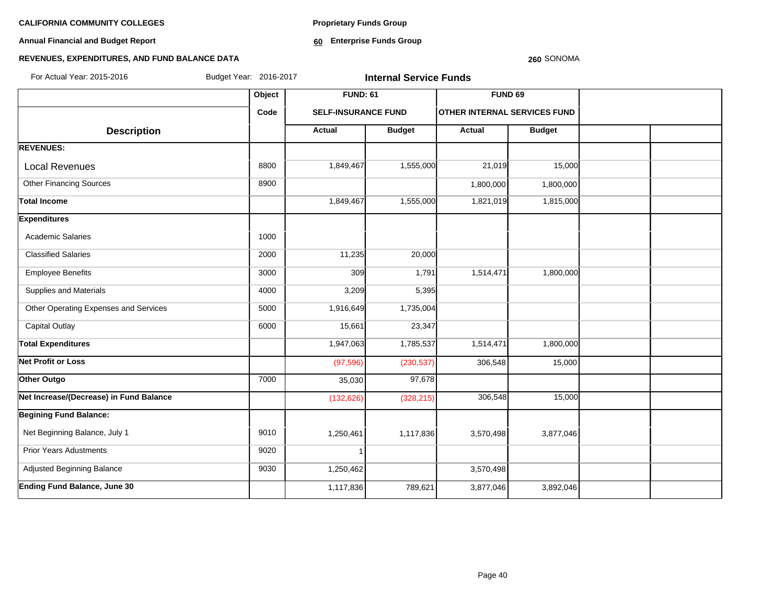**Annual Financial and Budget Report**

**Proprietary Funds Group**

**60 Enterprise Funds Group** 

## **REVENUES, EXPENDITURES, AND FUND BALANCE DATA**

#### **260** SONOMA

| Budget Year: 2016-2017<br>For Actual Year: 2015-2016 |        |                            | <b>Internal Service Funds</b> |                                     |               |  |
|------------------------------------------------------|--------|----------------------------|-------------------------------|-------------------------------------|---------------|--|
|                                                      | Object | <b>FUND: 61</b>            |                               | <b>FUND 69</b>                      |               |  |
|                                                      | Code   | <b>SELF-INSURANCE FUND</b> |                               | <b>OTHER INTERNAL SERVICES FUND</b> |               |  |
| <b>Description</b>                                   |        | <b>Actual</b>              | <b>Budget</b>                 | Actual                              | <b>Budget</b> |  |
| <b>REVENUES:</b>                                     |        |                            |                               |                                     |               |  |
| <b>Local Revenues</b>                                | 8800   | 1,849,467                  | 1,555,000                     | 21,019                              | 15,000        |  |
| <b>Other Financing Sources</b>                       | 8900   |                            |                               | 1,800,000                           | 1,800,000     |  |
| <b>Total Income</b>                                  |        | 1,849,467                  | 1,555,000                     | 1,821,019                           | 1,815,000     |  |
| <b>Expenditures</b>                                  |        |                            |                               |                                     |               |  |
| <b>Academic Salaries</b>                             | 1000   |                            |                               |                                     |               |  |
| <b>Classified Salaries</b>                           | 2000   | 11,235                     | 20,000                        |                                     |               |  |
| <b>Employee Benefits</b>                             | 3000   | 309                        | 1,791                         | 1,514,471                           | 1,800,000     |  |
| Supplies and Materials                               | 4000   | 3,209                      | 5,395                         |                                     |               |  |
| Other Operating Expenses and Services                | 5000   | 1,916,649                  | 1,735,004                     |                                     |               |  |
| <b>Capital Outlay</b>                                | 6000   | 15,661                     | 23,347                        |                                     |               |  |
| <b>Total Expenditures</b>                            |        | 1,947,063                  | 1,785,537                     | 1,514,471                           | 1,800,000     |  |
| <b>Net Profit or Loss</b>                            |        | (97, 596)                  | (230, 537)                    | 306,548                             | 15,000        |  |
| Other Outgo                                          | 7000   | 35,030                     | 97,678                        |                                     |               |  |
| Net Increase/(Decrease) in Fund Balance              |        | (132, 626)                 | (328, 215)                    | 306,548                             | 15,000        |  |
| <b>Begining Fund Balance:</b>                        |        |                            |                               |                                     |               |  |
| Net Beginning Balance, July 1                        | 9010   | 1,250,461                  | 1,117,836                     | 3,570,498                           | 3,877,046     |  |
| <b>Prior Years Adustments</b>                        | 9020   | 1                          |                               |                                     |               |  |
| Adjusted Beginning Balance                           | 9030   | 1,250,462                  |                               | 3,570,498                           |               |  |
| Ending Fund Balance, June 30                         |        | 1,117,836                  | 789,621                       | 3,877,046                           | 3,892,046     |  |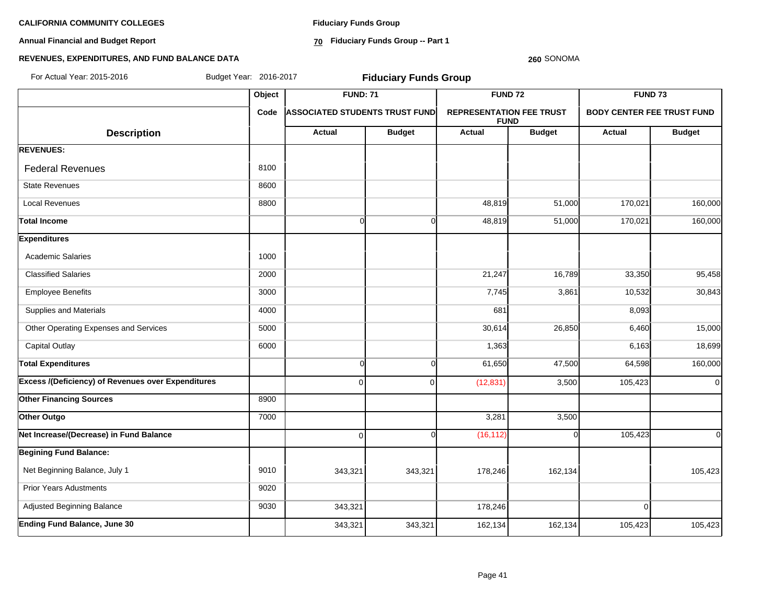**Annual Financial and Budget Report**

**Fiduciary Funds Group**

**70 Fiduciary Funds Group -- Part 1**

#### **260** SONOMA

| For Actual Year: 2015-2016                                |        | Budget Year: 2016-2017<br><b>Fiduciary Funds Group</b> |                |                                                |               |                                   |                |  |  |
|-----------------------------------------------------------|--------|--------------------------------------------------------|----------------|------------------------------------------------|---------------|-----------------------------------|----------------|--|--|
|                                                           | Object | <b>FUND: 71</b>                                        |                | <b>FUND 72</b>                                 |               | <b>FUND 73</b>                    |                |  |  |
|                                                           | Code   | <b>ASSOCIATED STUDENTS TRUST FUND</b>                  |                | <b>REPRESENTATION FEE TRUST</b><br><b>FUND</b> |               | <b>BODY CENTER FEE TRUST FUND</b> |                |  |  |
| <b>Description</b>                                        |        | Actual                                                 | <b>Budget</b>  | <b>Actual</b>                                  | <b>Budget</b> | Actual                            | <b>Budget</b>  |  |  |
| <b>REVENUES:</b>                                          |        |                                                        |                |                                                |               |                                   |                |  |  |
| <b>Federal Revenues</b>                                   | 8100   |                                                        |                |                                                |               |                                   |                |  |  |
| <b>State Revenues</b>                                     | 8600   |                                                        |                |                                                |               |                                   |                |  |  |
| <b>Local Revenues</b>                                     | 8800   |                                                        |                | 48,819                                         | 51,000        | 170,021                           | 160,000        |  |  |
| <b>Total Income</b>                                       |        | $\Omega$                                               | $\overline{0}$ | 48,819                                         | 51,000        | 170,021                           | 160,000        |  |  |
| <b>Expenditures</b>                                       |        |                                                        |                |                                                |               |                                   |                |  |  |
| <b>Academic Salaries</b>                                  | 1000   |                                                        |                |                                                |               |                                   |                |  |  |
| <b>Classified Salaries</b>                                | 2000   |                                                        |                | 21,247                                         | 16,789        | 33,350                            | 95,458         |  |  |
| <b>Employee Benefits</b>                                  | 3000   |                                                        |                | 7,745                                          | 3,861         | 10,532                            | 30,843         |  |  |
| Supplies and Materials                                    | 4000   |                                                        |                | 681                                            |               | 8,093                             |                |  |  |
| Other Operating Expenses and Services                     | 5000   |                                                        |                | 30,614                                         | 26,850        | 6,460                             | 15,000         |  |  |
| <b>Capital Outlay</b>                                     | 6000   |                                                        |                | 1,363                                          |               | 6,163                             | 18,699         |  |  |
| <b>Total Expenditures</b>                                 |        | $\overline{0}$                                         | $\mathbf 0$    | 61,650                                         | 47,500        | 64,598                            | 160,000        |  |  |
| <b>Excess /(Deficiency) of Revenues over Expenditures</b> |        | $\overline{0}$                                         | 0              | (12, 831)                                      | 3,500         | 105,423                           | $\circ$        |  |  |
| <b>Other Financing Sources</b>                            | 8900   |                                                        |                |                                                |               |                                   |                |  |  |
| Other Outgo                                               | 7000   |                                                        |                | 3,281                                          | 3,500         |                                   |                |  |  |
| Net Increase/(Decrease) in Fund Balance                   |        | $\overline{0}$                                         | $\Omega$       | (16, 112)                                      |               | 105,423                           | $\overline{0}$ |  |  |
| <b>Begining Fund Balance:</b>                             |        |                                                        |                |                                                |               |                                   |                |  |  |
| Net Beginning Balance, July 1                             | 9010   | 343,321                                                | 343,321        | 178,246                                        | 162,134       |                                   | 105,423        |  |  |
| <b>Prior Years Adustments</b>                             | 9020   |                                                        |                |                                                |               |                                   |                |  |  |
| Adjusted Beginning Balance                                | 9030   | 343,321                                                |                | 178,246                                        |               | $\Omega$                          |                |  |  |
| <b>Ending Fund Balance, June 30</b>                       |        | 343,321                                                | 343,321        | 162,134                                        | 162,134       | 105,423                           | 105,423        |  |  |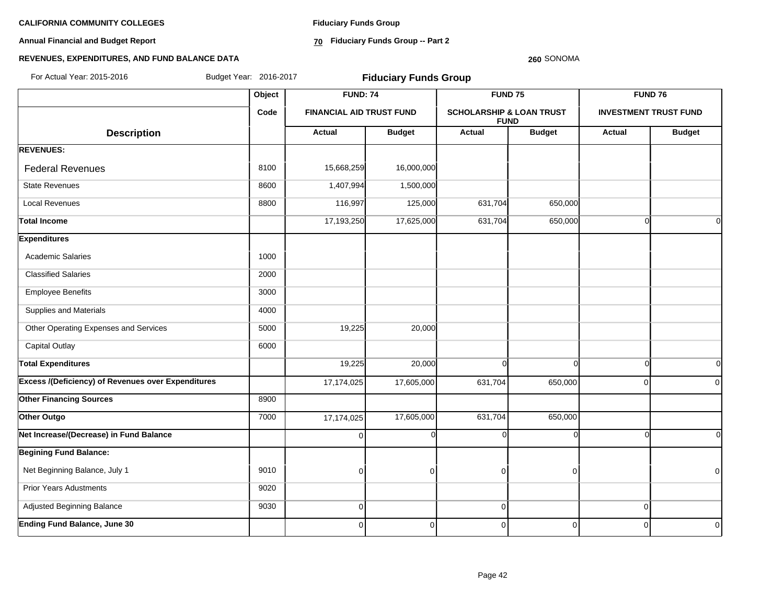**Annual Financial and Budget Report**

**Fiduciary Funds Group**

**70 Fiduciary Funds Group -- Part 2**

#### **260** SONOMA

| For Actual Year: 2015-2016                                | Budget Year: 2016-2017<br><b>Fiduciary Funds Group</b> |                                 |               |                                     |               |             |                              |
|-----------------------------------------------------------|--------------------------------------------------------|---------------------------------|---------------|-------------------------------------|---------------|-------------|------------------------------|
|                                                           | Object                                                 | <b>FUND: 74</b>                 |               | FUND <sub>75</sub>                  |               |             | FUND 76                      |
|                                                           | Code                                                   | <b>FINANCIAL AID TRUST FUND</b> |               | <b>SCHOLARSHIP &amp; LOAN TRUST</b> | <b>FUND</b>   |             | <b>INVESTMENT TRUST FUND</b> |
| <b>Description</b>                                        |                                                        | <b>Actual</b>                   | <b>Budget</b> | <b>Actual</b>                       | <b>Budget</b> | Actual      | <b>Budget</b>                |
| <b>REVENUES:</b>                                          |                                                        |                                 |               |                                     |               |             |                              |
| <b>Federal Revenues</b>                                   | 8100                                                   | 15,668,259                      | 16,000,000    |                                     |               |             |                              |
| <b>State Revenues</b>                                     | 8600                                                   | 1,407,994                       | 1,500,000     |                                     |               |             |                              |
| <b>Local Revenues</b>                                     | 8800                                                   | 116,997                         | 125,000       | 631,704                             | 650,000       |             |                              |
| Total Income                                              |                                                        | 17,193,250                      | 17,625,000    | 631,704                             | 650,000       | $\Omega$    | $\Omega$                     |
| <b>Expenditures</b>                                       |                                                        |                                 |               |                                     |               |             |                              |
| <b>Academic Salaries</b>                                  | 1000                                                   |                                 |               |                                     |               |             |                              |
| <b>Classified Salaries</b>                                | 2000                                                   |                                 |               |                                     |               |             |                              |
| <b>Employee Benefits</b>                                  | 3000                                                   |                                 |               |                                     |               |             |                              |
| Supplies and Materials                                    | 4000                                                   |                                 |               |                                     |               |             |                              |
| Other Operating Expenses and Services                     | 5000                                                   | 19,225                          | 20,000        |                                     |               |             |                              |
| <b>Capital Outlay</b>                                     | 6000                                                   |                                 |               |                                     |               |             |                              |
| <b>Total Expenditures</b>                                 |                                                        | 19,225                          | 20,000        | $\Omega$                            | $\Omega$      | $\Omega$    | $\Omega$                     |
| <b>Excess /(Deficiency) of Revenues over Expenditures</b> |                                                        | 17,174,025                      | 17,605,000    | 631,704                             | 650,000       | $\Omega$    | $\Omega$                     |
| <b>Other Financing Sources</b>                            | 8900                                                   |                                 |               |                                     |               |             |                              |
| Other Outgo                                               | 7000                                                   | 17,174,025                      | 17,605,000    | 631,704                             | 650,000       |             |                              |
| Net Increase/(Decrease) in Fund Balance                   |                                                        | $\Omega$                        | $\Omega$      | $\Omega$                            | n             | ſ           | $\Omega$                     |
| <b>Begining Fund Balance:</b>                             |                                                        |                                 |               |                                     |               |             |                              |
| Net Beginning Balance, July 1                             | 9010                                                   | $\mathbf 0$                     | $\Omega$      | $\mathbf 0$                         | $\Omega$      |             | $\Omega$                     |
| <b>Prior Years Adustments</b>                             | 9020                                                   |                                 |               |                                     |               |             |                              |
| Adjusted Beginning Balance                                | 9030                                                   | $\mathbf 0$                     |               | 0                                   |               | $\mathbf 0$ |                              |
| <b>Ending Fund Balance, June 30</b>                       |                                                        | 0                               | $\Omega$      | 0                                   | $\mathbf 0$   | $\Omega$    | $\overline{0}$               |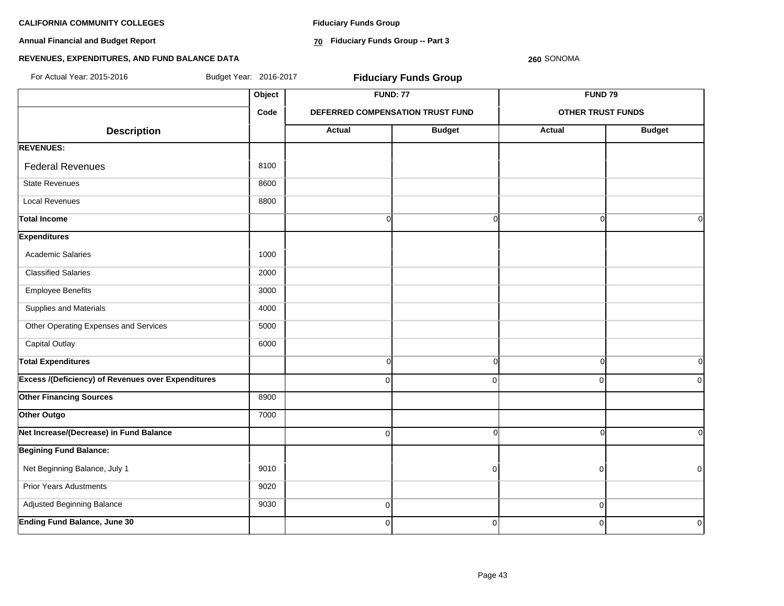**Annual Financial and Budget Report**

**Fiduciary Funds Group**

**70 Fiduciary Funds Group -- Part 3**

**260** SONOMA

| For Actual Year: 2015-2016                                | Budget Year: 2016-2017 |                | <b>Fiduciary Funds Group</b>     |                          |               |
|-----------------------------------------------------------|------------------------|----------------|----------------------------------|--------------------------|---------------|
|                                                           | Object                 |                | <b>FUND: 77</b>                  | <b>FUND 79</b>           |               |
|                                                           | Code                   |                | DEFERRED COMPENSATION TRUST FUND | <b>OTHER TRUST FUNDS</b> |               |
| <b>Description</b>                                        |                        | Actual         | <b>Budget</b>                    | <b>Actual</b>            | <b>Budget</b> |
| <b>REVENUES:</b>                                          |                        |                |                                  |                          |               |
| <b>Federal Revenues</b>                                   | 8100                   |                |                                  |                          |               |
| <b>State Revenues</b>                                     | 8600                   |                |                                  |                          |               |
| <b>Local Revenues</b>                                     | 8800                   |                |                                  |                          |               |
| <b>Total Income</b>                                       |                        | $\Omega$       | $\Omega$                         | $\Omega$                 | 0I            |
| <b>Expenditures</b>                                       |                        |                |                                  |                          |               |
| <b>Academic Salaries</b>                                  | 1000                   |                |                                  |                          |               |
| <b>Classified Salaries</b>                                | 2000                   |                |                                  |                          |               |
| <b>Employee Benefits</b>                                  | 3000                   |                |                                  |                          |               |
| Supplies and Materials                                    | 4000                   |                |                                  |                          |               |
| Other Operating Expenses and Services                     | 5000                   |                |                                  |                          |               |
| Capital Outlay                                            | 6000                   |                |                                  |                          |               |
| <b>Total Expenditures</b>                                 |                        | <sub>0</sub>   | $\overline{0}$                   | $\Omega$                 | 0l            |
| <b>Excess /(Deficiency) of Revenues over Expenditures</b> |                        | $\Omega$       | $\Omega$                         | $\mathbf 0$              | 0             |
| <b>Other Financing Sources</b>                            | 8900                   |                |                                  |                          |               |
| Other Outgo                                               | 7000                   |                |                                  |                          |               |
| Net Increase/(Decrease) in Fund Balance                   |                        | $\overline{0}$ | $\overline{0}$                   | $\Omega$                 | οI            |
| <b>Begining Fund Balance:</b>                             |                        |                |                                  |                          |               |
| Net Beginning Balance, July 1                             | 9010                   |                | $\Omega$                         | $\overline{0}$           | $\mathbf 0$   |
| <b>Prior Years Adustments</b>                             | 9020                   |                |                                  |                          |               |
| Adjusted Beginning Balance                                | 9030                   | $\overline{0}$ |                                  | $\mathbf 0$              |               |
| <b>Ending Fund Balance, June 30</b>                       |                        | $\mathbf 0$    | $\overline{0}$                   | $\mathbf 0$              | $\mathbf 0$   |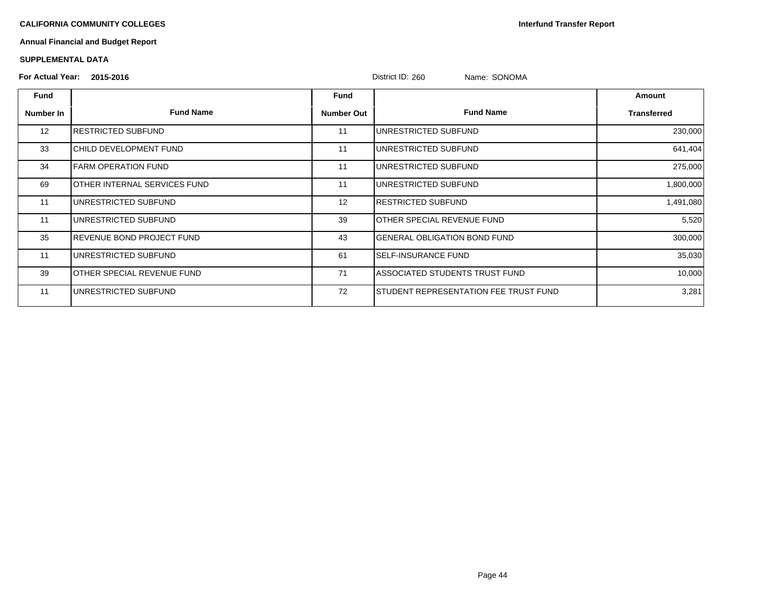**Interfund Transfer Report**

# **Annual Financial and Budget Report**

#### **SUPPLEMENTAL DATA**

# **For Actual Year: 2015-2016** District ID: 260 Name: SONOMA

|           | $1$ VI ACLUGI 1 GAI. $2013 - 2010$ |                   | DISTINT ID. ZOU<br><b>NAME.</b> SUNUMA |                    |
|-----------|------------------------------------|-------------------|----------------------------------------|--------------------|
| Fund      |                                    | Fund              |                                        | Amount             |
| Number In | <b>Fund Name</b>                   | <b>Number Out</b> | <b>Fund Name</b>                       | <b>Transferred</b> |
| 12        | IRESTRICTED SUBFUND                | 11                | UNRESTRICTED SUBFUND                   | 230,000            |
| 33        | CHILD DEVELOPMENT FUND             | 11                | UNRESTRICTED SUBFUND                   | 641,404            |
| 34        | FARM OPERATION FUND                | 11                | UNRESTRICTED SUBFUND                   | 275,000            |
| 69        | OTHER INTERNAL SERVICES FUND       | 11                | UNRESTRICTED SUBFUND                   | 1,800,000          |
| 11        | UNRESTRICTED SUBFUND               | 12                | IRESTRICTED SUBFUND                    | 1,491,080          |
| 11        | UNRESTRICTED SUBFUND               | 39                | OTHER SPECIAL REVENUE FUND             | 5,520              |
| 35        | <b>REVENUE BOND PROJECT FUND</b>   | 43                | <b>GENERAL OBLIGATION BOND FUND</b>    | 300,000            |
| 11        | UNRESTRICTED SUBFUND               | 61                | ISELF-INSURANCE FUND                   | 35,030             |
| 39        | OTHER SPECIAL REVENUE FUND         | 71                | ASSOCIATED STUDENTS TRUST FUND         | 10,000             |
| 11        | UNRESTRICTED SUBFUND               | 72                | STUDENT REPRESENTATION FEE TRUST FUND  | 3,281              |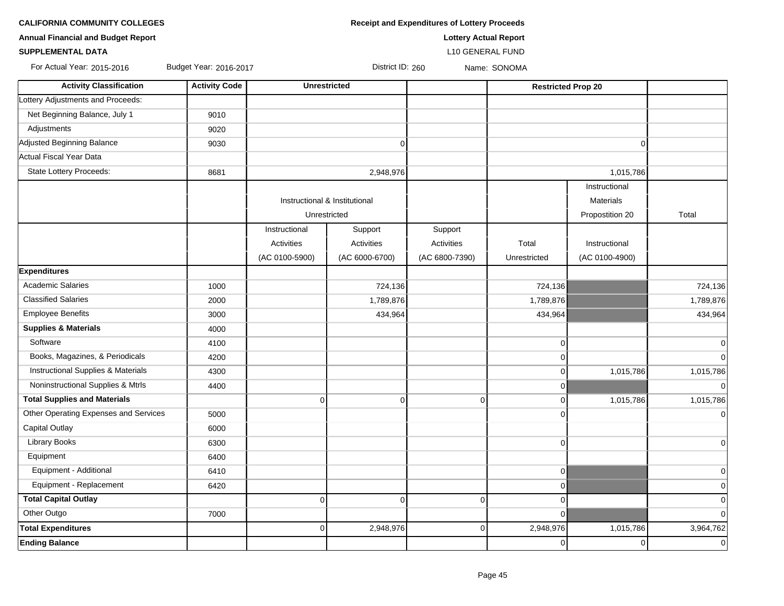| <b>CALIFORNIA COMMUNITY COLLEGES</b>      |                        |                         | <b>Receipt and Expenditures of Lottery Proceeds</b> |                           |  |  |  |  |
|-------------------------------------------|------------------------|-------------------------|-----------------------------------------------------|---------------------------|--|--|--|--|
| <b>Annual Financial and Budget Report</b> |                        |                         | <b>Lottery Actual Report</b>                        |                           |  |  |  |  |
| <b>SUPPLEMENTAL DATA</b>                  |                        | <b>L10 GENERAL FUND</b> |                                                     |                           |  |  |  |  |
| For Actual Year: 2015-2016                | Budget Year: 2016-2017 | District ID: 260        |                                                     | Name: SONOMA              |  |  |  |  |
| <b>Activity Classification</b>            | <b>Activity Code</b>   | <b>Unrestricted</b>     |                                                     | <b>Restricted Prop 20</b> |  |  |  |  |
| Lottery Adjustments and Proceeds:         |                        |                         |                                                     |                           |  |  |  |  |
| Net Beginning Balance, July 1             | 9010                   |                         |                                                     |                           |  |  |  |  |
| Adjustments                               | 9020                   |                         |                                                     |                           |  |  |  |  |
| Adjusted Beginning Balance                | 9030                   |                         |                                                     |                           |  |  |  |  |
|                                           |                        |                         |                                                     |                           |  |  |  |  |

| Adjustments                           | 9020 |                               |                   |                   |                |                  |                |
|---------------------------------------|------|-------------------------------|-------------------|-------------------|----------------|------------------|----------------|
| Adjusted Beginning Balance            | 9030 |                               | $\mathbf 0$       |                   |                | $\Omega$         |                |
| Actual Fiscal Year Data               |      |                               |                   |                   |                |                  |                |
| State Lottery Proceeds:               | 8681 |                               | 2,948,976         |                   |                | 1,015,786        |                |
|                                       |      |                               |                   |                   |                | Instructional    |                |
|                                       |      | Instructional & Institutional |                   |                   |                | <b>Materials</b> |                |
|                                       |      | Unrestricted                  |                   |                   |                | Propostition 20  | Total          |
|                                       |      | Instructional                 | Support           | Support           |                |                  |                |
|                                       |      | <b>Activities</b>             | <b>Activities</b> | <b>Activities</b> | Total          | Instructional    |                |
|                                       |      | (AC 0100-5900)                | (AC 6000-6700)    | (AC 6800-7390)    | Unrestricted   | (AC 0100-4900)   |                |
| <b>Expenditures</b>                   |      |                               |                   |                   |                |                  |                |
| <b>Academic Salaries</b>              | 1000 |                               | 724,136           |                   | 724,136        |                  | 724,136        |
| <b>Classified Salaries</b>            | 2000 |                               | 1,789,876         |                   | 1,789,876      |                  | 1,789,876      |
| <b>Employee Benefits</b>              | 3000 |                               | 434,964           |                   | 434,964        |                  | 434,964        |
| <b>Supplies &amp; Materials</b>       | 4000 |                               |                   |                   |                |                  |                |
| Software                              | 4100 |                               |                   |                   | $\mathbf 0$    |                  | $\overline{0}$ |
| Books, Magazines, & Periodicals       | 4200 |                               |                   |                   | 0              |                  | $\overline{0}$ |
| Instructional Supplies & Materials    | 4300 |                               |                   |                   | $\overline{0}$ | 1,015,786        | 1,015,786      |
| Noninstructional Supplies & Mtrls     | 4400 |                               |                   |                   | $\overline{0}$ |                  | 0              |
| <b>Total Supplies and Materials</b>   |      | $\mathbf 0$                   | $\mathbf 0$       | $\mathbf 0$       | $\overline{0}$ | 1,015,786        | 1,015,786      |
| Other Operating Expenses and Services | 5000 |                               |                   |                   | 0              |                  | 0              |
| <b>Capital Outlay</b>                 | 6000 |                               |                   |                   |                |                  |                |
| <b>Library Books</b>                  | 6300 |                               |                   |                   | $\overline{0}$ |                  | $\overline{0}$ |
| Equipment                             | 6400 |                               |                   |                   |                |                  |                |
| Equipment - Additional                | 6410 |                               |                   |                   | $\overline{0}$ |                  | $\overline{0}$ |
| Equipment - Replacement               | 6420 |                               |                   |                   | $\overline{0}$ |                  | $\overline{0}$ |
| <b>Total Capital Outlay</b>           |      | $\mathbf 0$                   | $\mathbf 0$       | 0                 | $\overline{0}$ |                  | 0              |
| Other Outgo                           | 7000 |                               |                   |                   | $\overline{0}$ |                  | $\overline{0}$ |
| <b>Total Expenditures</b>             |      | $\mathbf 0$                   | 2,948,976         | 0                 | 2,948,976      | 1,015,786        | 3,964,762      |
| <b>Ending Balance</b>                 |      |                               |                   |                   | 0              | $\overline{0}$   | $\overline{0}$ |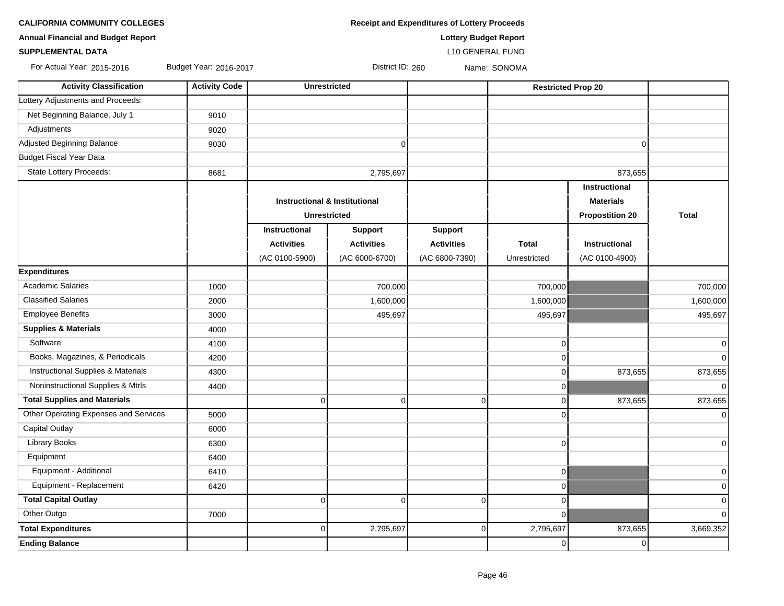**CALIFORNIA COMMUNITY COLLEGES Receipt and Expenditures of Lottery Proceeds** 

**Annual Financial and Budget Report Lottery Budget Report**

### **SUPPLEMENTAL DATA** L10 GENERAL FUND

For Actual Year: 2015-2016 Budget Year: 2016-2017 Protocol District ID: 260 Name: SONOMA

| <b>Activity Classification</b>                | <b>Activity Code</b> | <b>Unrestricted</b>                                             |                   |                   | <b>Restricted Prop 20</b> |                      |              |
|-----------------------------------------------|----------------------|-----------------------------------------------------------------|-------------------|-------------------|---------------------------|----------------------|--------------|
| Lottery Adjustments and Proceeds:             |                      |                                                                 |                   |                   |                           |                      |              |
| Net Beginning Balance, July 1                 | 9010                 |                                                                 |                   |                   |                           |                      |              |
| Adjustments                                   | 9020                 |                                                                 |                   |                   |                           |                      |              |
| Adjusted Beginning Balance                    | 9030                 |                                                                 | $\mathbf 0$       |                   |                           | $\Omega$             |              |
| Budget Fiscal Year Data                       |                      |                                                                 |                   |                   |                           |                      |              |
| State Lottery Proceeds:                       | 8681                 |                                                                 | 2,795,697         |                   |                           | 873,655              |              |
|                                               |                      |                                                                 |                   |                   |                           | <b>Instructional</b> |              |
|                                               |                      | <b>Instructional &amp; Institutional</b><br><b>Unrestricted</b> |                   |                   |                           | <b>Materials</b>     |              |
|                                               |                      |                                                                 |                   |                   | <b>Propostition 20</b>    |                      | <b>Total</b> |
|                                               |                      | Instructional                                                   | <b>Support</b>    | <b>Support</b>    |                           |                      |              |
|                                               |                      | <b>Activities</b>                                               | <b>Activities</b> | <b>Activities</b> | <b>Total</b>              | Instructional        |              |
|                                               |                      | (AC 0100-5900)                                                  | (AC 6000-6700)    | (AC 6800-7390)    | Unrestricted              | (AC 0100-4900)       |              |
| <b>Expenditures</b>                           |                      |                                                                 |                   |                   |                           |                      |              |
| <b>Academic Salaries</b>                      | 1000                 |                                                                 | 700,000           |                   | 700,000                   |                      | 700,000      |
| <b>Classified Salaries</b>                    | 2000                 |                                                                 | 1,600,000         |                   | 1,600,000                 |                      | 1,600,000    |
| <b>Employee Benefits</b>                      | 3000                 |                                                                 | 495,697           |                   | 495,697                   |                      | 495,697      |
| <b>Supplies &amp; Materials</b>               | 4000                 |                                                                 |                   |                   |                           |                      |              |
| Software                                      | 4100                 |                                                                 |                   |                   | $\overline{0}$            |                      | $\mathbf 0$  |
| Books, Magazines, & Periodicals               | 4200                 |                                                                 |                   |                   | $\Omega$                  |                      | $\Omega$     |
| <b>Instructional Supplies &amp; Materials</b> | 4300                 |                                                                 |                   |                   | $\Omega$                  | 873,655              | 873,655      |
| Noninstructional Supplies & Mtrls             | 4400                 |                                                                 |                   |                   | $\overline{0}$            |                      | 0            |
| <b>Total Supplies and Materials</b>           |                      | $\mathbf 0$                                                     | $\mathbf 0$       | $\overline{0}$    | $\overline{0}$            | 873,655              | 873,655      |
| Other Operating Expenses and Services         | 5000                 |                                                                 |                   |                   | $\Omega$                  |                      | $\Omega$     |
| Capital Outlay                                | 6000                 |                                                                 |                   |                   |                           |                      |              |
| <b>Library Books</b>                          | 6300                 |                                                                 |                   |                   | $\overline{0}$            |                      | 0            |
| Equipment                                     | 6400                 |                                                                 |                   |                   |                           |                      |              |
| Equipment - Additional                        | 6410                 |                                                                 |                   |                   | $\overline{0}$            |                      | 0            |
| Equipment - Replacement                       | 6420                 |                                                                 |                   |                   | $\overline{0}$            |                      | $\pmb{0}$    |
| <b>Total Capital Outlay</b>                   |                      | $\mathbf 0$                                                     | $\Omega$          | $\Omega$          | $\overline{0}$            |                      | $\mathbf 0$  |
| Other Outgo                                   | 7000                 |                                                                 |                   |                   | $\overline{0}$            |                      | $\mathbf 0$  |
| <b>Total Expenditures</b>                     |                      | $\mathbf 0$                                                     | 2,795,697         | 0                 | 2,795,697                 | 873,655              | 3,669,352    |
| <b>Ending Balance</b>                         |                      |                                                                 |                   |                   | $\overline{0}$            | $\Omega$             |              |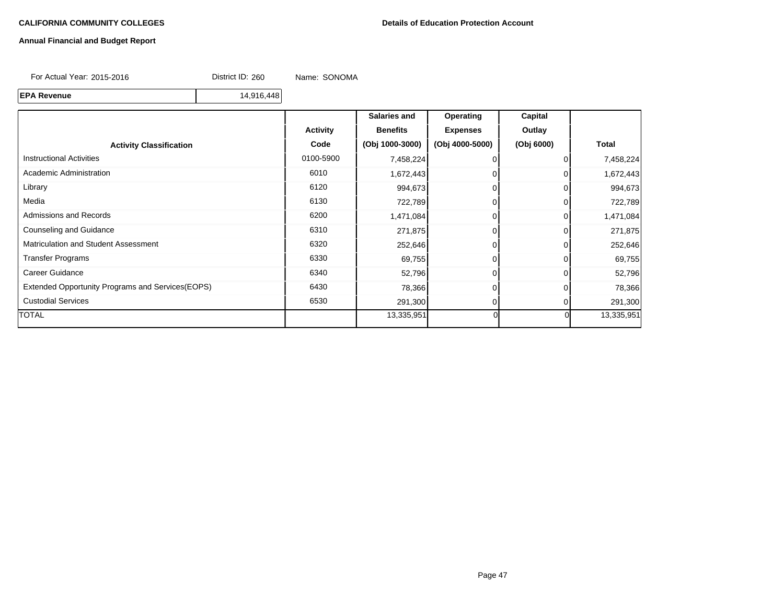#### **Annual Financial and Budget Report**

For Actual Year: 2015-2016 District ID: 260 Name: SONOMA

**EPA Revenue** 14,916,448

**Salaries and Operating Capital** Activity | Benefits | Expenses | Outlay **Activity Classification Code (Obj 1000-3000) (Obj 4000-5000) (Obj 6000) Total** Instructional Activities 0100-5900 7,458,224 0 0 7,458,224 Academic Administration 1,672,443 0 0 1,672,443 0 1,672,443 Library 6120 994,673 0 0 994,673 Media 6130 722,789 0 0 722,789 Admissions and Records **6200** 1,471,084 0 1,471,084 0 1,471,084 Counseling and Guidance 6310 271,875 0 0 271,875 Matriculation and Student Assessment 1992,646 **6320** 252,646 **0** 0 252,646 0 252,646 Transfer Programs 6330 69,755 69,755 Career Guidance **632,796** 0 0 52,796 0 52,796 0 52,796 0 52,796 0 52,796 0 52,796 0 52,796 0 52,796 0 52,796 0 52,796 Extended Opportunity Programs and Services(EOPS) 6430 6430 78,366 78,366 0 0 78,366 Custodial Services **6530** 291,300 291,300 **0 0 291,300** 291,300 TOTAL 13,335,951 0 0 13,335,951